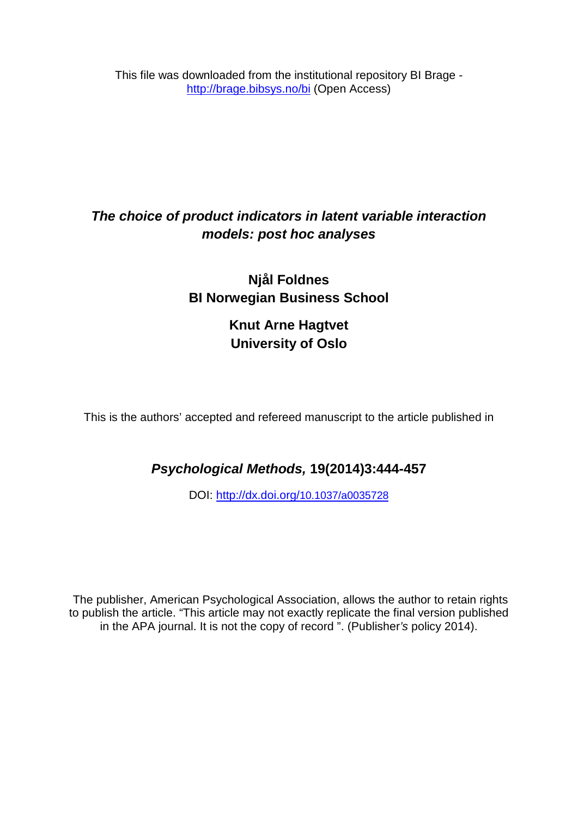This file was downloaded from the institutional repository BI Brage <http://brage.bibsys.no/bi> (Open Access)

# *The choice of product indicators in latent variable interaction models: post hoc analyses*

# **Njål Foldnes BI Norwegian Business School**

**Knut Arne Hagtvet University of Oslo**

This is the authors' accepted and refereed manuscript to the article published in

# *Psychological Methods,* **19(2014)3:444-457**

DOI: [http://dx.doi.org/10.1037/a0035728](http://dx.doi.org/)

The publisher, American Psychological Association, allows the author to retain rights to publish the article. "This article may not exactly replicate the final version published in the APA journal. It is not the copy of record ". (Publisher*'s* policy 2014).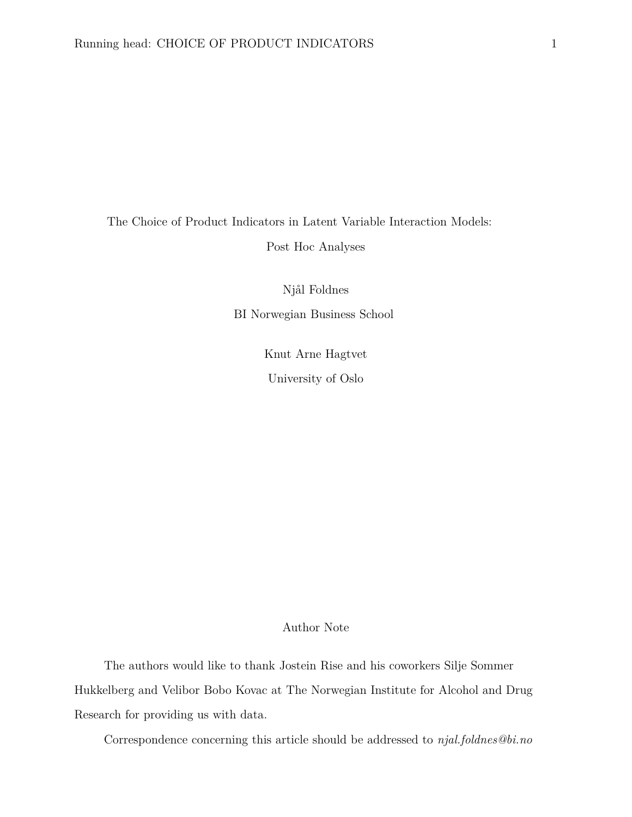# The Choice of Product Indicators in Latent Variable Interaction Models: Post Hoc Analyses

Njål Foldnes

BI Norwegian Business School

Knut Arne Hagtvet

University of Oslo

## Author Note

The authors would like to thank Jostein Rise and his coworkers Silje Sommer Hukkelberg and Velibor Bobo Kovac at The Norwegian Institute for Alcohol and Drug Research for providing us with data.

Correspondence concerning this article should be addressed to *njal.foldnes@bi.no*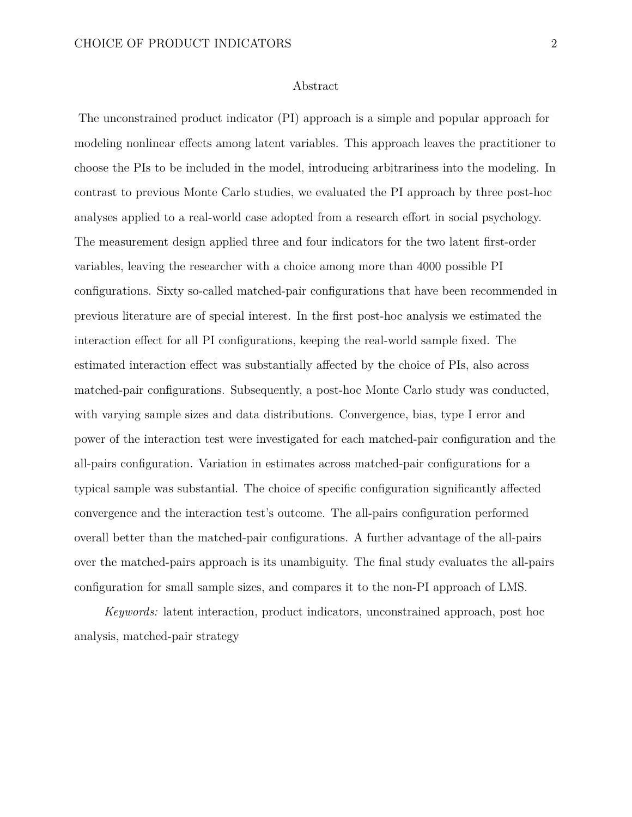#### Abstract

The unconstrained product indicator (PI) approach is a simple and popular approach for modeling nonlinear effects among latent variables. This approach leaves the practitioner to choose the PIs to be included in the model, introducing arbitrariness into the modeling. In contrast to previous Monte Carlo studies, we evaluated the PI approach by three post-hoc analyses applied to a real-world case adopted from a research effort in social psychology. The measurement design applied three and four indicators for the two latent first-order variables, leaving the researcher with a choice among more than 4000 possible PI configurations. Sixty so-called matched-pair configurations that have been recommended in previous literature are of special interest. In the first post-hoc analysis we estimated the interaction effect for all PI configurations, keeping the real-world sample fixed. The estimated interaction effect was substantially affected by the choice of PIs, also across matched-pair configurations. Subsequently, a post-hoc Monte Carlo study was conducted, with varying sample sizes and data distributions. Convergence, bias, type I error and power of the interaction test were investigated for each matched-pair configuration and the all-pairs configuration. Variation in estimates across matched-pair configurations for a typical sample was substantial. The choice of specific configuration significantly affected convergence and the interaction test's outcome. The all-pairs configuration performed overall better than the matched-pair configurations. A further advantage of the all-pairs over the matched-pairs approach is its unambiguity. The final study evaluates the all-pairs configuration for small sample sizes, and compares it to the non-PI approach of LMS.

*Keywords:* latent interaction, product indicators, unconstrained approach, post hoc analysis, matched-pair strategy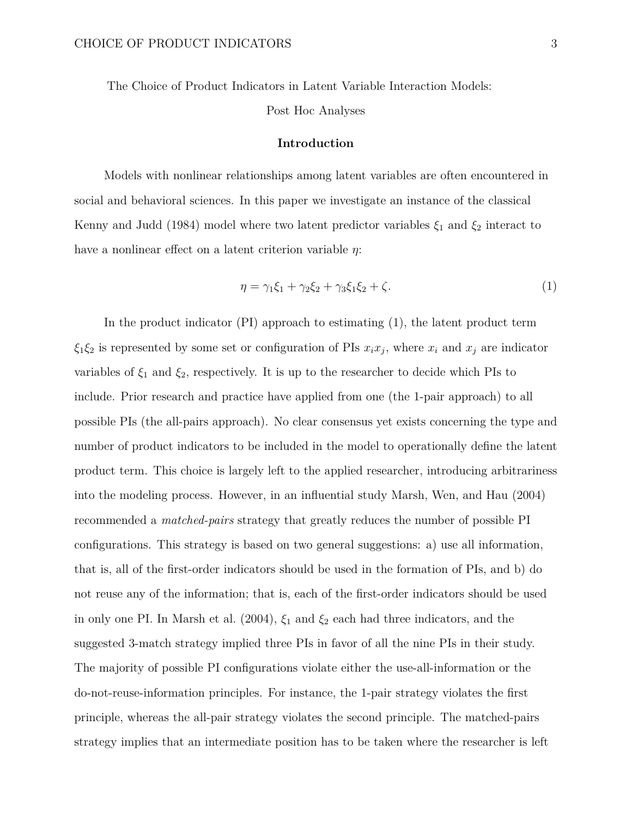The Choice of Product Indicators in Latent Variable Interaction Models:

Post Hoc Analyses

### **Introduction**

Models with nonlinear relationships among latent variables are often encountered in social and behavioral sciences. In this paper we investigate an instance of the classical Kenny and Judd (1984) model where two latent predictor variables  $\xi_1$  and  $\xi_2$  interact to have a nonlinear effect on a latent criterion variable  $\eta$ :

$$
\eta = \gamma_1 \xi_1 + \gamma_2 \xi_2 + \gamma_3 \xi_1 \xi_2 + \zeta. \tag{1}
$$

In the product indicator (PI) approach to estimating (1), the latent product term  $\xi_1 \xi_2$  is represented by some set or configuration of PIs  $x_i x_j$ , where  $x_i$  and  $x_j$  are indicator variables of  $\xi_1$  and  $\xi_2$ , respectively. It is up to the researcher to decide which PIs to include. Prior research and practice have applied from one (the 1-pair approach) to all possible PIs (the all-pairs approach). No clear consensus yet exists concerning the type and number of product indicators to be included in the model to operationally define the latent product term. This choice is largely left to the applied researcher, introducing arbitrariness into the modeling process. However, in an influential study Marsh, Wen, and Hau (2004) recommended a *matched-pairs* strategy that greatly reduces the number of possible PI configurations. This strategy is based on two general suggestions: a) use all information, that is, all of the first-order indicators should be used in the formation of PIs, and b) do not reuse any of the information; that is, each of the first-order indicators should be used in only one PI. In Marsh et al. (2004),  $\xi_1$  and  $\xi_2$  each had three indicators, and the suggested 3-match strategy implied three PIs in favor of all the nine PIs in their study. The majority of possible PI configurations violate either the use-all-information or the do-not-reuse-information principles. For instance, the 1-pair strategy violates the first principle, whereas the all-pair strategy violates the second principle. The matched-pairs strategy implies that an intermediate position has to be taken where the researcher is left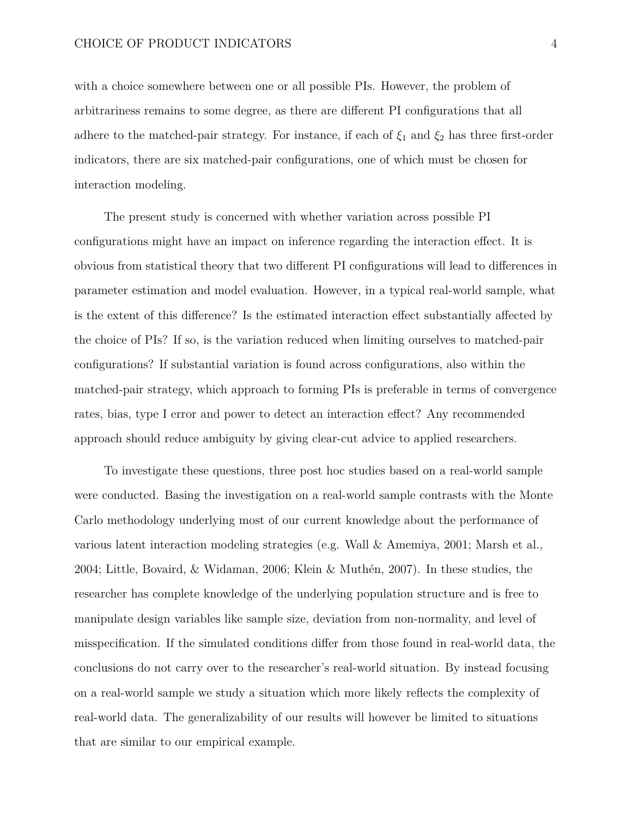with a choice somewhere between one or all possible PIs. However, the problem of arbitrariness remains to some degree, as there are different PI configurations that all adhere to the matched-pair strategy. For instance, if each of  $\xi_1$  and  $\xi_2$  has three first-order indicators, there are six matched-pair configurations, one of which must be chosen for interaction modeling.

The present study is concerned with whether variation across possible PI configurations might have an impact on inference regarding the interaction effect. It is obvious from statistical theory that two different PI configurations will lead to differences in parameter estimation and model evaluation. However, in a typical real-world sample, what is the extent of this difference? Is the estimated interaction effect substantially affected by the choice of PIs? If so, is the variation reduced when limiting ourselves to matched-pair configurations? If substantial variation is found across configurations, also within the matched-pair strategy, which approach to forming PIs is preferable in terms of convergence rates, bias, type I error and power to detect an interaction effect? Any recommended approach should reduce ambiguity by giving clear-cut advice to applied researchers.

To investigate these questions, three post hoc studies based on a real-world sample were conducted. Basing the investigation on a real-world sample contrasts with the Monte Carlo methodology underlying most of our current knowledge about the performance of various latent interaction modeling strategies (e.g. Wall & Amemiya, 2001; Marsh et al., 2004; Little, Bovaird, & Widaman, 2006; Klein & Muthén, 2007). In these studies, the researcher has complete knowledge of the underlying population structure and is free to manipulate design variables like sample size, deviation from non-normality, and level of misspecification. If the simulated conditions differ from those found in real-world data, the conclusions do not carry over to the researcher's real-world situation. By instead focusing on a real-world sample we study a situation which more likely reflects the complexity of real-world data. The generalizability of our results will however be limited to situations that are similar to our empirical example.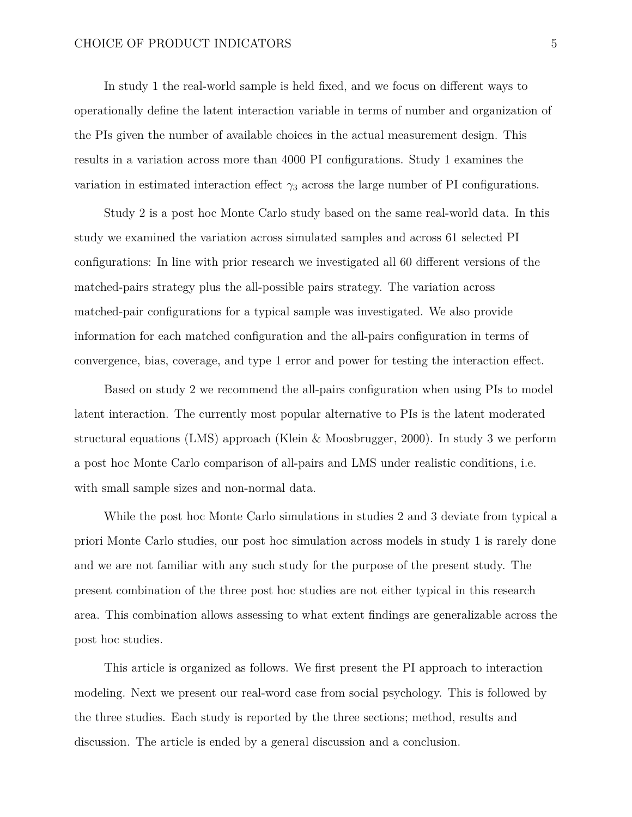In study 1 the real-world sample is held fixed, and we focus on different ways to operationally define the latent interaction variable in terms of number and organization of the PIs given the number of available choices in the actual measurement design. This results in a variation across more than 4000 PI configurations. Study 1 examines the variation in estimated interaction effect  $\gamma_3$  across the large number of PI configurations.

Study 2 is a post hoc Monte Carlo study based on the same real-world data. In this study we examined the variation across simulated samples and across 61 selected PI configurations: In line with prior research we investigated all 60 different versions of the matched-pairs strategy plus the all-possible pairs strategy. The variation across matched-pair configurations for a typical sample was investigated. We also provide information for each matched configuration and the all-pairs configuration in terms of convergence, bias, coverage, and type 1 error and power for testing the interaction effect.

Based on study 2 we recommend the all-pairs configuration when using PIs to model latent interaction. The currently most popular alternative to PIs is the latent moderated structural equations (LMS) approach (Klein & Moosbrugger, 2000). In study 3 we perform a post hoc Monte Carlo comparison of all-pairs and LMS under realistic conditions, i.e. with small sample sizes and non-normal data.

While the post hoc Monte Carlo simulations in studies 2 and 3 deviate from typical a priori Monte Carlo studies, our post hoc simulation across models in study 1 is rarely done and we are not familiar with any such study for the purpose of the present study. The present combination of the three post hoc studies are not either typical in this research area. This combination allows assessing to what extent findings are generalizable across the post hoc studies.

This article is organized as follows. We first present the PI approach to interaction modeling. Next we present our real-word case from social psychology. This is followed by the three studies. Each study is reported by the three sections; method, results and discussion. The article is ended by a general discussion and a conclusion.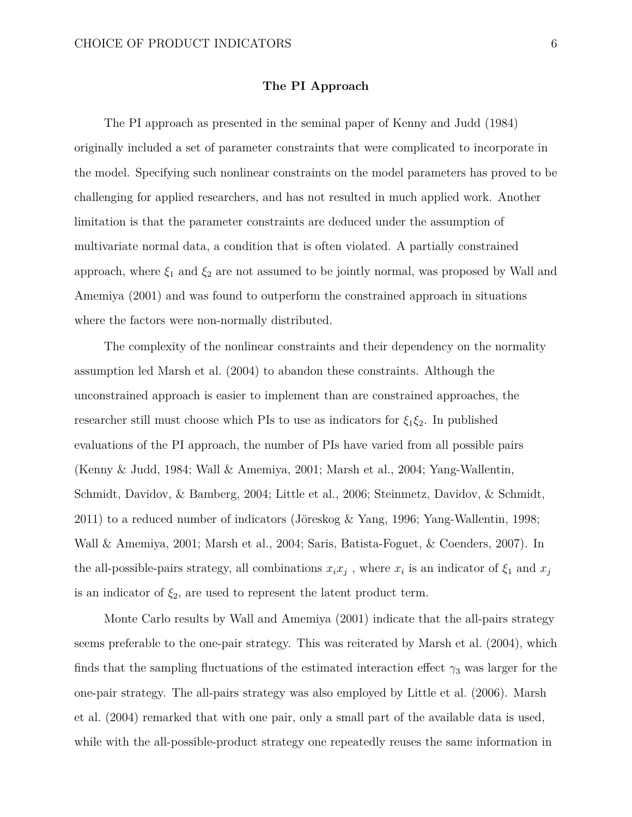### **The PI Approach**

The PI approach as presented in the seminal paper of Kenny and Judd (1984) originally included a set of parameter constraints that were complicated to incorporate in the model. Specifying such nonlinear constraints on the model parameters has proved to be challenging for applied researchers, and has not resulted in much applied work. Another limitation is that the parameter constraints are deduced under the assumption of multivariate normal data, a condition that is often violated. A partially constrained approach, where  $\xi_1$  and  $\xi_2$  are not assumed to be jointly normal, was proposed by Wall and Amemiya (2001) and was found to outperform the constrained approach in situations where the factors were non-normally distributed.

The complexity of the nonlinear constraints and their dependency on the normality assumption led Marsh et al. (2004) to abandon these constraints. Although the unconstrained approach is easier to implement than are constrained approaches, the researcher still must choose which PIs to use as indicators for  $\xi_1 \xi_2$ . In published evaluations of the PI approach, the number of PIs have varied from all possible pairs (Kenny & Judd, 1984; Wall & Amemiya, 2001; Marsh et al., 2004; Yang-Wallentin, Schmidt, Davidov, & Bamberg, 2004; Little et al., 2006; Steinmetz, Davidov, & Schmidt, 2011) to a reduced number of indicators (Jöreskog & Yang, 1996; Yang-Wallentin, 1998; Wall & Amemiya, 2001; Marsh et al., 2004; Saris, Batista-Foguet, & Coenders, 2007). In the all-possible-pairs strategy, all combinations  $x_i x_j$ , where  $x_i$  is an indicator of  $\xi_1$  and  $x_j$ is an indicator of  $\xi_2$ , are used to represent the latent product term.

Monte Carlo results by Wall and Amemiya (2001) indicate that the all-pairs strategy seems preferable to the one-pair strategy. This was reiterated by Marsh et al. (2004), which finds that the sampling fluctuations of the estimated interaction effect  $\gamma_3$  was larger for the one-pair strategy. The all-pairs strategy was also employed by Little et al. (2006). Marsh et al. (2004) remarked that with one pair, only a small part of the available data is used, while with the all-possible-product strategy one repeatedly reuses the same information in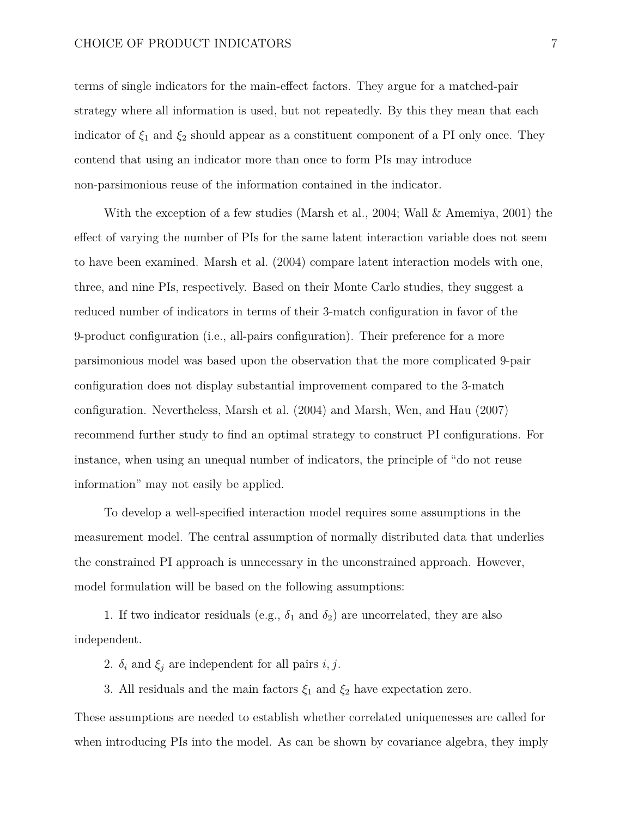terms of single indicators for the main-effect factors. They argue for a matched-pair strategy where all information is used, but not repeatedly. By this they mean that each indicator of  $\xi_1$  and  $\xi_2$  should appear as a constituent component of a PI only once. They contend that using an indicator more than once to form PIs may introduce non-parsimonious reuse of the information contained in the indicator.

With the exception of a few studies (Marsh et al., 2004; Wall & Amemiya, 2001) the effect of varying the number of PIs for the same latent interaction variable does not seem to have been examined. Marsh et al. (2004) compare latent interaction models with one, three, and nine PIs, respectively. Based on their Monte Carlo studies, they suggest a reduced number of indicators in terms of their 3-match configuration in favor of the 9-product configuration (i.e., all-pairs configuration). Their preference for a more parsimonious model was based upon the observation that the more complicated 9-pair configuration does not display substantial improvement compared to the 3-match configuration. Nevertheless, Marsh et al. (2004) and Marsh, Wen, and Hau (2007) recommend further study to find an optimal strategy to construct PI configurations. For instance, when using an unequal number of indicators, the principle of "do not reuse information" may not easily be applied.

To develop a well-specified interaction model requires some assumptions in the measurement model. The central assumption of normally distributed data that underlies the constrained PI approach is unnecessary in the unconstrained approach. However, model formulation will be based on the following assumptions:

1. If two indicator residuals (e.g.,  $\delta_1$  and  $\delta_2$ ) are uncorrelated, they are also independent.

2.  $\delta_i$  and  $\xi_j$  are independent for all pairs *i, j*.

3. All residuals and the main factors  $\xi_1$  and  $\xi_2$  have expectation zero.

These assumptions are needed to establish whether correlated uniquenesses are called for when introducing PIs into the model. As can be shown by covariance algebra, they imply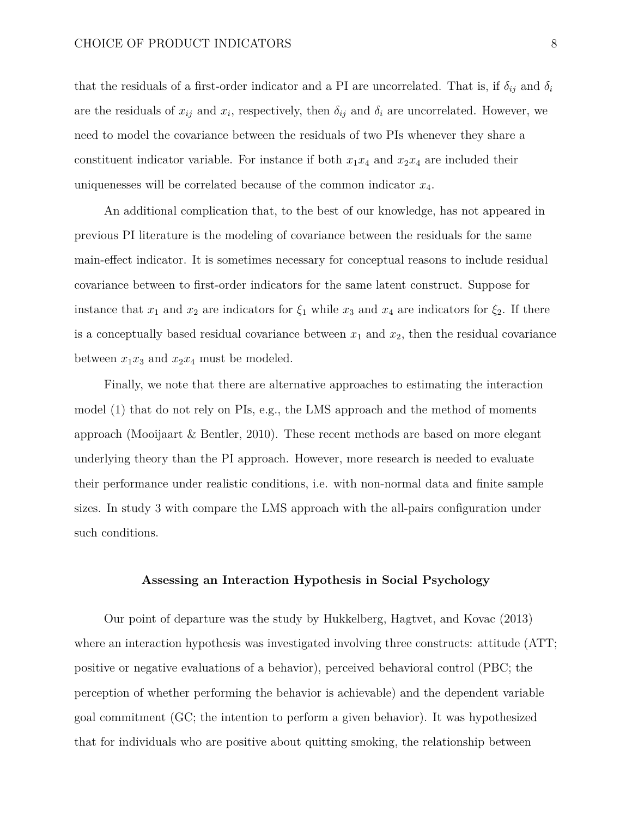that the residuals of a first-order indicator and a PI are uncorrelated. That is, if  $\delta_{ij}$  and  $\delta_i$ are the residuals of  $x_{ij}$  and  $x_i$ , respectively, then  $\delta_{ij}$  and  $\delta_i$  are uncorrelated. However, we need to model the covariance between the residuals of two PIs whenever they share a constituent indicator variable. For instance if both  $x_1x_4$  and  $x_2x_4$  are included their uniquenesses will be correlated because of the common indicator *x*4.

An additional complication that, to the best of our knowledge, has not appeared in previous PI literature is the modeling of covariance between the residuals for the same main-effect indicator. It is sometimes necessary for conceptual reasons to include residual covariance between to first-order indicators for the same latent construct. Suppose for instance that  $x_1$  and  $x_2$  are indicators for  $\xi_1$  while  $x_3$  and  $x_4$  are indicators for  $\xi_2$ . If there is a conceptually based residual covariance between  $x_1$  and  $x_2$ , then the residual covariance between  $x_1x_3$  and  $x_2x_4$  must be modeled.

Finally, we note that there are alternative approaches to estimating the interaction model (1) that do not rely on PIs, e.g., the LMS approach and the method of moments approach (Mooijaart & Bentler, 2010). These recent methods are based on more elegant underlying theory than the PI approach. However, more research is needed to evaluate their performance under realistic conditions, i.e. with non-normal data and finite sample sizes. In study 3 with compare the LMS approach with the all-pairs configuration under such conditions.

#### **Assessing an Interaction Hypothesis in Social Psychology**

Our point of departure was the study by Hukkelberg, Hagtvet, and Kovac (2013) where an interaction hypothesis was investigated involving three constructs: attitude (ATT; positive or negative evaluations of a behavior), perceived behavioral control (PBC; the perception of whether performing the behavior is achievable) and the dependent variable goal commitment (GC; the intention to perform a given behavior). It was hypothesized that for individuals who are positive about quitting smoking, the relationship between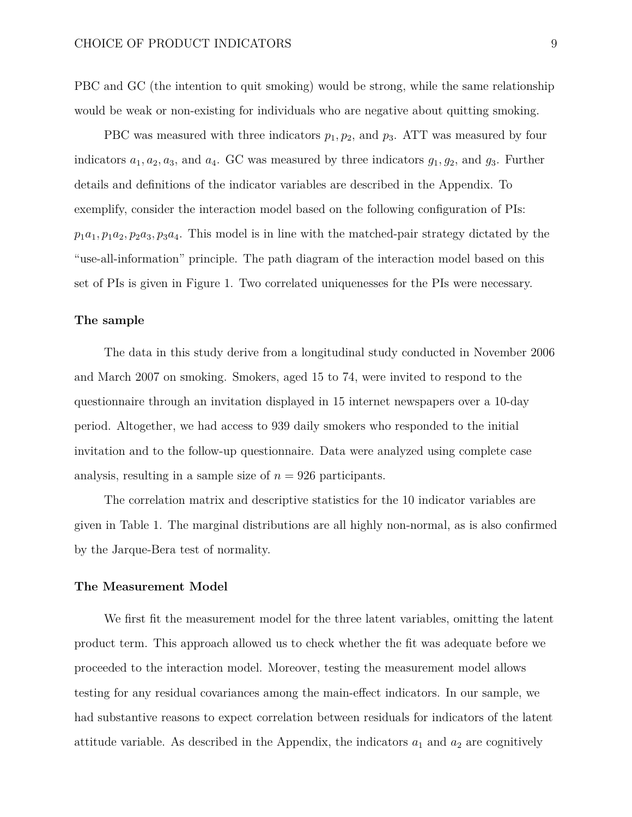PBC and GC (the intention to quit smoking) would be strong, while the same relationship would be weak or non-existing for individuals who are negative about quitting smoking.

PBC was measured with three indicators  $p_1, p_2$ , and  $p_3$ . ATT was measured by four indicators  $a_1, a_2, a_3$ , and  $a_4$ . GC was measured by three indicators  $g_1, g_2$ , and  $g_3$ . Further details and definitions of the indicator variables are described in the Appendix. To exemplify, consider the interaction model based on the following configuration of PIs:  $p_1a_1, p_1a_2, p_2a_3, p_3a_4$ . This model is in line with the matched-pair strategy dictated by the "use-all-information" principle. The path diagram of the interaction model based on this set of PIs is given in Figure 1. Two correlated uniquenesses for the PIs were necessary.

#### **The sample**

The data in this study derive from a longitudinal study conducted in November 2006 and March 2007 on smoking. Smokers, aged 15 to 74, were invited to respond to the questionnaire through an invitation displayed in 15 internet newspapers over a 10-day period. Altogether, we had access to 939 daily smokers who responded to the initial invitation and to the follow-up questionnaire. Data were analyzed using complete case analysis, resulting in a sample size of  $n = 926$  participants.

The correlation matrix and descriptive statistics for the 10 indicator variables are given in Table 1. The marginal distributions are all highly non-normal, as is also confirmed by the Jarque-Bera test of normality.

### **The Measurement Model**

We first fit the measurement model for the three latent variables, omitting the latent product term. This approach allowed us to check whether the fit was adequate before we proceeded to the interaction model. Moreover, testing the measurement model allows testing for any residual covariances among the main-effect indicators. In our sample, we had substantive reasons to expect correlation between residuals for indicators of the latent attitude variable. As described in the Appendix, the indicators  $a_1$  and  $a_2$  are cognitively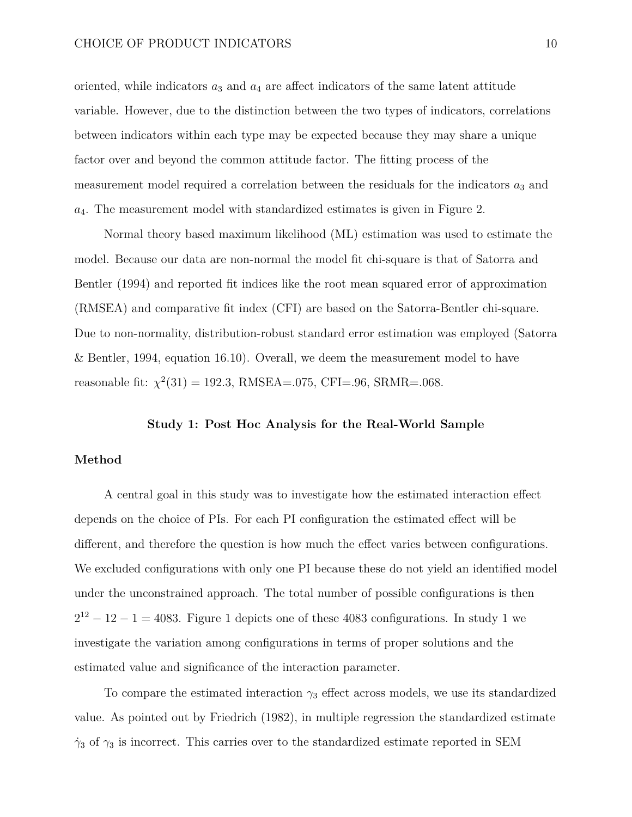oriented, while indicators  $a_3$  and  $a_4$  are affect indicators of the same latent attitude variable. However, due to the distinction between the two types of indicators, correlations between indicators within each type may be expected because they may share a unique factor over and beyond the common attitude factor. The fitting process of the measurement model required a correlation between the residuals for the indicators *a*<sup>3</sup> and *a*4. The measurement model with standardized estimates is given in Figure 2.

Normal theory based maximum likelihood (ML) estimation was used to estimate the model. Because our data are non-normal the model fit chi-square is that of Satorra and Bentler (1994) and reported fit indices like the root mean squared error of approximation (RMSEA) and comparative fit index (CFI) are based on the Satorra-Bentler chi-square. Due to non-normality, distribution-robust standard error estimation was employed (Satorra & Bentler, 1994, equation 16.10). Overall, we deem the measurement model to have reasonable fit:  $\chi^2(31) = 192.3$ , RMSEA=.075, CFI=.96, SRMR=.068.

#### **Study 1: Post Hoc Analysis for the Real-World Sample**

### **Method**

A central goal in this study was to investigate how the estimated interaction effect depends on the choice of PIs. For each PI configuration the estimated effect will be different, and therefore the question is how much the effect varies between configurations. We excluded configurations with only one PI because these do not yield an identified model under the unconstrained approach. The total number of possible configurations is then  $2^{12} - 12 - 1 = 4083$ . Figure 1 depicts one of these 4083 configurations. In study 1 we investigate the variation among configurations in terms of proper solutions and the estimated value and significance of the interaction parameter.

To compare the estimated interaction  $\gamma_3$  effect across models, we use its standardized value. As pointed out by Friedrich (1982), in multiple regression the standardized estimate  $\dot{\gamma}_3$  of  $\gamma_3$  is incorrect. This carries over to the standardized estimate reported in SEM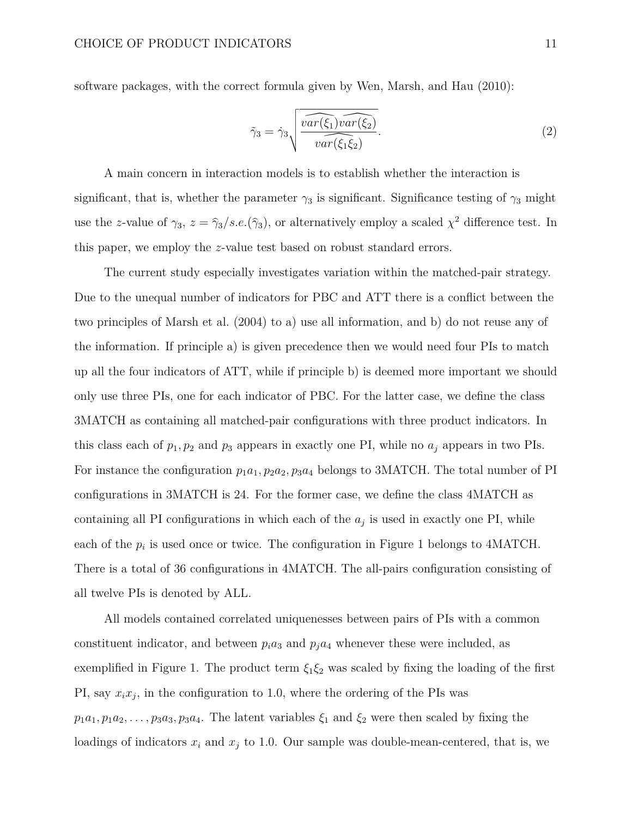software packages, with the correct formula given by Wen, Marsh, and Hau (2010):

$$
\tilde{\gamma}_3 = \dot{\gamma}_3 \sqrt{\frac{\widehat{var(\xi_1)} \widehat{var(\xi_2)}}{\widehat{var(\xi_1 \xi_2)}}}. \tag{2}
$$

A main concern in interaction models is to establish whether the interaction is significant, that is, whether the parameter  $\gamma_3$  is significant. Significance testing of  $\gamma_3$  might use the *z*-value of  $\gamma_3$ ,  $z = \hat{\gamma}_3/s.e.(\hat{\gamma}_3)$ , or alternatively employ a scaled  $\chi^2$  difference test. In this paper, we employ the *z*-value test based on robust standard errors.

The current study especially investigates variation within the matched-pair strategy. Due to the unequal number of indicators for PBC and ATT there is a conflict between the two principles of Marsh et al. (2004) to a) use all information, and b) do not reuse any of the information. If principle a) is given precedence then we would need four PIs to match up all the four indicators of ATT, while if principle b) is deemed more important we should only use three PIs, one for each indicator of PBC. For the latter case, we define the class 3MATCH as containing all matched-pair configurations with three product indicators. In this class each of  $p_1, p_2$  and  $p_3$  appears in exactly one PI, while no  $a_j$  appears in two PIs. For instance the configuration  $p_1a_1, p_2a_2, p_3a_4$  belongs to 3MATCH. The total number of PI configurations in 3MATCH is 24. For the former case, we define the class 4MATCH as containing all PI configurations in which each of the  $a_j$  is used in exactly one PI, while each of the  $p_i$  is used once or twice. The configuration in Figure 1 belongs to  $4MATCH$ . There is a total of 36 configurations in 4MATCH. The all-pairs configuration consisting of all twelve PIs is denoted by ALL.

All models contained correlated uniquenesses between pairs of PIs with a common constituent indicator, and between  $p_i a_3$  and  $p_j a_4$  whenever these were included, as exemplified in Figure 1. The product term  $\xi_1 \xi_2$  was scaled by fixing the loading of the first PI, say  $x_i x_j$ , in the configuration to 1.0, where the ordering of the PIs was  $p_1a_1, p_1a_2, \ldots, p_3a_3, p_3a_4$ . The latent variables  $\xi_1$  and  $\xi_2$  were then scaled by fixing the loadings of indicators  $x_i$  and  $x_j$  to 1.0. Our sample was double-mean-centered, that is, we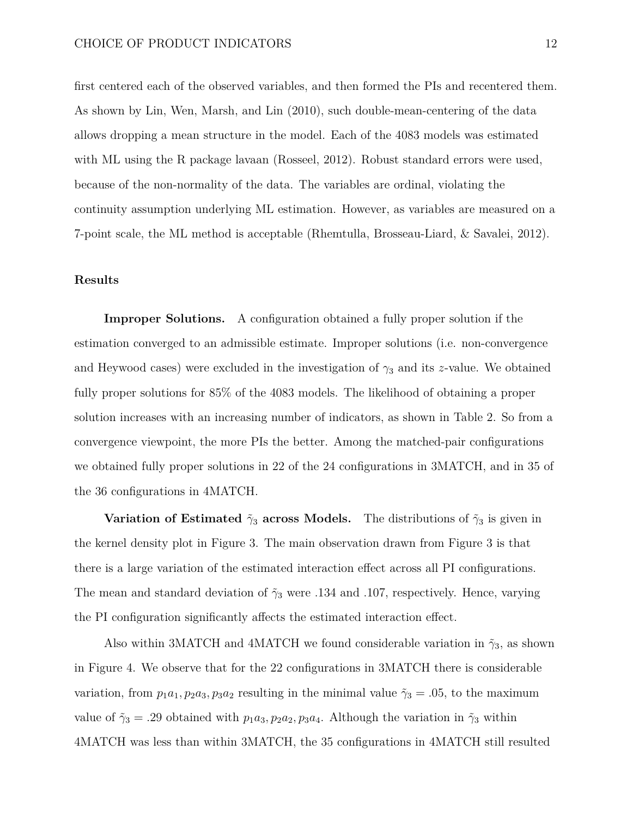first centered each of the observed variables, and then formed the PIs and recentered them. As shown by Lin, Wen, Marsh, and Lin (2010), such double-mean-centering of the data allows dropping a mean structure in the model. Each of the 4083 models was estimated with ML using the R package lavaan (Rosseel, 2012). Robust standard errors were used, because of the non-normality of the data. The variables are ordinal, violating the continuity assumption underlying ML estimation. However, as variables are measured on a 7-point scale, the ML method is acceptable (Rhemtulla, Brosseau-Liard, & Savalei, 2012).

### **Results**

**Improper Solutions.** A configuration obtained a fully proper solution if the estimation converged to an admissible estimate. Improper solutions (i.e. non-convergence and Heywood cases) were excluded in the investigation of  $\gamma_3$  and its *z*-value. We obtained fully proper solutions for 85% of the 4083 models. The likelihood of obtaining a proper solution increases with an increasing number of indicators, as shown in Table 2. So from a convergence viewpoint, the more PIs the better. Among the matched-pair configurations we obtained fully proper solutions in 22 of the 24 configurations in 3MATCH, and in 35 of the 36 configurations in 4MATCH.

**Variation of Estimated**  $\tilde{\gamma}_3$  **across Models.** The distributions of  $\tilde{\gamma}_3$  is given in the kernel density plot in Figure 3. The main observation drawn from Figure 3 is that there is a large variation of the estimated interaction effect across all PI configurations. The mean and standard deviation of  $\tilde{\gamma}_3$  were .134 and .107, respectively. Hence, varying the PI configuration significantly affects the estimated interaction effect.

Also within 3MATCH and 4MATCH we found considerable variation in  $\tilde{\gamma}_3$ , as shown in Figure 4. We observe that for the 22 configurations in 3MATCH there is considerable variation, from  $p_1a_1, p_2a_3, p_3a_2$  resulting in the minimal value  $\tilde{\gamma}_3 = .05$ , to the maximum value of  $\tilde{\gamma}_3 = .29$  obtained with  $p_1a_3, p_2a_2, p_3a_4$ . Although the variation in  $\tilde{\gamma}_3$  within 4MATCH was less than within 3MATCH, the 35 configurations in 4MATCH still resulted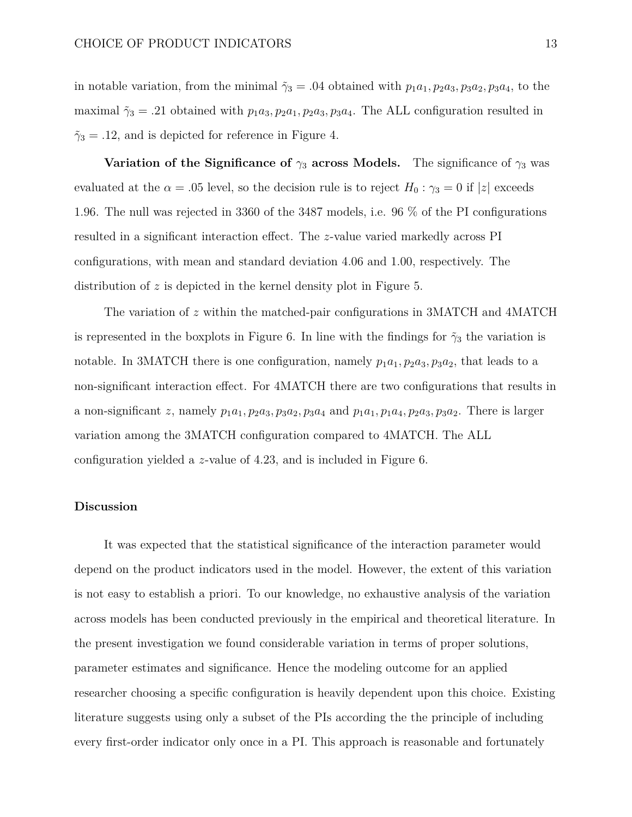in notable variation, from the minimal  $\tilde{\gamma}_3 = .04$  obtained with  $p_1a_1, p_2a_3, p_3a_2, p_3a_4$ , to the maximal  $\tilde{\gamma}_3 = .21$  obtained with  $p_1a_3, p_2a_1, p_2a_3, p_3a_4$ . The ALL configuration resulted in  $\tilde{\gamma}_3 = .12$ , and is depicted for reference in Figure 4.

**Variation of the Significance of**  $\gamma_3$  **across Models.** The significance of  $\gamma_3$  was evaluated at the  $\alpha = .05$  level, so the decision rule is to reject  $H_0: \gamma_3 = 0$  if |z| exceeds 1*.*96. The null was rejected in 3360 of the 3487 models, i.e. 96 % of the PI configurations resulted in a significant interaction effect. The *z*-value varied markedly across PI configurations, with mean and standard deviation 4*.*06 and 1*.*00, respectively. The distribution of *z* is depicted in the kernel density plot in Figure 5.

The variation of *z* within the matched-pair configurations in 3MATCH and 4MATCH is represented in the boxplots in Figure 6. In line with the findings for  $\tilde{\gamma}_3$  the variation is notable. In 3MATCH there is one configuration, namely  $p_1a_1, p_2a_3, p_3a_2$ , that leads to a non-significant interaction effect. For 4MATCH there are two configurations that results in a non-significant *z*, namely  $p_1a_1, p_2a_3, p_3a_2, p_3a_4$  and  $p_1a_1, p_1a_4, p_2a_3, p_3a_2$ . There is larger variation among the 3MATCH configuration compared to 4MATCH. The ALL configuration yielded a *z*-value of 4*.*23, and is included in Figure 6.

### **Discussion**

It was expected that the statistical significance of the interaction parameter would depend on the product indicators used in the model. However, the extent of this variation is not easy to establish a priori. To our knowledge, no exhaustive analysis of the variation across models has been conducted previously in the empirical and theoretical literature. In the present investigation we found considerable variation in terms of proper solutions, parameter estimates and significance. Hence the modeling outcome for an applied researcher choosing a specific configuration is heavily dependent upon this choice. Existing literature suggests using only a subset of the PIs according the the principle of including every first-order indicator only once in a PI. This approach is reasonable and fortunately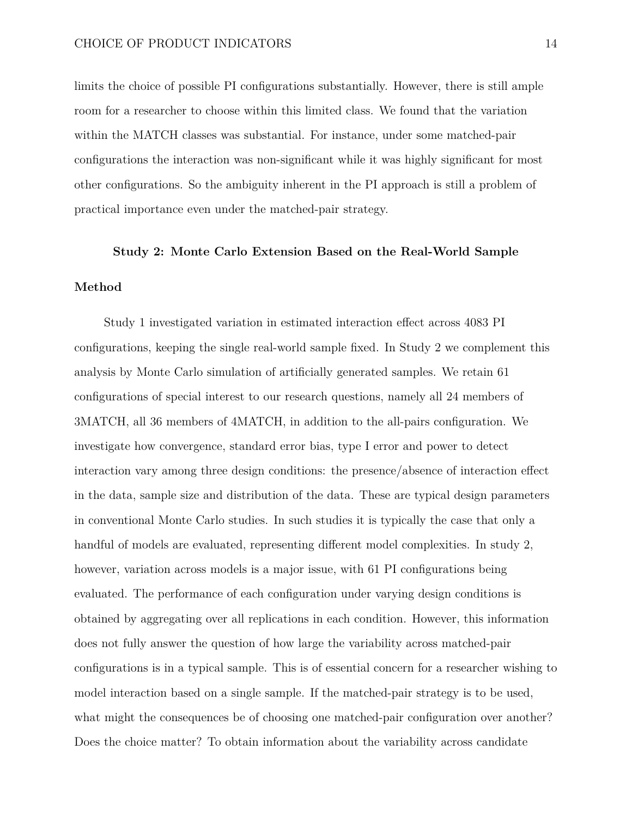limits the choice of possible PI configurations substantially. However, there is still ample room for a researcher to choose within this limited class. We found that the variation within the MATCH classes was substantial. For instance, under some matched-pair configurations the interaction was non-significant while it was highly significant for most other configurations. So the ambiguity inherent in the PI approach is still a problem of practical importance even under the matched-pair strategy.

#### **Study 2: Monte Carlo Extension Based on the Real-World Sample**

### **Method**

Study 1 investigated variation in estimated interaction effect across 4083 PI configurations, keeping the single real-world sample fixed. In Study 2 we complement this analysis by Monte Carlo simulation of artificially generated samples. We retain 61 configurations of special interest to our research questions, namely all 24 members of 3MATCH, all 36 members of 4MATCH, in addition to the all-pairs configuration. We investigate how convergence, standard error bias, type I error and power to detect interaction vary among three design conditions: the presence/absence of interaction effect in the data, sample size and distribution of the data. These are typical design parameters in conventional Monte Carlo studies. In such studies it is typically the case that only a handful of models are evaluated, representing different model complexities. In study 2, however, variation across models is a major issue, with 61 PI configurations being evaluated. The performance of each configuration under varying design conditions is obtained by aggregating over all replications in each condition. However, this information does not fully answer the question of how large the variability across matched-pair configurations is in a typical sample. This is of essential concern for a researcher wishing to model interaction based on a single sample. If the matched-pair strategy is to be used, what might the consequences be of choosing one matched-pair configuration over another? Does the choice matter? To obtain information about the variability across candidate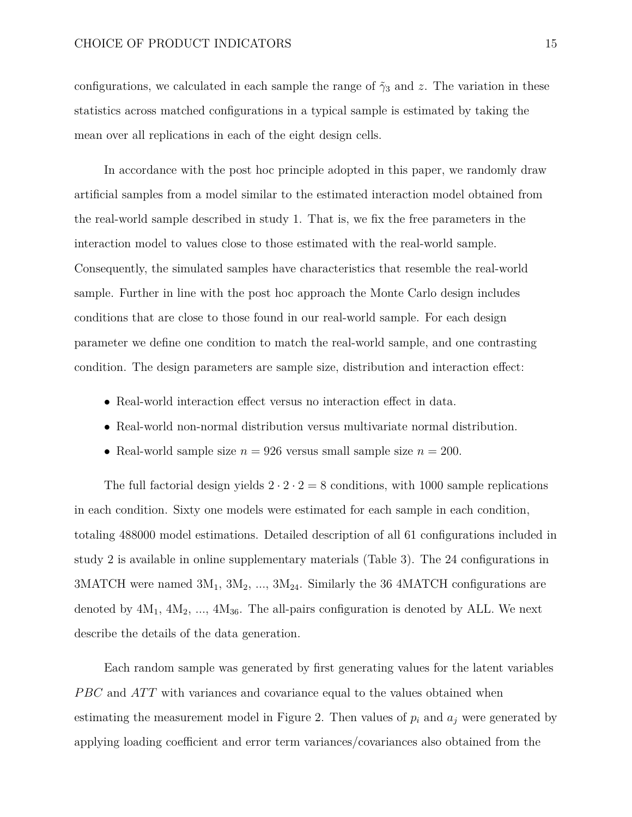configurations, we calculated in each sample the range of  $\tilde{\gamma}_3$  and *z*. The variation in these statistics across matched configurations in a typical sample is estimated by taking the mean over all replications in each of the eight design cells.

In accordance with the post hoc principle adopted in this paper, we randomly draw artificial samples from a model similar to the estimated interaction model obtained from the real-world sample described in study 1. That is, we fix the free parameters in the interaction model to values close to those estimated with the real-world sample. Consequently, the simulated samples have characteristics that resemble the real-world sample. Further in line with the post hoc approach the Monte Carlo design includes conditions that are close to those found in our real-world sample. For each design parameter we define one condition to match the real-world sample, and one contrasting condition. The design parameters are sample size, distribution and interaction effect:

- Real-world interaction effect versus no interaction effect in data.
- *•* Real-world non-normal distribution versus multivariate normal distribution.
- Real-world sample size  $n = 926$  versus small sample size  $n = 200$ .

The full factorial design yields  $2 \cdot 2 \cdot 2 = 8$  conditions, with 1000 sample replications in each condition. Sixty one models were estimated for each sample in each condition, totaling 488000 model estimations. Detailed description of all 61 configurations included in study 2 is available in online supplementary materials (Table 3). The 24 configurations in 3MATCH were named  $3M_1$ ,  $3M_2$ , ...,  $3M_{24}$ . Similarly the 36 4MATCH configurations are denoted by  $4M_1$ ,  $4M_2$ , ...,  $4M_{36}$ . The all-pairs configuration is denoted by ALL. We next describe the details of the data generation.

Each random sample was generated by first generating values for the latent variables *PBC* and *ATT* with variances and covariance equal to the values obtained when estimating the measurement model in Figure 2. Then values of  $p_i$  and  $a_j$  were generated by applying loading coefficient and error term variances/covariances also obtained from the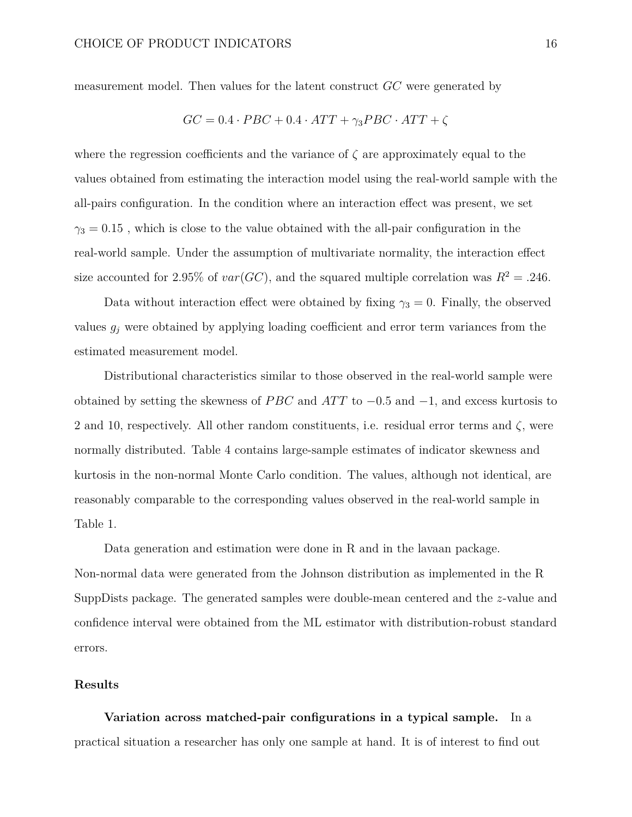measurement model. Then values for the latent construct *GC* were generated by

$$
GC = 0.4 \cdot PBC + 0.4 \cdot ATT + \gamma_3 PBC \cdot ATT + \zeta
$$

where the regression coefficients and the variance of  $\zeta$  are approximately equal to the values obtained from estimating the interaction model using the real-world sample with the all-pairs configuration. In the condition where an interaction effect was present, we set  $\gamma_3 = 0.15$ , which is close to the value obtained with the all-pair configuration in the real-world sample. Under the assumption of multivariate normality, the interaction effect size accounted for 2.95% of  $var(GC)$ , and the squared multiple correlation was  $R^2 = .246$ .

Data without interaction effect were obtained by fixing  $\gamma_3 = 0$ . Finally, the observed values  $g_j$  were obtained by applying loading coefficient and error term variances from the estimated measurement model.

Distributional characteristics similar to those observed in the real-world sample were obtained by setting the skewness of *PBC* and  $ATT$  to  $-0.5$  and  $-1$ , and excess kurtosis to 2 and 10, respectively. All other random constituents, i.e. residual error terms and  $\zeta$ , were normally distributed. Table 4 contains large-sample estimates of indicator skewness and kurtosis in the non-normal Monte Carlo condition. The values, although not identical, are reasonably comparable to the corresponding values observed in the real-world sample in Table 1.

Data generation and estimation were done in R and in the lavaan package. Non-normal data were generated from the Johnson distribution as implemented in the R SuppDists package. The generated samples were double-mean centered and the *z*-value and confidence interval were obtained from the ML estimator with distribution-robust standard errors.

### **Results**

**Variation across matched-pair configurations in a typical sample.** In a practical situation a researcher has only one sample at hand. It is of interest to find out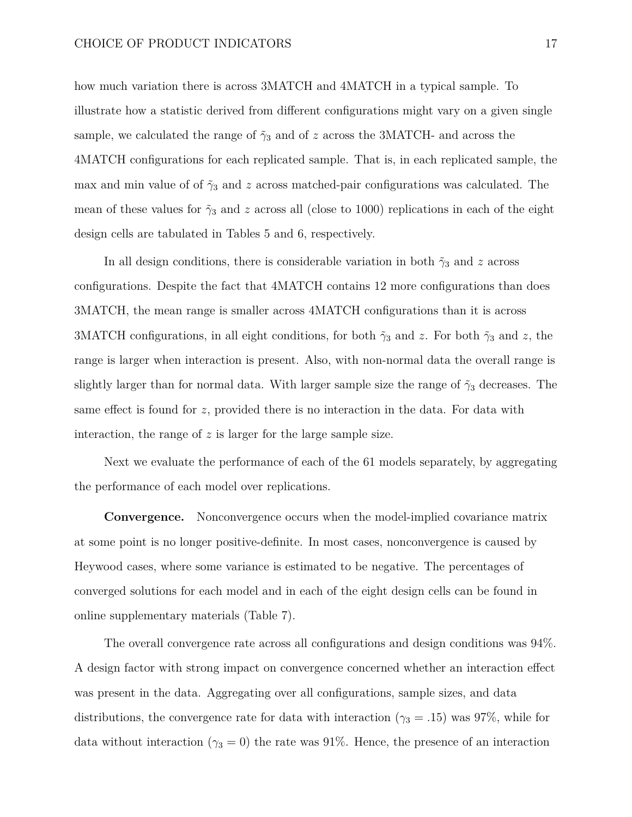how much variation there is across 3MATCH and 4MATCH in a typical sample. To illustrate how a statistic derived from different configurations might vary on a given single sample, we calculated the range of  $\tilde{\gamma}_3$  and of *z* across the 3MATCH- and across the 4MATCH configurations for each replicated sample. That is, in each replicated sample, the max and min value of of  $\tilde{\gamma}_3$  and *z* across matched-pair configurations was calculated. The mean of these values for  $\tilde{\gamma}_3$  and *z* across all (close to 1000) replications in each of the eight design cells are tabulated in Tables 5 and 6, respectively.

In all design conditions, there is considerable variation in both  $\tilde{\gamma}_3$  and *z* across configurations. Despite the fact that 4MATCH contains 12 more configurations than does 3MATCH, the mean range is smaller across 4MATCH configurations than it is across 3MATCH configurations, in all eight conditions, for both  $\tilde{\gamma}_3$  and *z*. For both  $\tilde{\gamma}_3$  and *z*, the range is larger when interaction is present. Also, with non-normal data the overall range is slightly larger than for normal data. With larger sample size the range of  $\tilde{\gamma}_3$  decreases. The same effect is found for  $z$ , provided there is no interaction in the data. For data with interaction, the range of *z* is larger for the large sample size.

Next we evaluate the performance of each of the 61 models separately, by aggregating the performance of each model over replications.

**Convergence.** Nonconvergence occurs when the model-implied covariance matrix at some point is no longer positive-definite. In most cases, nonconvergence is caused by Heywood cases, where some variance is estimated to be negative. The percentages of converged solutions for each model and in each of the eight design cells can be found in online supplementary materials (Table 7).

The overall convergence rate across all configurations and design conditions was 94%. A design factor with strong impact on convergence concerned whether an interaction effect was present in the data. Aggregating over all configurations, sample sizes, and data distributions, the convergence rate for data with interaction ( $\gamma_3 = .15$ ) was 97%, while for data without interaction ( $\gamma_3 = 0$ ) the rate was 91%. Hence, the presence of an interaction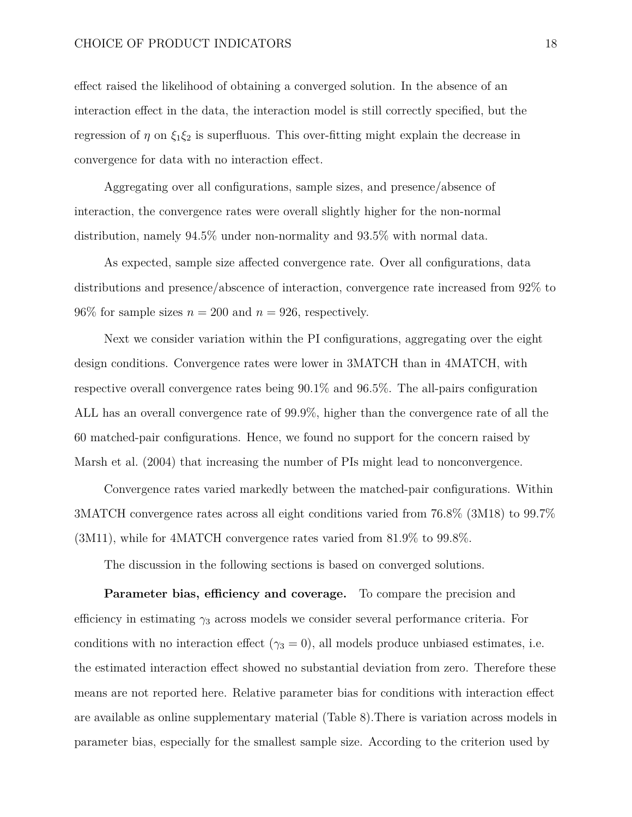effect raised the likelihood of obtaining a converged solution. In the absence of an interaction effect in the data, the interaction model is still correctly specified, but the regression of  $\eta$  on  $\xi_1 \xi_2$  is superfluous. This over-fitting might explain the decrease in convergence for data with no interaction effect.

Aggregating over all configurations, sample sizes, and presence/absence of interaction, the convergence rates were overall slightly higher for the non-normal distribution, namely 94.5% under non-normality and 93.5% with normal data.

As expected, sample size affected convergence rate. Over all configurations, data distributions and presence/abscence of interaction, convergence rate increased from 92% to  $96\%$  for sample sizes  $n = 200$  and  $n = 926$ , respectively.

Next we consider variation within the PI configurations, aggregating over the eight design conditions. Convergence rates were lower in 3MATCH than in 4MATCH, with respective overall convergence rates being 90.1% and 96.5%. The all-pairs configuration ALL has an overall convergence rate of 99.9%, higher than the convergence rate of all the 60 matched-pair configurations. Hence, we found no support for the concern raised by Marsh et al. (2004) that increasing the number of PIs might lead to nonconvergence.

Convergence rates varied markedly between the matched-pair configurations. Within 3MATCH convergence rates across all eight conditions varied from 76.8% (3M18) to 99.7% (3M11), while for 4MATCH convergence rates varied from 81.9% to 99.8%.

The discussion in the following sections is based on converged solutions.

**Parameter bias, efficiency and coverage.** To compare the precision and efficiency in estimating  $\gamma_3$  across models we consider several performance criteria. For conditions with no interaction effect  $(\gamma_3 = 0)$ , all models produce unbiased estimates, i.e. the estimated interaction effect showed no substantial deviation from zero. Therefore these means are not reported here. Relative parameter bias for conditions with interaction effect are available as online supplementary material (Table 8).There is variation across models in parameter bias, especially for the smallest sample size. According to the criterion used by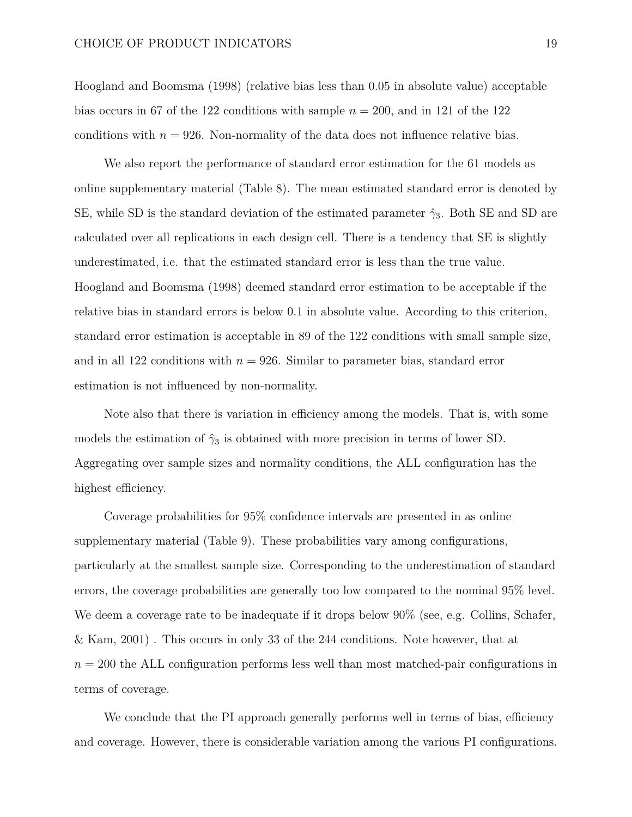Hoogland and Boomsma (1998) (relative bias less than 0*.*05 in absolute value) acceptable bias occurs in 67 of the 122 conditions with sample  $n = 200$ , and in 121 of the 122 conditions with  $n = 926$ . Non-normality of the data does not influence relative bias.

We also report the performance of standard error estimation for the 61 models as online supplementary material (Table 8). The mean estimated standard error is denoted by SE, while SD is the standard deviation of the estimated parameter  $\hat{\gamma}_3$ . Both SE and SD are calculated over all replications in each design cell. There is a tendency that SE is slightly underestimated, i.e. that the estimated standard error is less than the true value. Hoogland and Boomsma (1998) deemed standard error estimation to be acceptable if the relative bias in standard errors is below 0*.*1 in absolute value. According to this criterion, standard error estimation is acceptable in 89 of the 122 conditions with small sample size, and in all 122 conditions with  $n = 926$ . Similar to parameter bias, standard error estimation is not influenced by non-normality.

Note also that there is variation in efficiency among the models. That is, with some models the estimation of  $\hat{\gamma}_3$  is obtained with more precision in terms of lower SD. Aggregating over sample sizes and normality conditions, the ALL configuration has the highest efficiency.

Coverage probabilities for 95% confidence intervals are presented in as online supplementary material (Table 9). These probabilities vary among configurations, particularly at the smallest sample size. Corresponding to the underestimation of standard errors, the coverage probabilities are generally too low compared to the nominal 95% level. We deem a coverage rate to be inadequate if it drops below 90% (see, e.g. Collins, Schafer, & Kam, 2001) . This occurs in only 33 of the 244 conditions. Note however, that at  $n = 200$  the ALL configuration performs less well than most matched-pair configurations in terms of coverage.

We conclude that the PI approach generally performs well in terms of bias, efficiency and coverage. However, there is considerable variation among the various PI configurations.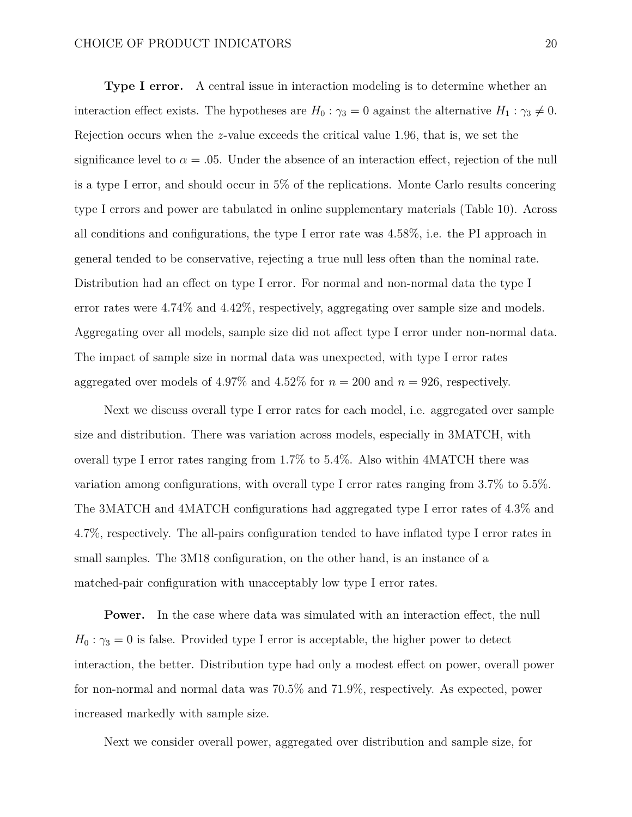**Type I error.** A central issue in interaction modeling is to determine whether an interaction effect exists. The hypotheses are  $H_0$ :  $\gamma_3 = 0$  against the alternative  $H_1$ :  $\gamma_3 \neq 0$ . Rejection occurs when the *z*-value exceeds the critical value 1*.*96, that is, we set the significance level to  $\alpha = 0.05$ . Under the absence of an interaction effect, rejection of the null is a type I error, and should occur in 5% of the replications. Monte Carlo results concering type I errors and power are tabulated in online supplementary materials (Table 10). Across all conditions and configurations, the type I error rate was 4.58%, i.e. the PI approach in general tended to be conservative, rejecting a true null less often than the nominal rate. Distribution had an effect on type I error. For normal and non-normal data the type I error rates were 4.74% and 4.42%, respectively, aggregating over sample size and models. Aggregating over all models, sample size did not affect type I error under non-normal data. The impact of sample size in normal data was unexpected, with type I error rates aggregated over models of 4.97% and 4.52% for  $n = 200$  and  $n = 926$ , respectively.

Next we discuss overall type I error rates for each model, i.e. aggregated over sample size and distribution. There was variation across models, especially in 3MATCH, with overall type I error rates ranging from 1.7% to 5.4%. Also within 4MATCH there was variation among configurations, with overall type I error rates ranging from 3.7% to 5.5%. The 3MATCH and 4MATCH configurations had aggregated type I error rates of 4.3% and 4.7%, respectively. The all-pairs configuration tended to have inflated type I error rates in small samples. The 3M18 configuration, on the other hand, is an instance of a matched-pair configuration with unacceptably low type I error rates.

**Power.** In the case where data was simulated with an interaction effect, the null  $H_0$ :  $\gamma_3 = 0$  is false. Provided type I error is acceptable, the higher power to detect interaction, the better. Distribution type had only a modest effect on power, overall power for non-normal and normal data was 70.5% and 71.9%, respectively. As expected, power increased markedly with sample size.

Next we consider overall power, aggregated over distribution and sample size, for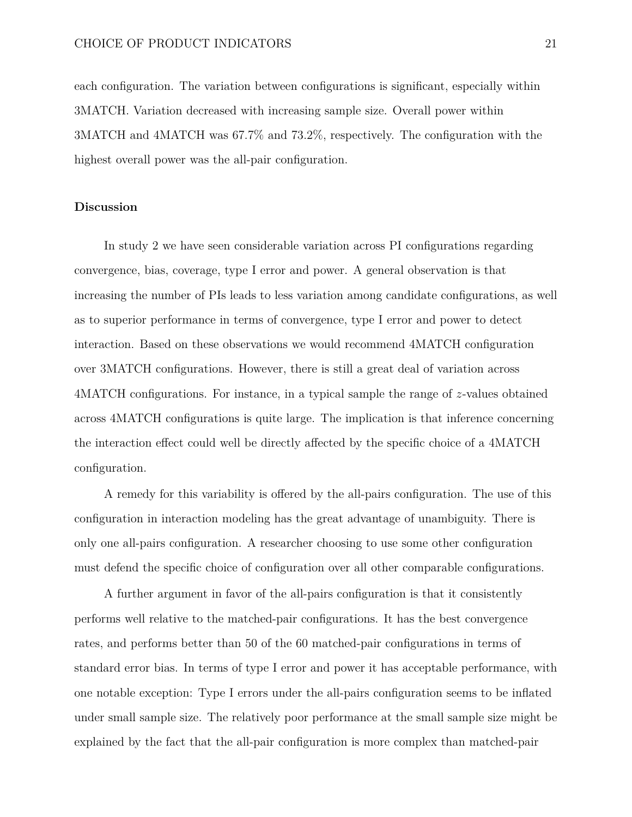each configuration. The variation between configurations is significant, especially within 3MATCH. Variation decreased with increasing sample size. Overall power within 3MATCH and 4MATCH was 67.7% and 73.2%, respectively. The configuration with the highest overall power was the all-pair configuration.

### **Discussion**

In study 2 we have seen considerable variation across PI configurations regarding convergence, bias, coverage, type I error and power. A general observation is that increasing the number of PIs leads to less variation among candidate configurations, as well as to superior performance in terms of convergence, type I error and power to detect interaction. Based on these observations we would recommend 4MATCH configuration over 3MATCH configurations. However, there is still a great deal of variation across 4MATCH configurations. For instance, in a typical sample the range of *z*-values obtained across 4MATCH configurations is quite large. The implication is that inference concerning the interaction effect could well be directly affected by the specific choice of a 4MATCH configuration.

A remedy for this variability is offered by the all-pairs configuration. The use of this configuration in interaction modeling has the great advantage of unambiguity. There is only one all-pairs configuration. A researcher choosing to use some other configuration must defend the specific choice of configuration over all other comparable configurations.

A further argument in favor of the all-pairs configuration is that it consistently performs well relative to the matched-pair configurations. It has the best convergence rates, and performs better than 50 of the 60 matched-pair configurations in terms of standard error bias. In terms of type I error and power it has acceptable performance, with one notable exception: Type I errors under the all-pairs configuration seems to be inflated under small sample size. The relatively poor performance at the small sample size might be explained by the fact that the all-pair configuration is more complex than matched-pair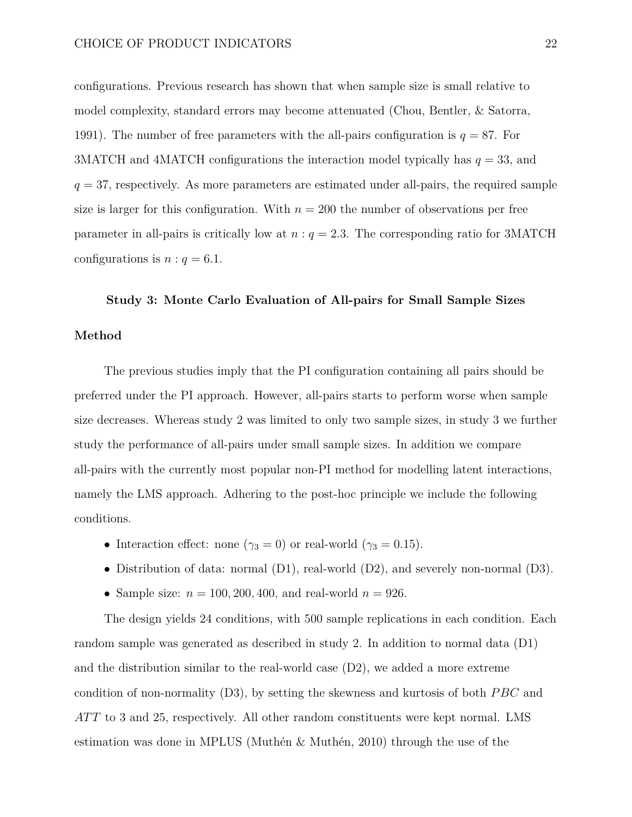configurations. Previous research has shown that when sample size is small relative to model complexity, standard errors may become attenuated (Chou, Bentler, & Satorra, 1991). The number of free parameters with the all-pairs configuration is  $q = 87$ . For 3MATCH and 4MATCH configurations the interaction model typically has *q* = 33, and  $q = 37$ , respectively. As more parameters are estimated under all-pairs, the required sample size is larger for this configuration. With  $n = 200$  the number of observations per free parameter in all-pairs is critically low at  $n: q = 2.3$ . The corresponding ratio for 3MATCH configurations is  $n: q = 6.1$ .

#### **Study 3: Monte Carlo Evaluation of All-pairs for Small Sample Sizes**

#### **Method**

The previous studies imply that the PI configuration containing all pairs should be preferred under the PI approach. However, all-pairs starts to perform worse when sample size decreases. Whereas study 2 was limited to only two sample sizes, in study 3 we further study the performance of all-pairs under small sample sizes. In addition we compare all-pairs with the currently most popular non-PI method for modelling latent interactions, namely the LMS approach. Adhering to the post-hoc principle we include the following conditions.

- Interaction effect: none ( $\gamma_3 = 0$ ) or real-world ( $\gamma_3 = 0.15$ ).
- Distribution of data: normal (D1), real-world (D2), and severely non-normal (D3).
- Sample size:  $n = 100, 200, 400,$  and real-world  $n = 926$ .

The design yields 24 conditions, with 500 sample replications in each condition. Each random sample was generated as described in study 2. In addition to normal data (D1) and the distribution similar to the real-world case (D2), we added a more extreme condition of non-normality (D3), by setting the skewness and kurtosis of both *PBC* and *ATT* to 3 and 25, respectively. All other random constituents were kept normal. LMS estimation was done in MPLUS (Muthén & Muthén, 2010) through the use of the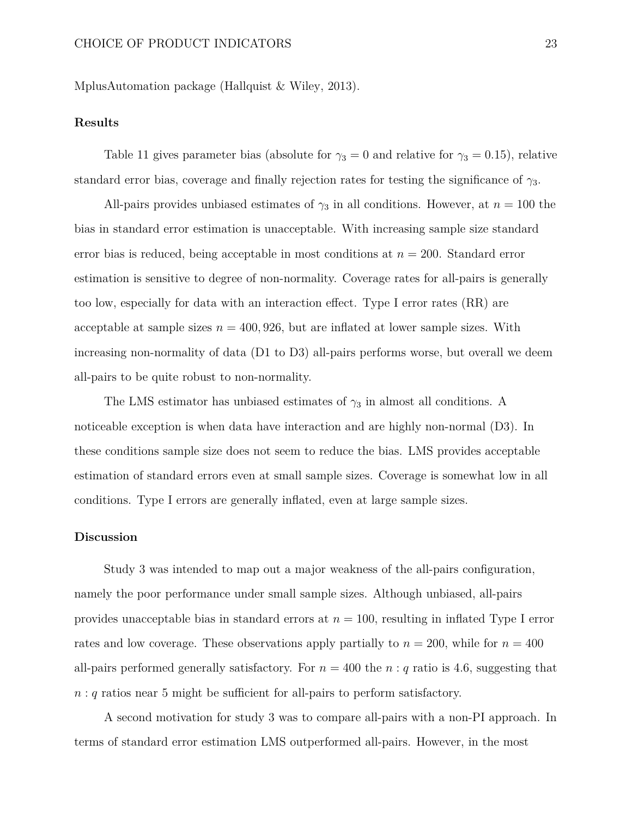MplusAutomation package (Hallquist & Wiley, 2013).

#### **Results**

Table 11 gives parameter bias (absolute for  $\gamma_3 = 0$  and relative for  $\gamma_3 = 0.15$ ), relative standard error bias, coverage and finally rejection rates for testing the significance of  $\gamma_3$ .

All-pairs provides unbiased estimates of  $\gamma_3$  in all conditions. However, at  $n = 100$  the bias in standard error estimation is unacceptable. With increasing sample size standard error bias is reduced, being acceptable in most conditions at *n* = 200. Standard error estimation is sensitive to degree of non-normality. Coverage rates for all-pairs is generally too low, especially for data with an interaction effect. Type I error rates  $(RR)$  are acceptable at sample sizes  $n = 400,926$ , but are inflated at lower sample sizes. With increasing non-normality of data (D1 to D3) all-pairs performs worse, but overall we deem all-pairs to be quite robust to non-normality.

The LMS estimator has unbiased estimates of  $\gamma_3$  in almost all conditions. A noticeable exception is when data have interaction and are highly non-normal (D3). In these conditions sample size does not seem to reduce the bias. LMS provides acceptable estimation of standard errors even at small sample sizes. Coverage is somewhat low in all conditions. Type I errors are generally inflated, even at large sample sizes.

### **Discussion**

Study 3 was intended to map out a major weakness of the all-pairs configuration, namely the poor performance under small sample sizes. Although unbiased, all-pairs provides unacceptable bias in standard errors at *n* = 100, resulting in inflated Type I error rates and low coverage. These observations apply partially to  $n = 200$ , while for  $n = 400$ all-pairs performed generally satisfactory. For  $n = 400$  the  $n : q$  ratio is 4.6, suggesting that  $n: q$  ratios near 5 might be sufficient for all-pairs to perform satisfactory.

A second motivation for study 3 was to compare all-pairs with a non-PI approach. In terms of standard error estimation LMS outperformed all-pairs. However, in the most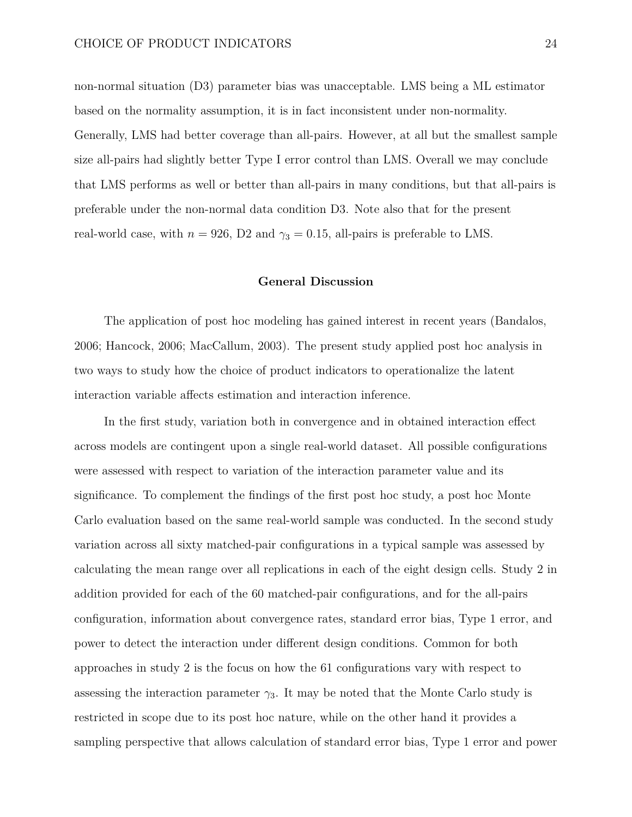non-normal situation (D3) parameter bias was unacceptable. LMS being a ML estimator based on the normality assumption, it is in fact inconsistent under non-normality. Generally, LMS had better coverage than all-pairs. However, at all but the smallest sample size all-pairs had slightly better Type I error control than LMS. Overall we may conclude that LMS performs as well or better than all-pairs in many conditions, but that all-pairs is preferable under the non-normal data condition D3. Note also that for the present real-world case, with  $n = 926$ , D2 and  $\gamma_3 = 0.15$ , all-pairs is preferable to LMS.

#### **General Discussion**

The application of post hoc modeling has gained interest in recent years (Bandalos, 2006; Hancock, 2006; MacCallum, 2003). The present study applied post hoc analysis in two ways to study how the choice of product indicators to operationalize the latent interaction variable affects estimation and interaction inference.

In the first study, variation both in convergence and in obtained interaction effect across models are contingent upon a single real-world dataset. All possible configurations were assessed with respect to variation of the interaction parameter value and its significance. To complement the findings of the first post hoc study, a post hoc Monte Carlo evaluation based on the same real-world sample was conducted. In the second study variation across all sixty matched-pair configurations in a typical sample was assessed by calculating the mean range over all replications in each of the eight design cells. Study 2 in addition provided for each of the 60 matched-pair configurations, and for the all-pairs configuration, information about convergence rates, standard error bias, Type 1 error, and power to detect the interaction under different design conditions. Common for both approaches in study 2 is the focus on how the 61 configurations vary with respect to assessing the interaction parameter  $\gamma_3$ . It may be noted that the Monte Carlo study is restricted in scope due to its post hoc nature, while on the other hand it provides a sampling perspective that allows calculation of standard error bias, Type 1 error and power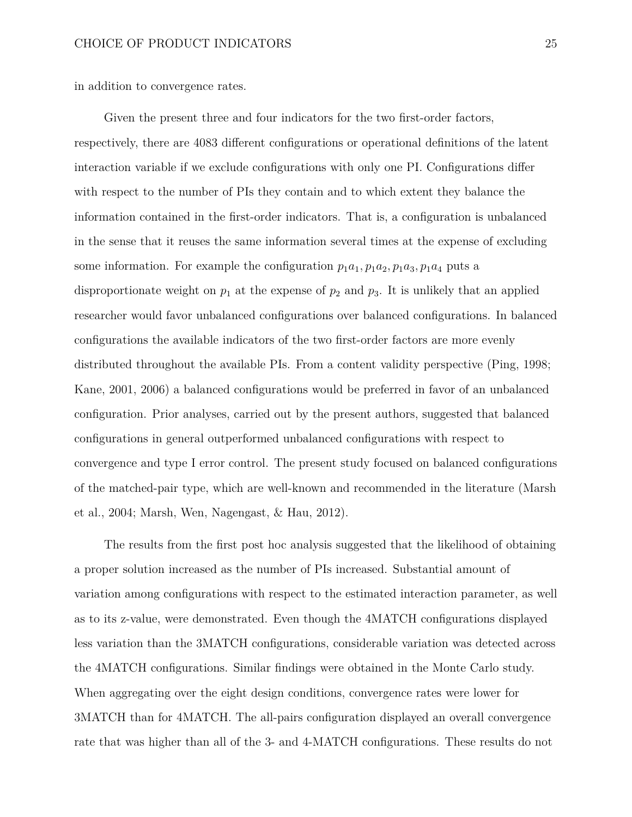in addition to convergence rates.

Given the present three and four indicators for the two first-order factors, respectively, there are 4083 different configurations or operational definitions of the latent interaction variable if we exclude configurations with only one PI. Configurations differ with respect to the number of PIs they contain and to which extent they balance the information contained in the first-order indicators. That is, a configuration is unbalanced in the sense that it reuses the same information several times at the expense of excluding some information. For example the configuration  $p_1a_1, p_1a_2, p_1a_3, p_1a_4$  puts a disproportionate weight on  $p_1$  at the expense of  $p_2$  and  $p_3$ . It is unlikely that an applied researcher would favor unbalanced configurations over balanced configurations. In balanced configurations the available indicators of the two first-order factors are more evenly distributed throughout the available PIs. From a content validity perspective (Ping, 1998; Kane, 2001, 2006) a balanced configurations would be preferred in favor of an unbalanced configuration. Prior analyses, carried out by the present authors, suggested that balanced configurations in general outperformed unbalanced configurations with respect to convergence and type I error control. The present study focused on balanced configurations of the matched-pair type, which are well-known and recommended in the literature (Marsh et al., 2004; Marsh, Wen, Nagengast, & Hau, 2012).

The results from the first post hoc analysis suggested that the likelihood of obtaining a proper solution increased as the number of PIs increased. Substantial amount of variation among configurations with respect to the estimated interaction parameter, as well as to its z-value, were demonstrated. Even though the 4MATCH configurations displayed less variation than the 3MATCH configurations, considerable variation was detected across the 4MATCH configurations. Similar findings were obtained in the Monte Carlo study. When aggregating over the eight design conditions, convergence rates were lower for 3MATCH than for 4MATCH. The all-pairs configuration displayed an overall convergence rate that was higher than all of the 3- and 4-MATCH configurations. These results do not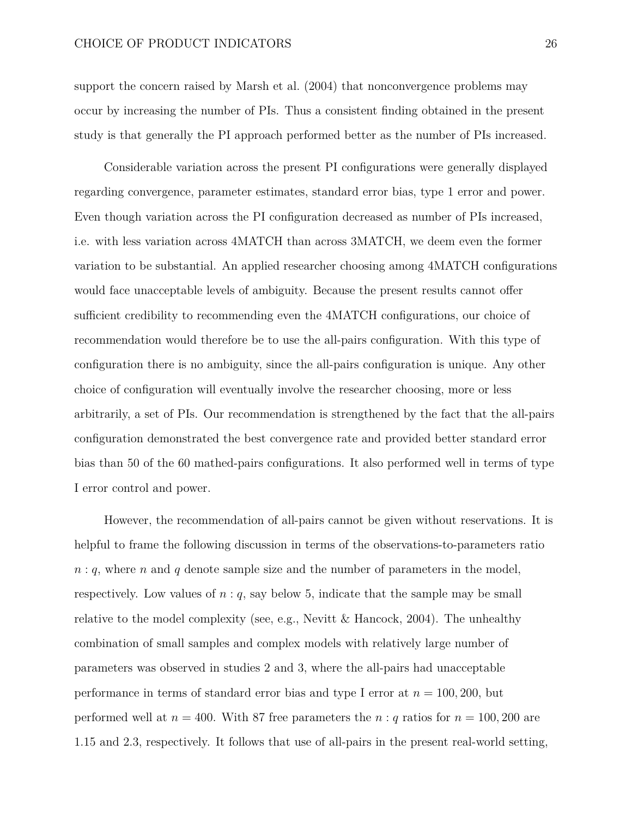support the concern raised by Marsh et al. (2004) that nonconvergence problems may occur by increasing the number of PIs. Thus a consistent finding obtained in the present study is that generally the PI approach performed better as the number of PIs increased.

Considerable variation across the present PI configurations were generally displayed regarding convergence, parameter estimates, standard error bias, type 1 error and power. Even though variation across the PI configuration decreased as number of PIs increased, i.e. with less variation across 4MATCH than across 3MATCH, we deem even the former variation to be substantial. An applied researcher choosing among 4MATCH configurations would face unacceptable levels of ambiguity. Because the present results cannot offer sufficient credibility to recommending even the 4MATCH configurations, our choice of recommendation would therefore be to use the all-pairs configuration. With this type of configuration there is no ambiguity, since the all-pairs configuration is unique. Any other choice of configuration will eventually involve the researcher choosing, more or less arbitrarily, a set of PIs. Our recommendation is strengthened by the fact that the all-pairs configuration demonstrated the best convergence rate and provided better standard error bias than 50 of the 60 mathed-pairs configurations. It also performed well in terms of type I error control and power.

However, the recommendation of all-pairs cannot be given without reservations. It is helpful to frame the following discussion in terms of the observations-to-parameters ratio  $n: q$ , where  $n$  and  $q$  denote sample size and the number of parameters in the model, respectively. Low values of  $n: q$ , say below 5, indicate that the sample may be small relative to the model complexity (see, e.g., Nevitt & Hancock, 2004). The unhealthy combination of small samples and complex models with relatively large number of parameters was observed in studies 2 and 3, where the all-pairs had unacceptable performance in terms of standard error bias and type I error at  $n = 100, 200$ , but performed well at  $n = 400$ . With 87 free parameters the *n* : *q* ratios for  $n = 100, 200$  are 1*.*15 and 2*.*3, respectively. It follows that use of all-pairs in the present real-world setting,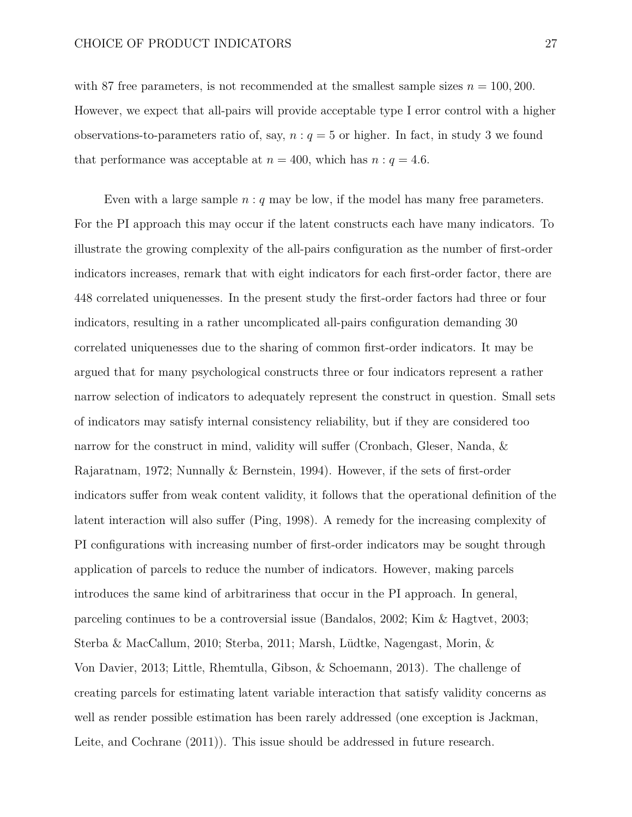with 87 free parameters, is not recommended at the smallest sample sizes  $n = 100, 200$ . However, we expect that all-pairs will provide acceptable type I error control with a higher observations-to-parameters ratio of, say,  $n: q = 5$  or higher. In fact, in study 3 we found that performance was acceptable at  $n = 400$ , which has  $n : q = 4.6$ .

Even with a large sample  $n : q$  may be low, if the model has many free parameters. For the PI approach this may occur if the latent constructs each have many indicators. To illustrate the growing complexity of the all-pairs configuration as the number of first-order indicators increases, remark that with eight indicators for each first-order factor, there are 448 correlated uniquenesses. In the present study the first-order factors had three or four indicators, resulting in a rather uncomplicated all-pairs configuration demanding 30 correlated uniquenesses due to the sharing of common first-order indicators. It may be argued that for many psychological constructs three or four indicators represent a rather narrow selection of indicators to adequately represent the construct in question. Small sets of indicators may satisfy internal consistency reliability, but if they are considered too narrow for the construct in mind, validity will suffer (Cronbach, Gleser, Nanda,  $\&$ Rajaratnam, 1972; Nunnally & Bernstein, 1994). However, if the sets of first-order indicators suffer from weak content validity, it follows that the operational definition of the latent interaction will also suffer (Ping, 1998). A remedy for the increasing complexity of PI configurations with increasing number of first-order indicators may be sought through application of parcels to reduce the number of indicators. However, making parcels introduces the same kind of arbitrariness that occur in the PI approach. In general, parceling continues to be a controversial issue (Bandalos, 2002; Kim & Hagtvet, 2003; Sterba & MacCallum, 2010; Sterba, 2011; Marsh, Lüdtke, Nagengast, Morin, & Von Davier, 2013; Little, Rhemtulla, Gibson, & Schoemann, 2013). The challenge of creating parcels for estimating latent variable interaction that satisfy validity concerns as well as render possible estimation has been rarely addressed (one exception is Jackman, Leite, and Cochrane  $(2011)$ ). This issue should be addressed in future research.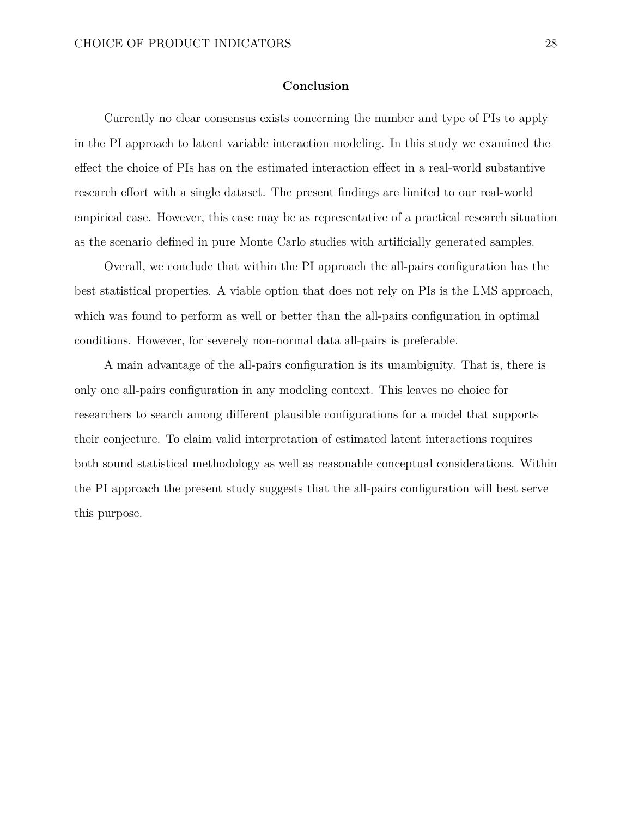### **Conclusion**

Currently no clear consensus exists concerning the number and type of PIs to apply in the PI approach to latent variable interaction modeling. In this study we examined the effect the choice of PIs has on the estimated interaction effect in a real-world substantive research effort with a single dataset. The present findings are limited to our real-world empirical case. However, this case may be as representative of a practical research situation as the scenario defined in pure Monte Carlo studies with artificially generated samples.

Overall, we conclude that within the PI approach the all-pairs configuration has the best statistical properties. A viable option that does not rely on PIs is the LMS approach, which was found to perform as well or better than the all-pairs configuration in optimal conditions. However, for severely non-normal data all-pairs is preferable.

A main advantage of the all-pairs configuration is its unambiguity. That is, there is only one all-pairs configuration in any modeling context. This leaves no choice for researchers to search among different plausible configurations for a model that supports their conjecture. To claim valid interpretation of estimated latent interactions requires both sound statistical methodology as well as reasonable conceptual considerations. Within the PI approach the present study suggests that the all-pairs configuration will best serve this purpose.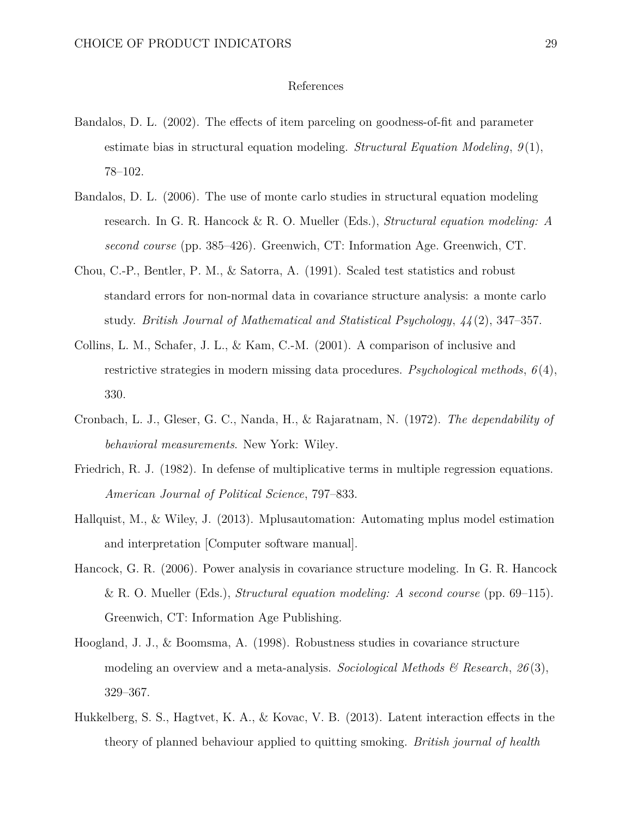#### References

- Bandalos, D. L. (2002). The effects of item parceling on goodness-of-fit and parameter estimate bias in structural equation modeling. *Structural Equation Modeling*, *9* (1), 78–102.
- Bandalos, D. L. (2006). The use of monte carlo studies in structural equation modeling research. In G. R. Hancock & R. O. Mueller (Eds.), *Structural equation modeling: A second course* (pp. 385–426). Greenwich, CT: Information Age. Greenwich, CT.
- Chou, C.-P., Bentler, P. M., & Satorra, A. (1991). Scaled test statistics and robust standard errors for non-normal data in covariance structure analysis: a monte carlo study. *British Journal of Mathematical and Statistical Psychology*, *44* (2), 347–357.
- Collins, L. M., Schafer, J. L., & Kam, C.-M. (2001). A comparison of inclusive and restrictive strategies in modern missing data procedures. *Psychological methods*, *6* (4), 330.
- Cronbach, L. J., Gleser, G. C., Nanda, H., & Rajaratnam, N. (1972). *The dependability of behavioral measurements*. New York: Wiley.
- Friedrich, R. J. (1982). In defense of multiplicative terms in multiple regression equations. *American Journal of Political Science*, 797–833.
- Hallquist, M., & Wiley, J. (2013). Mplusautomation: Automating mplus model estimation and interpretation [Computer software manual].
- Hancock, G. R. (2006). Power analysis in covariance structure modeling. In G. R. Hancock & R. O. Mueller (Eds.), *Structural equation modeling: A second course* (pp. 69–115). Greenwich, CT: Information Age Publishing.
- Hoogland, J. J., & Boomsma, A. (1998). Robustness studies in covariance structure modeling an overview and a meta-analysis. *Sociological Methods & Research*, *26* (3), 329–367.
- Hukkelberg, S. S., Hagtvet, K. A., & Kovac, V. B.  $(2013)$ . Latent interaction effects in the theory of planned behaviour applied to quitting smoking. *British journal of health*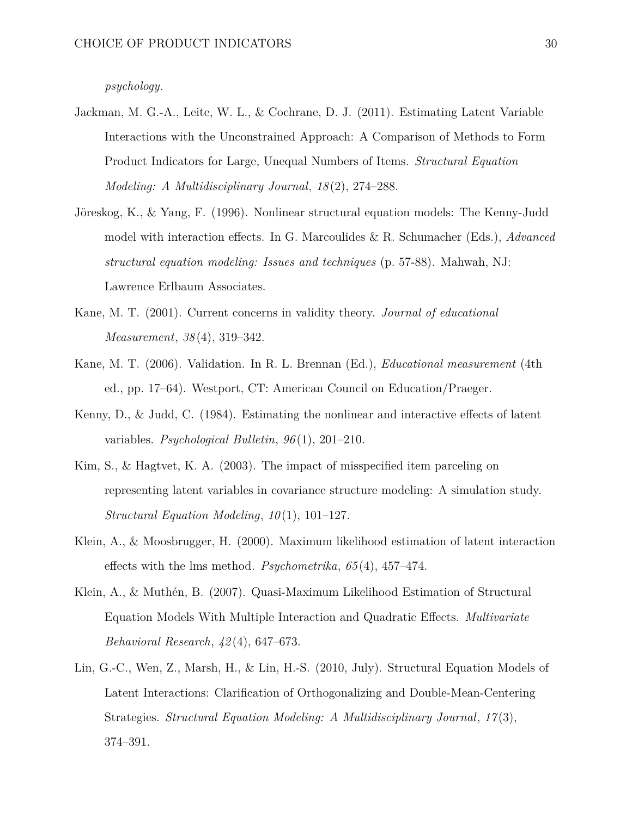*psychology*.

- Jackman, M. G.-A., Leite, W. L., & Cochrane, D. J. (2011). Estimating Latent Variable Interactions with the Unconstrained Approach: A Comparison of Methods to Form Product Indicators for Large, Unequal Numbers of Items. *Structural Equation Modeling: A Multidisciplinary Journal*, *18* (2), 274–288.
- Jöreskog, K., & Yang, F. (1996). Nonlinear structural equation models: The Kenny-Judd model with interaction effects. In G. Marcoulides & R. Schumacher (Eds.), *Advanced structural equation modeling: Issues and techniques* (p. 57-88). Mahwah, NJ: Lawrence Erlbaum Associates.
- Kane, M. T. (2001). Current concerns in validity theory. *Journal of educational Measurement*, *38* (4), 319–342.
- Kane, M. T. (2006). Validation. In R. L. Brennan (Ed.), *Educational measurement* (4th ed., pp. 17–64). Westport, CT: American Council on Education/Praeger.
- Kenny, D., & Judd, C.  $(1984)$ . Estimating the nonlinear and interactive effects of latent variables. *Psychological Bulletin*, *96* (1), 201–210.
- Kim, S., & Hagtvet, K. A. (2003). The impact of misspecified item parceling on representing latent variables in covariance structure modeling: A simulation study. *Structural Equation Modeling*, *10* (1), 101–127.
- Klein, A., & Moosbrugger, H. (2000). Maximum likelihood estimation of latent interaction effects with the lms method. *Psychometrika*,  $65(4)$ ,  $457-474$ .
- Klein, A., & Muthén, B. (2007). Quasi-Maximum Likelihood Estimation of Structural Equation Models With Multiple Interaction and Quadratic Effects. *Multivariate Behavioral Research*, *42* (4), 647–673.
- Lin, G.-C., Wen, Z., Marsh, H., & Lin, H.-S. (2010, July). Structural Equation Models of Latent Interactions: Clarification of Orthogonalizing and Double-Mean-Centering Strategies. *Structural Equation Modeling: A Multidisciplinary Journal*, *17* (3), 374–391.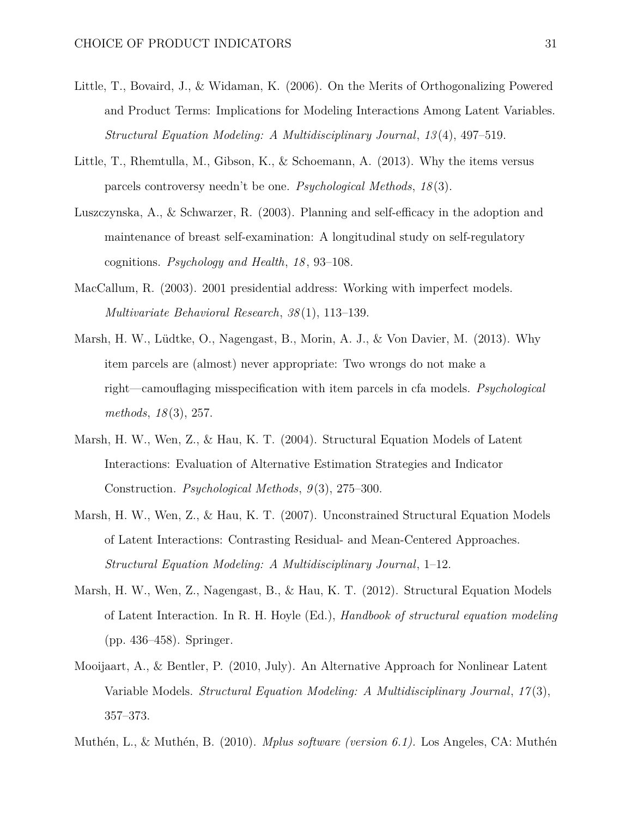- Little, T., Bovaird, J., & Widaman, K. (2006). On the Merits of Orthogonalizing Powered and Product Terms: Implications for Modeling Interactions Among Latent Variables. *Structural Equation Modeling: A Multidisciplinary Journal*, *13* (4), 497–519.
- Little, T., Rhemtulla, M., Gibson, K., & Schoemann, A. (2013). Why the items versus parcels controversy needn't be one. *Psychological Methods*, *18* (3).
- Luszczynska, A., & Schwarzer, R.  $(2003)$ . Planning and self-efficacy in the adoption and maintenance of breast self-examination: A longitudinal study on self-regulatory cognitions. *Psychology and Health*, *18* , 93–108.
- MacCallum, R. (2003). 2001 presidential address: Working with imperfect models. *Multivariate Behavioral Research*, *38* (1), 113–139.
- Marsh, H. W., Lüdtke, O., Nagengast, B., Morin, A. J., & Von Davier, M. (2013). Why item parcels are (almost) never appropriate: Two wrongs do not make a right—camouflaging misspecification with item parcels in cfa models. *Psychological methods*, *18* (3), 257.
- Marsh, H. W., Wen, Z., & Hau, K. T. (2004). Structural Equation Models of Latent Interactions: Evaluation of Alternative Estimation Strategies and Indicator Construction. *Psychological Methods*, *9* (3), 275–300.
- Marsh, H. W., Wen, Z., & Hau, K. T. (2007). Unconstrained Structural Equation Models of Latent Interactions: Contrasting Residual- and Mean-Centered Approaches. *Structural Equation Modeling: A Multidisciplinary Journal*, 1–12.
- Marsh, H. W., Wen, Z., Nagengast, B., & Hau, K. T. (2012). Structural Equation Models of Latent Interaction. In R. H. Hoyle (Ed.), *Handbook of structural equation modeling* (pp. 436–458). Springer.
- Mooijaart, A., & Bentler, P. (2010, July). An Alternative Approach for Nonlinear Latent Variable Models. *Structural Equation Modeling: A Multidisciplinary Journal*, *17* (3), 357–373.
- Muthén, L., & Muthén, B. (2010). *Mplus software (version 6.1).* Los Angeles, CA: Muthén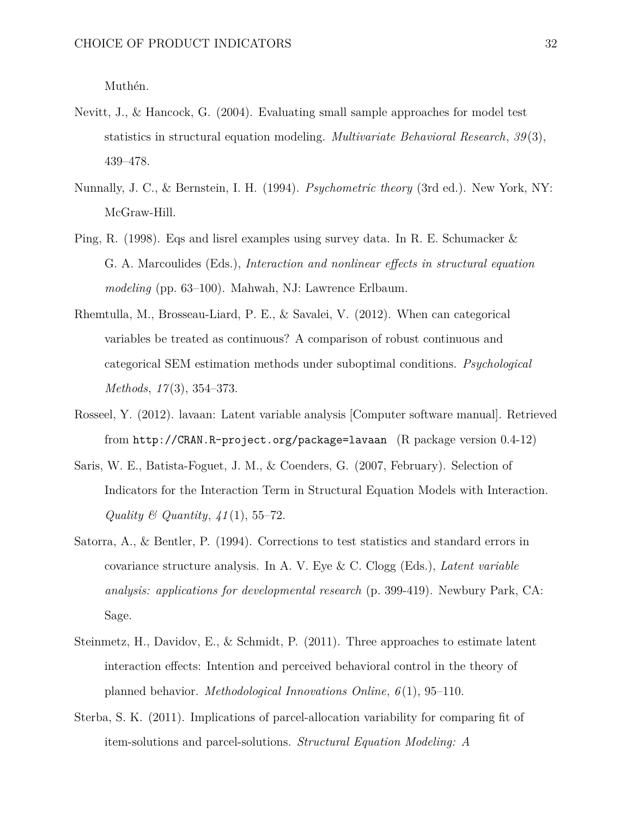Muthén.

- Nevitt, J., & Hancock, G. (2004). Evaluating small sample approaches for model test statistics in structural equation modeling. *Multivariate Behavioral Research*, *39* (3), 439–478.
- Nunnally, J. C., & Bernstein, I. H. (1994). *Psychometric theory* (3rd ed.). New York, NY: McGraw-Hill.
- Ping, R. (1998). Eqs and lisrel examples using survey data. In R. E. Schumacker & G. A. Marcoulides (Eds.), *Interaction and nonlinear eects in structural equation modeling* (pp. 63–100). Mahwah, NJ: Lawrence Erlbaum.
- Rhemtulla, M., Brosseau-Liard, P. E., & Savalei, V. (2012). When can categorical variables be treated as continuous? A comparison of robust continuous and categorical SEM estimation methods under suboptimal conditions. *Psychological Methods*, *17* (3), 354–373.
- Rosseel, Y. (2012). lavaan: Latent variable analysis [Computer software manual]. Retrieved from http://CRAN.R-project.org/package=lavaan (R package version 0.4-12)
- Saris, W. E., Batista-Foguet, J. M., & Coenders, G. (2007, February). Selection of Indicators for the Interaction Term in Structural Equation Models with Interaction. *Quality & Quantity*, *41* (1), 55–72.
- Satorra, A., & Bentler, P. (1994). Corrections to test statistics and standard errors in covariance structure analysis. In A. V. Eye & C. Clogg (Eds.), *Latent variable analysis: applications for developmental research* (p. 399-419). Newbury Park, CA: Sage.
- Steinmetz, H., Davidov, E., & Schmidt, P. (2011). Three approaches to estimate latent interaction effects: Intention and perceived behavioral control in the theory of planned behavior. *Methodological Innovations Online*, *6* (1), 95–110.
- Sterba, S. K. (2011). Implications of parcel-allocation variability for comparing fit of item-solutions and parcel-solutions. *Structural Equation Modeling: A*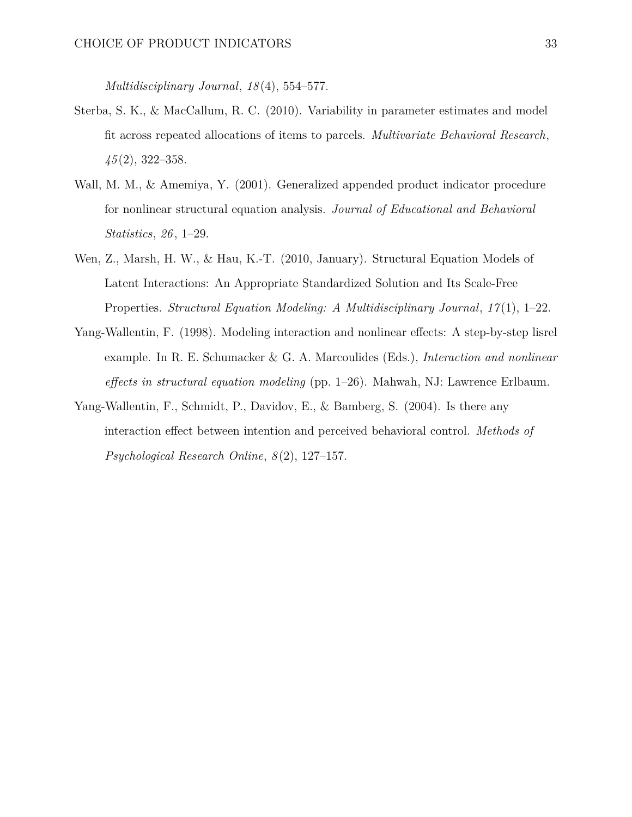*Multidisciplinary Journal*, *18* (4), 554–577.

- Sterba, S. K., & MacCallum, R. C. (2010). Variability in parameter estimates and model fit across repeated allocations of items to parcels. *Multivariate Behavioral Research*, *45* (2), 322–358.
- Wall, M. M., & Amemiya, Y. (2001). Generalized appended product indicator procedure for nonlinear structural equation analysis. *Journal of Educational and Behavioral Statistics*, *26* , 1–29.
- Wen, Z., Marsh, H. W., & Hau, K.-T. (2010, January). Structural Equation Models of Latent Interactions: An Appropriate Standardized Solution and Its Scale-Free Properties. *Structural Equation Modeling: A Multidisciplinary Journal*, *17* (1), 1–22.
- Yang-Wallentin, F. (1998). Modeling interaction and nonlinear effects: A step-by-step lisrel example. In R. E. Schumacker & G. A. Marcoulides (Eds.), *Interaction and nonlinear eects in structural equation modeling* (pp. 1–26). Mahwah, NJ: Lawrence Erlbaum.
- Yang-Wallentin, F., Schmidt, P., Davidov, E., & Bamberg, S. (2004). Is there any interaction effect between intention and perceived behavioral control. *Methods of Psychological Research Online*, *8* (2), 127–157.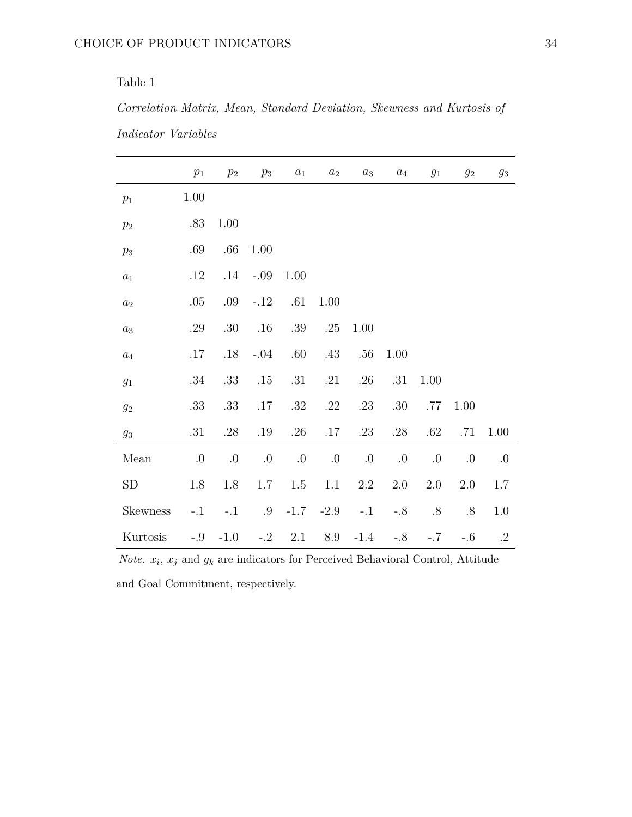*Correlation Matrix, Mean, Standard Deviation, Skewness and Kurtosis of Indicator Variables*

|                    | $\,p_1$ | $\mathfrak{p}_2$ | $p_3\,$ | $\boldsymbol{a}_1$ | $\boldsymbol{a}_2$ | $a_3$   | $\boldsymbol{a}_4$ | $\mathfrak{g}_1$ | $\mathfrak{g}_2$ | $g_3$  |
|--------------------|---------|------------------|---------|--------------------|--------------------|---------|--------------------|------------------|------------------|--------|
| $p_1$              | 1.00    |                  |         |                    |                    |         |                    |                  |                  |        |
| $p_{\rm 2}$        | .83     | 1.00             |         |                    |                    |         |                    |                  |                  |        |
| $p_3$              | .69     | .66              | 1.00    |                    |                    |         |                    |                  |                  |        |
| $\boldsymbol{a}_1$ | $.12\,$ | .14              | $-.09$  | 1.00               |                    |         |                    |                  |                  |        |
| $a_2$              | .05     | .09              | $-.12$  | .61                | 1.00               |         |                    |                  |                  |        |
| $a_3$              | .29     | $.30\,$          | .16     | .39                | .25                | 1.00    |                    |                  |                  |        |
| $a_4$              | .17     | .18              | $-.04$  | .60                | $.43\,$            | .56     | 1.00               |                  |                  |        |
| $\mathfrak{g}_1$   | $.34\,$ | $.33\,$          | $.15\,$ | .31                | .21                | .26     | .31                | 1.00             |                  |        |
| $\mathfrak{g}_2$   | $.33\,$ | .33              | .17     | .32                | .22                | .23     | .30                | $.77$            | 1.00             |        |
| $\mathfrak{g}_3$   | .31     | $.28\,$          | $.19\,$ | .26                | $.17\,$            | .23     | $.28\,$            | .62              | .71              | 1.00   |
| Mean               | 0.      | $.0\,$           | 0.0     | 0.0                | $\cdot 0$          | 0.      | $.0\,$             | $.0\,$           | 0.0              | .0     |
| SD                 | 1.8     | 1.8              | 1.7     | $1.5\,$            | 1.1                | $2.2\,$ | $2.0\,$            | $2.0\,$          | 2.0              | 1.7    |
| Skewness           | $-.1$   | $-.1$            | .9      | $-1.7$             | $-2.9$             | $-.1$   | $-.8$              | $.8\,$           | .8               | 1.0    |
| Kurtosis           | $-0.9$  | $-1.0$           | $-.2$   | 2.1                | 8.9                | $-1.4$  | $-.8$              | $-.7$            | $-.6$            | $.2\,$ |

*Note.*  $x_i$ ,  $x_j$  and  $g_k$  are indicators for Perceived Behavioral Control, Attitude and Goal Commitment, respectively.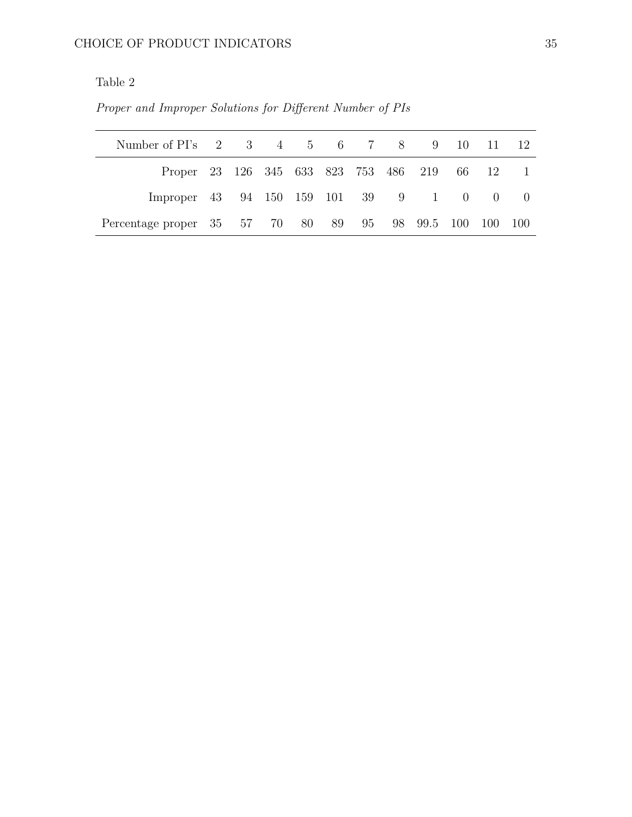| Number of PI's 2 3 4 5 6 7 8 9 10 11 12                 |  |  |  |  |  |  |
|---------------------------------------------------------|--|--|--|--|--|--|
| Proper 23 126 345 633 823 753 486 219 66 12             |  |  |  |  |  |  |
| Improper 43 94 150 159 101 39 9 1 0 0 0                 |  |  |  |  |  |  |
| Percentage proper 35 57 70 80 89 95 98 99.5 100 100 100 |  |  |  |  |  |  |

*Proper and Improper Solutions for Dierent Number of PIs*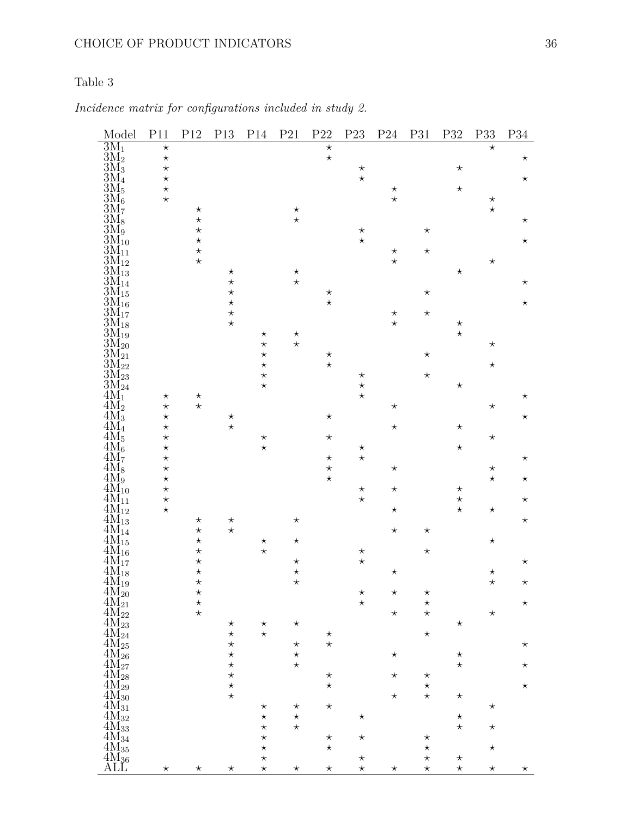# *Incidence matrix for configurations included in study 2.*

| Model                                                                                                                                                                                                                                                     | P <sub>11</sub>    | P <sub>12</sub>   | P <sub>13</sub>   | P14             | P21                           | P22     | P23                | P24     | P31                           | P32     | P <sub>33</sub> | P34      |
|-----------------------------------------------------------------------------------------------------------------------------------------------------------------------------------------------------------------------------------------------------------|--------------------|-------------------|-------------------|-----------------|-------------------------------|---------|--------------------|---------|-------------------------------|---------|-----------------|----------|
| $\frac{3M_{1}}{3M_{2}}$<br>$\frac{3M_{3}}{3M_{4}}$                                                                                                                                                                                                        | $\star$            |                   |                   |                 |                               | $\star$ |                    |         |                               |         | $\star$         |          |
|                                                                                                                                                                                                                                                           | $\star$<br>$\star$ |                   |                   |                 |                               | $\star$ |                    |         |                               | $\star$ |                 | $^\star$ |
|                                                                                                                                                                                                                                                           | $\star$            |                   |                   |                 |                               |         | $\star$            |         |                               |         |                 | $\star$  |
| $\frac{3M_{5}}{3M_{6}}$                                                                                                                                                                                                                                   | $\star$            |                   |                   |                 |                               |         |                    | $\star$ |                               | $\star$ |                 |          |
|                                                                                                                                                                                                                                                           | $\star$            |                   |                   |                 |                               |         |                    | $\star$ |                               |         | $\star$         |          |
| $\frac{3M_7}{3M_8}$<br>$\frac{3M_8}{3M_9}$                                                                                                                                                                                                                |                    | $\star$           |                   |                 | $*$                           |         |                    |         |                               |         |                 |          |
|                                                                                                                                                                                                                                                           |                    | $\star$           |                   |                 |                               |         |                    |         | $\star$                       |         |                 | $\star$  |
|                                                                                                                                                                                                                                                           |                    |                   |                   |                 |                               |         | $*$                |         |                               |         |                 | $\star$  |
| $\frac{3M_{10}}{3M_{11}}$<br>$\frac{3M_{11}}{3M_{12}}$<br>$\frac{3M_{13}}{3M_{13}}$                                                                                                                                                                       |                    | * * * *           |                   |                 |                               |         |                    |         | $\star$                       |         |                 |          |
|                                                                                                                                                                                                                                                           |                    |                   |                   |                 |                               |         |                    | $\star$ |                               |         | $\star$         |          |
|                                                                                                                                                                                                                                                           |                    |                   |                   |                 | $*$                           |         |                    |         |                               | $\star$ |                 |          |
|                                                                                                                                                                                                                                                           |                    |                   |                   |                 |                               |         |                    |         |                               |         |                 | $\star$  |
|                                                                                                                                                                                                                                                           |                    |                   |                   |                 |                               | $\star$ |                    |         | $\star$                       |         |                 | $\star$  |
| $\begin{array}{l} 3M_{14}^{14}\\ 3M_{15}^{15}\\ 3M_{16}^{16}\\ 3M_{17}\\ 3M_{18}\\ 3M_{20}\\ 3M_{21}\\ 3M_{22}\\ 3M_{23}\\ 3M_{24}\\ 4M_{1}\\ \end{array}$                                                                                                |                    |                   | * * * * * * *     |                 |                               |         |                    | $\star$ | $\star$                       |         |                 |          |
|                                                                                                                                                                                                                                                           |                    |                   |                   |                 |                               |         |                    | $\star$ |                               |         |                 |          |
|                                                                                                                                                                                                                                                           |                    |                   |                   | $\star$         | $\star$                       |         |                    |         |                               | $\star$ |                 |          |
|                                                                                                                                                                                                                                                           |                    |                   |                   | $\star$         |                               |         |                    |         |                               |         | $\star$         |          |
|                                                                                                                                                                                                                                                           |                    |                   |                   | $\star$         |                               | $\star$ |                    |         | $\star$                       |         |                 |          |
|                                                                                                                                                                                                                                                           |                    |                   |                   | $\star$         |                               |         |                    |         | $\star$                       |         | $\star$         |          |
|                                                                                                                                                                                                                                                           |                    |                   |                   | $\star$         |                               |         | * * *              |         |                               | $\star$ |                 |          |
|                                                                                                                                                                                                                                                           | $\star$            |                   |                   |                 |                               |         |                    |         |                               |         |                 | $\star$  |
| $4M_2$                                                                                                                                                                                                                                                    | $\star$            | $\star$           |                   |                 |                               |         |                    | $\star$ |                               |         | $\star$         |          |
|                                                                                                                                                                                                                                                           | $\star$            |                   | $\star$           |                 |                               | $\star$ |                    |         |                               |         |                 | $\star$  |
|                                                                                                                                                                                                                                                           | $\star$            |                   |                   |                 |                               |         |                    | $\star$ |                               | $\star$ |                 |          |
|                                                                                                                                                                                                                                                           | $\star$            |                   |                   | $\star$         |                               | $\star$ | $\star$            |         |                               | $\star$ | $\star$         |          |
| $4M_3$<br>$4M_4$<br>$4M_5$<br>$4M_6$<br>$4M_7$                                                                                                                                                                                                            | $\star$            |                   |                   |                 |                               |         | $\star$            |         |                               |         |                 | $\star$  |
| $4M_8$                                                                                                                                                                                                                                                    | $\star$            |                   |                   |                 |                               |         |                    | $\star$ |                               |         | $\star$ $\star$ |          |
| $\begin{array}{c} 4{\rm M}_9\ 4{\rm M}_{10}\ 4{\rm M}_{11}\ 4{\rm M}_{12}\ 4{\rm M}_{13}\ 4{\rm M}_{14}\ 4{\rm M}_{15}\ 4{\rm M}_{16}\ 4{\rm M}_{17} \end{array}$                                                                                         | $\star$            |                   |                   |                 |                               |         |                    |         |                               |         |                 | $^\star$ |
|                                                                                                                                                                                                                                                           | $\star$            |                   |                   |                 |                               |         | $\star$<br>$\star$ | $\star$ |                               | * * *   |                 |          |
|                                                                                                                                                                                                                                                           | $\star$<br>$\star$ |                   |                   |                 |                               |         |                    | $\star$ |                               |         | $\star$         | $\star$  |
|                                                                                                                                                                                                                                                           |                    | $\star$           |                   |                 | $\star$                       |         |                    |         |                               |         |                 | $\star$  |
|                                                                                                                                                                                                                                                           |                    | $\star$           | $\star$           |                 |                               |         |                    | $\star$ | $\star$                       |         |                 |          |
|                                                                                                                                                                                                                                                           |                    | $\star$           |                   | $\star$         | $\star$                       |         |                    |         |                               |         | $\star$         |          |
|                                                                                                                                                                                                                                                           |                    |                   |                   |                 |                               |         | $\star$            |         | $\star$                       |         |                 |          |
|                                                                                                                                                                                                                                                           |                    |                   |                   |                 |                               |         |                    |         |                               |         |                 | $\star$  |
| $4M_{18}^{18}$<br>$4M_{19}^{18}$                                                                                                                                                                                                                          |                    | * * * *           |                   |                 | * * *                         |         |                    | $\star$ |                               |         | $\star$         | $\star$  |
|                                                                                                                                                                                                                                                           |                    |                   |                   |                 |                               |         |                    | $\star$ |                               |         |                 |          |
|                                                                                                                                                                                                                                                           |                    | $\star\star\star$ |                   |                 |                               |         | $\star$            |         | $\star\atop \star\atop \star$ |         |                 | $\star$  |
|                                                                                                                                                                                                                                                           |                    |                   |                   |                 |                               |         |                    | $\star$ |                               |         | $\star$         |          |
|                                                                                                                                                                                                                                                           |                    |                   |                   | $\star$ $\star$ | $\star$                       |         |                    |         |                               | $\star$ |                 |          |
|                                                                                                                                                                                                                                                           |                    |                   |                   |                 |                               | $\star$ |                    |         | $\star$                       |         |                 | $\star$  |
|                                                                                                                                                                                                                                                           |                    |                   |                   |                 | $\star\atop \star\atop \star$ |         |                    | $\star$ |                               |         |                 |          |
| $\begin{array}{l} 4{\rm M}_{20}\ 4{\rm M}_{21}\ 4{\rm M}_{22}\ 4{\rm M}_{23}\ 4{\rm M}_{24}\ 4{\rm M}_{25}\ 4{\rm M}_{26}\ 4{\rm M}_{27}\ 4{\rm M}_{28}\ 4{\rm M}_{29} \end{array}$                                                                       |                    |                   | * * * * * * * * * |                 |                               |         |                    |         |                               | $\star$ |                 | $\star$  |
|                                                                                                                                                                                                                                                           |                    |                   |                   |                 |                               | $\star$ |                    | $\star$ |                               |         |                 |          |
|                                                                                                                                                                                                                                                           |                    |                   |                   |                 |                               |         |                    |         | $\star\atop \star\atop \star$ |         |                 | $\star$  |
|                                                                                                                                                                                                                                                           |                    |                   |                   |                 |                               | $\star$ |                    | $\star$ |                               | $\star$ |                 |          |
|                                                                                                                                                                                                                                                           |                    |                   |                   | $\star$         | $\star\atop \star\atop \star$ |         | $\star$            |         |                               |         | $\star$         |          |
|                                                                                                                                                                                                                                                           |                    |                   |                   |                 |                               |         |                    |         |                               | $\star$ | $\star$         |          |
|                                                                                                                                                                                                                                                           |                    |                   |                   | * * * *         |                               | $\star$ | $\star$            |         |                               |         |                 |          |
|                                                                                                                                                                                                                                                           |                    |                   |                   |                 |                               |         |                    |         | $\star\star\star$             |         | $\star$         |          |
| $\overset{4\text{M}}{4\text{M}} \overset{30}{4\text{M}} \overset{4\text{M}}{31} \overset{31}{4\text{M}} \overset{4\text{M}}{33} \overset{4\text{M}}{4\text{M}} \overset{33}{35} \overset{4\text{M}}{4\text{M}} \overset{35}{36} \overset{4\text{M}}{ALL}$ |                    |                   |                   | $\star$         |                               | $\star$ | $*$                |         | $\star$                       | $\star$ |                 |          |
|                                                                                                                                                                                                                                                           | $\star$            | $\star$           | $\star$           |                 | $\star$                       |         |                    | $\star$ |                               |         | $\star$         | $\star$  |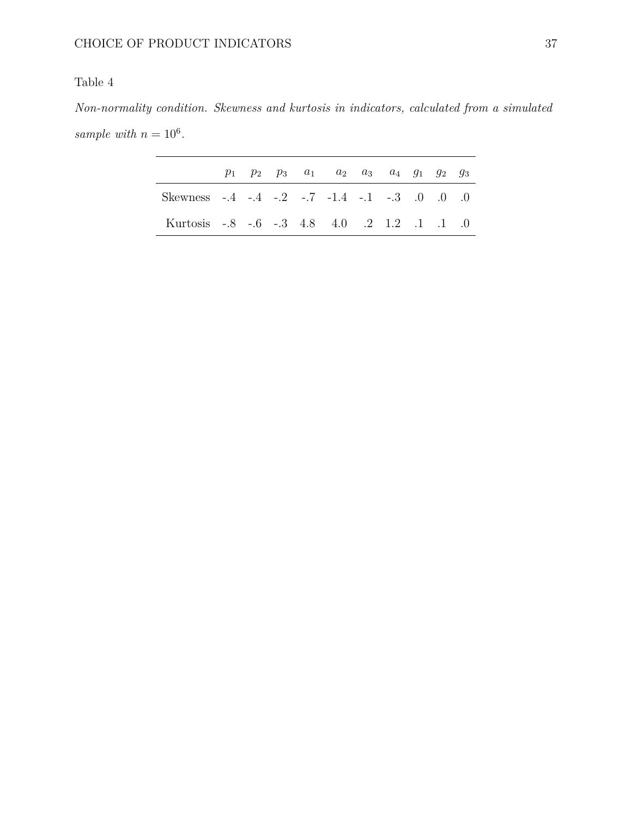*Non-normality condition. Skewness and kurtosis in indicators, calculated from a simulated sample with*  $n = 10^6$ .

|                                                |  |  | $p_1$ $p_2$ $p_3$ $a_1$ $a_2$ $a_3$ $a_4$ $g_1$ $g_2$ $g_3$ |  |  |  |
|------------------------------------------------|--|--|-------------------------------------------------------------|--|--|--|
| Skewness -.4 -.4 -.2 -.7 -1.4 -.1 -.3 .0 .0 .0 |  |  |                                                             |  |  |  |
| Kurtosis -.8 -.6 -.3 4.8 4.0 .2 1.2 .1 .1 .0   |  |  |                                                             |  |  |  |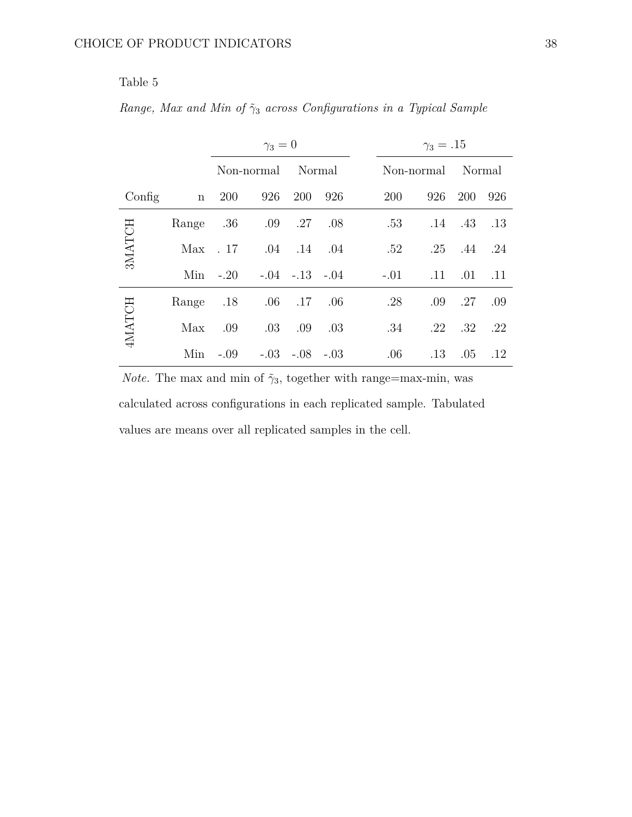| Range, Max and Min of $\tilde{\gamma}_3$ across Configurations in a Typical Sample |  |  |  |
|------------------------------------------------------------------------------------|--|--|--|
|------------------------------------------------------------------------------------|--|--|--|

|               |             |                 | $\gamma_3=0$            |             |        | $\gamma_3 = .15$ |            |                   |              |  |
|---------------|-------------|-----------------|-------------------------|-------------|--------|------------------|------------|-------------------|--------------|--|
|               |             |                 | Non-normal              |             | Normal |                  | Non-normal | Normal            |              |  |
| Config        | $\mathbf n$ | 200             | 926                     | 200         | 926    | 200              | 926        | 200               | 926          |  |
|               | Range .36   |                 |                         | .09 .27     | .08    | .53              |            | $.14$ $.43$ $.13$ |              |  |
| <b>3MATCH</b> | Max         | $\therefore$ 17 |                         | $.04$ $.14$ | .04    | .52              |            | $.25$ $.44$ $.24$ |              |  |
|               | Min         | $-.20$          | $-0.04$ $-0.13$ $-0.04$ |             |        | $-.01$           | .11        | .01               | .11          |  |
|               | Range .18   |                 |                         | $.06$ $.17$ | .06    | .28              |            | $.09 \t .27$      | .09          |  |
| <b>AMATCH</b> | Max         | .09             | .03                     | .09         | .03    | .34              | .22        |                   | $.32 \t .22$ |  |
|               | Min         | $-.09$          | $-.03$ $-.08$ $-.03$    |             |        | .06              | .13        | .05               | .12          |  |

*Note.* The max and min of  $\tilde{\gamma}_3$ , together with range=max-min, was calculated across configurations in each replicated sample. Tabulated values are means over all replicated samples in the cell.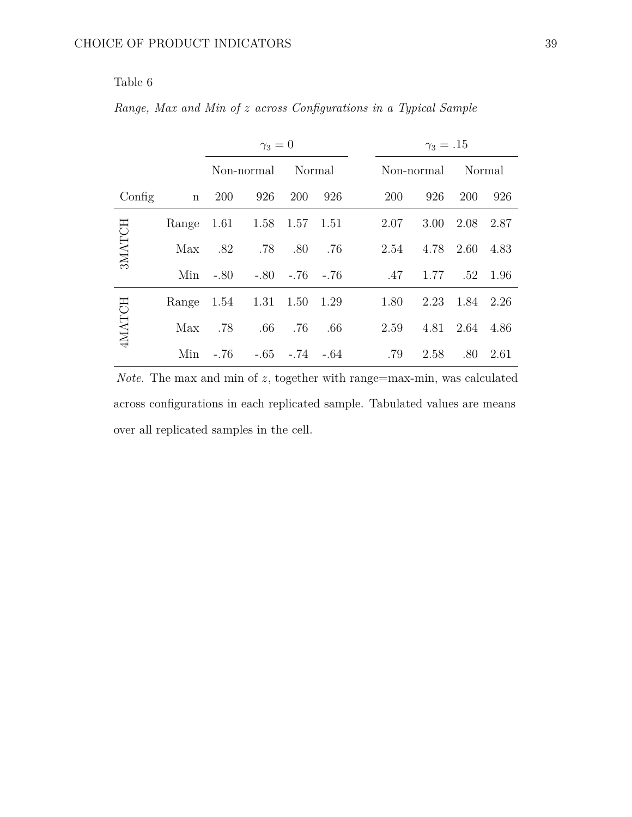|                |             |            | $\gamma_3=0$ |                      |      |            | $\gamma_3 = .15$ |           |                  |  |  |
|----------------|-------------|------------|--------------|----------------------|------|------------|------------------|-----------|------------------|--|--|
|                |             |            | Non-normal   | Normal               |      | Non-normal |                  | Normal    |                  |  |  |
| $\binom{7}{0}$ | $\mathbf n$ | <b>200</b> | 926          | <b>200</b>           | 926  | 200        | 926              | 200       | 926              |  |  |
|                | Range       | 1.61       | 1.58         | 1.57                 | 1.51 | 2.07       | 3.00             | 2.08      | 2.87             |  |  |
| <b>3MATCH</b>  | Max         | .82        |              | .78 .80              | .76  | 2.54       |                  | 4.78 2.60 | 4.83             |  |  |
|                | Min         | $-.80$     |              | $-.80-.76-.76$       |      | .47        | 1.77             |           | $.52 \quad 1.96$ |  |  |
|                | Range       | 1.54       | 1.31         | 1.50                 | 1.29 | 1.80       | 2.23             | 1.84      | 2.26             |  |  |
| <b>AMATCH</b>  | Max         | .78        | .66          | .76                  | .66  | 2.59       |                  | 4.81 2.64 | 4.86             |  |  |
|                | Min         | $-.76$     |              | $-.65$ $-.74$ $-.64$ |      | .79        | 2.58             | .80       | 2.61             |  |  |

*Range, Max and Min of z across Configurations in a Typical Sample*

*Note.* The max and min of *z*, together with range=max-min, was calculated across configurations in each replicated sample. Tabulated values are means over all replicated samples in the cell.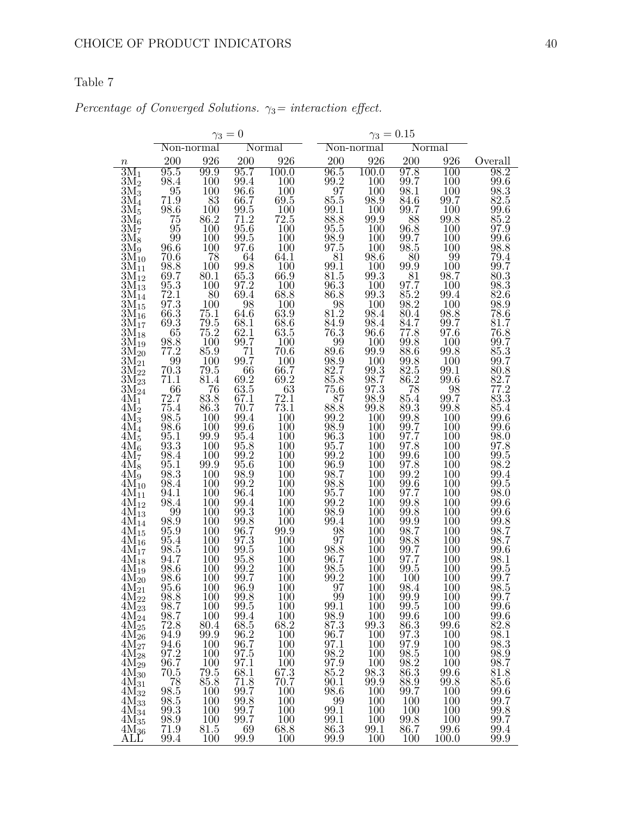#### $\gamma_3 = 0$   $\gamma_3 = 0.15$ Non-normal Normal Non-normal Normal *n* 200 926 200 926 200 926 200 926 Overall  $\frac{3M_1}{95.5}$   $\frac{99.9}{95.7}$   $\frac{95.7}{100.0}$   $\frac{96.5}{95.2}$   $\frac{100.0}{95.8}$   $\frac{97.8}{100}$   $\frac{100}{98.2}$  $\frac{3\text{M}_2^2}{2}$  98.4 100 99.4 100 99.2 100 99.7 100 99.6 3M<sup>3</sup> 95 100 96.6 100 97 100 98.1 100 98.3 3M<sup>4</sup> 71.9 83 66.7 69.5 85.5 98.9 84.6 99.7 82.5  $3M_5^2$  98.6 100 99.5 100 99.1 100 99.7 100 99.6  $3M_6$  75 86.2 71.2 72.5 88.8 99.9 88 99.8 85.2 3M<sup>7</sup> 95 100 95.6 100 95.5 100 96.8 100 97.9  $3M_8$  99 100 99.5 100 98.9 100 99.7 100 99.6 3M<sup>9</sup> 96.6 100 97.6 100 97.5 100 98.5 100 98.8 3M<sup>10</sup> 70.6 78 64 64.1 81 98.6 80 99 79.4  $\frac{3 \text{M}_{11}}{2 \text{M}_{11}}$   $\frac{98.8}{98.8}$   $\frac{100}{99.8}$   $\frac{99.8}{100}$   $\frac{99.1}{99.1}$   $\frac{100}{100}$   $\frac{99.9}{99.7}$  $3M_{12}^{11}$  69.7 80.1 65.3 66.9 81.5 99.3 81 98.7 80.3  $3M_{13}^{12}$  95.3 100 97.2 100 96.3 100 97.7 100 98.3  $3M_{14}^{19}$  72.1 80 69.4 68.8 86.8 99.3 85.2 99.4 82.6  $3M_{15}^{14}$  97.3 100 98 100 98 100 98.2 100 98.9 3M<sup>16</sup> 66.3 75.1 64.6 63.9 81.2 98.4 80.4 98.8 78.6  $3M_{17}^{18}$  69.3 79.5 68.1 68.6 84.9 98.4 84.7 99.7 81.7  $3M_{18}^{11}$  65 75.2 62.1 63.5 76.3 96.6 77.8 97.6 76.8  $3M_{19}^{10}$  98.8 100 99.7 100 99 100 99.8 100 99.7  $3M_{20}^{12}$  77.2 85.9 71 70.6 89.6 99.9 88.6 99.8 85.3  $\frac{3M_{21}}{2}$  99 100 99.7 100 98.9 100 99.8 100 99.7  $3M_{22}^{2}$  70.3 79.5 66 66.7 82.7 99.3 82.5 99.1 80.8  $3M_{23}^{22}$  71.1 81.4 69.2 69.2 85.8 98.7 86.2 99.6 82.7  $3M_{24}^{\sim}$  66 76 63.5 63 75.6 97.3 78 98 77.2  $4M_1^{24}$  72.7 83.8 67.1 72.1 87 98.9 85.4 99.7 83.3 4M<sup>2</sup> 75.4 86.3 70.7 73.1 88.8 99.8 89.3 99.8 85.4 4M<sup>3</sup> 98.5 100 99.4 100 99.2 100 99.8 100 99.6 4M<sup>4</sup> 98.6 100 99.6 100 98.9 100 99.7 100 99.6 4M<sup>5</sup> 95.1 99.9 95.4 100 96.3 100 97.7 100 98.0 4M<sup>6</sup> 93.3 100 95.8 100 95.7 100 97.8 100 97.8 4M<sup>7</sup> 98.4 100 99.2 100 99.2 100 99.6 100 99.5 4M<sup>8</sup> 95.1 99.9 95.6 100 96.9 100 97.8 100 98.2 4M<sup>9</sup> 98.3 100 98.9 100 98.7 100 99.2 100 99.4 4M<sup>10</sup> 98.4 100 99.2 100 98.8 100 99.6 100 99.5  $4M_{11}^{10}$  94.1 100 96.4 100 95.7 100 97.7 100 98.0 4M<sup>12</sup> 98.4 100 99.4 100 99.2 100 99.8 100 99.6 4M<sup>13</sup> 99 100 99.3 100 98.9 100 99.8 100 99.6 4M<sup>14</sup> 98.9 100 99.8 100 99.4 100 99.9 100 99.8  $4M_{15}^{11}$  95.9 100 96.7 99.9 98 100 98.7 100 98.7  $4M_{16}^{10}$  95.4 100 97.3 100 97 100 98.8 100 98.7 4M<sup>17</sup> 98.5 100 99.5 100 98.8 100 99.7 100 99.6 4M<sup>18</sup> 94.7 100 95.8 100 96.7 100 97.7 100 98.1 4M<sup>19</sup> 98.6 100 99.2 100 98.5 100 99.5 100 99.5  $\frac{4M_{20}^{10}}{20}$  98.6 100 99.7 100 99.2 100 100 100 99.7  $4M_{21}^{20}$  95.6 100 96.9 100 97 100 98.4 100 98.5  $4M_{22}^{21}$  98.8 100 99.8 100 99 100 99.9 100 99.7 4M<sup>23</sup> 98.7 100 99.5 100 99.1 100 99.5 100 99.6 4M<sup>24</sup> 98.7 100 99.4 100 98.9 100 99.6 100 99.6 4M<sup>25</sup> 72.8 80.4 68.5 68.2 87.3 99.3 86.3 99.6 82.8  $4M_{26}^{20}$  94.9 99.9 96.2 100 96.7 100 97.3 100 98.1  $4M_{27}^{\sim}$  94.6 100 96.7 100 97.1 100 97.9 100 98.3 4M<sup>28</sup> 97.2 100 97.5 100 98.2 100 98.5 100 98.9 4M<sup>29</sup> 96.7 100 97.1 100 97.9 100 98.2 100 98.7 4M<sup>30</sup> 70.5 79.5 68.1 67.3 85.2 98.3 86.3 99.6 81.8 4M<sup>31</sup> 78 85.8 71.8 70.7 90.1 99.9 88.9 99.8 85.6 4M<sup>32</sup> 98.5 100 99.7 100 98.6 100 99.7 100 99.6  $4M_{33}^{92}$  98.5 100 99.8 100 99 100 100 100 99.7 4M<sup>34</sup> 99.3 100 99.7 100 99.1 100 100 100 99.8 4M<sup>35</sup> 98.9 100 99.7 100 99.1 100 99.8 100 99.7 4M<sup>36</sup> 71.9 81.5 69 68.8 86.3 99.1 86.7 99.6 99.4 ALL 99.4 100 99.9 100 99.9 100 100 100.0 99.9

## *Percentage of Converged Solutions.*  $\gamma_3 =$  interaction effect.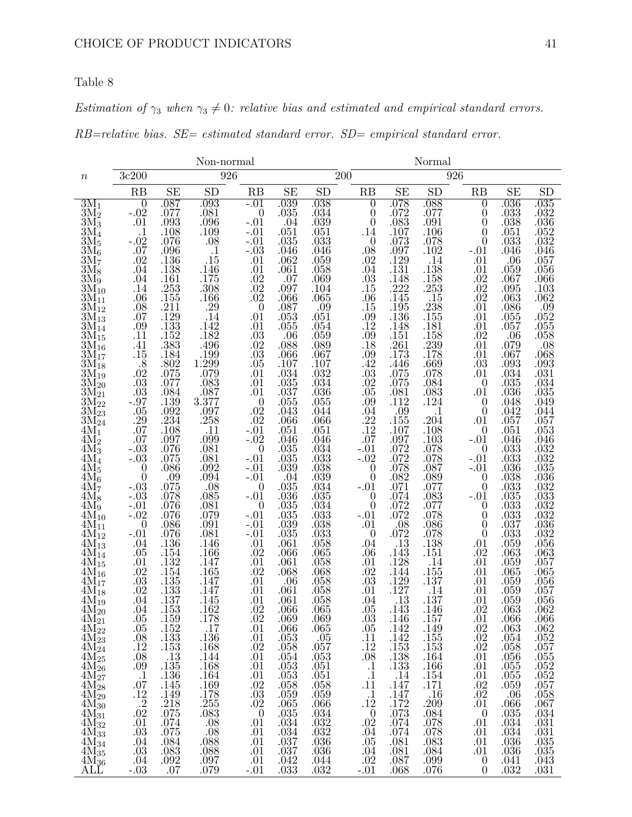*Estimation of*  $\gamma_3$  *when*  $\gamma_3 \neq 0$ *: relative bias and estimated and empirical standard errors.* 

*RB=relative bias. SE= estimated standard error. SD= empirical standard error.*

|                                                                                                                                                                                                                                                                                                                                                                                                                                                                                                                                                                                                                                                                                          | Non-normal                                                                                                                                                                                                                                                                                                                                                                            |                                                                                                                                                                                                                                                                                                                                                              |                                                                                                                                                                                                                                                                                                                                                                             |                                                                                                                                                                                                                                                                                                                                                                                                                                           |                                                                                                                                                                                                                                                                                                                                                     |                                                                                                                                                                                                                                                                                                                                                                                  | Normal |                                                                                                                                                                                                                                                                                                                                                                                                                                                           |                                                                                                                                                                                                                                                                                                                                                                                          |                                                                                                                                                                                                                                                                                                                                                                                         |                                                                                                                                                                                                                                                                                                                                                                                                                                                                                          |                                                                                                                                                                                                                                                                                                                                                   |                                                                                                                                                                                                                                                                                                                                                                                                                         |
|------------------------------------------------------------------------------------------------------------------------------------------------------------------------------------------------------------------------------------------------------------------------------------------------------------------------------------------------------------------------------------------------------------------------------------------------------------------------------------------------------------------------------------------------------------------------------------------------------------------------------------------------------------------------------------------|---------------------------------------------------------------------------------------------------------------------------------------------------------------------------------------------------------------------------------------------------------------------------------------------------------------------------------------------------------------------------------------|--------------------------------------------------------------------------------------------------------------------------------------------------------------------------------------------------------------------------------------------------------------------------------------------------------------------------------------------------------------|-----------------------------------------------------------------------------------------------------------------------------------------------------------------------------------------------------------------------------------------------------------------------------------------------------------------------------------------------------------------------------|-------------------------------------------------------------------------------------------------------------------------------------------------------------------------------------------------------------------------------------------------------------------------------------------------------------------------------------------------------------------------------------------------------------------------------------------|-----------------------------------------------------------------------------------------------------------------------------------------------------------------------------------------------------------------------------------------------------------------------------------------------------------------------------------------------------|----------------------------------------------------------------------------------------------------------------------------------------------------------------------------------------------------------------------------------------------------------------------------------------------------------------------------------------------------------------------------------|--------|-----------------------------------------------------------------------------------------------------------------------------------------------------------------------------------------------------------------------------------------------------------------------------------------------------------------------------------------------------------------------------------------------------------------------------------------------------------|------------------------------------------------------------------------------------------------------------------------------------------------------------------------------------------------------------------------------------------------------------------------------------------------------------------------------------------------------------------------------------------|-----------------------------------------------------------------------------------------------------------------------------------------------------------------------------------------------------------------------------------------------------------------------------------------------------------------------------------------------------------------------------------------|------------------------------------------------------------------------------------------------------------------------------------------------------------------------------------------------------------------------------------------------------------------------------------------------------------------------------------------------------------------------------------------------------------------------------------------------------------------------------------------|---------------------------------------------------------------------------------------------------------------------------------------------------------------------------------------------------------------------------------------------------------------------------------------------------------------------------------------------------|-------------------------------------------------------------------------------------------------------------------------------------------------------------------------------------------------------------------------------------------------------------------------------------------------------------------------------------------------------------------------------------------------------------------------|
| $\, n$                                                                                                                                                                                                                                                                                                                                                                                                                                                                                                                                                                                                                                                                                   | 3c200                                                                                                                                                                                                                                                                                                                                                                                 |                                                                                                                                                                                                                                                                                                                                                              | 926                                                                                                                                                                                                                                                                                                                                                                         |                                                                                                                                                                                                                                                                                                                                                                                                                                           |                                                                                                                                                                                                                                                                                                                                                     |                                                                                                                                                                                                                                                                                                                                                                                  | 200    |                                                                                                                                                                                                                                                                                                                                                                                                                                                           |                                                                                                                                                                                                                                                                                                                                                                                          |                                                                                                                                                                                                                                                                                                                                                                                         | 926                                                                                                                                                                                                                                                                                                                                                                                                                                                                                      |                                                                                                                                                                                                                                                                                                                                                   |                                                                                                                                                                                                                                                                                                                                                                                                                         |
|                                                                                                                                                                                                                                                                                                                                                                                                                                                                                                                                                                                                                                                                                          | RB                                                                                                                                                                                                                                                                                                                                                                                    | <b>SE</b>                                                                                                                                                                                                                                                                                                                                                    | <b>SD</b>                                                                                                                                                                                                                                                                                                                                                                   | RB                                                                                                                                                                                                                                                                                                                                                                                                                                        | SE                                                                                                                                                                                                                                                                                                                                                  | <b>SD</b>                                                                                                                                                                                                                                                                                                                                                                        |        | RB                                                                                                                                                                                                                                                                                                                                                                                                                                                        | <b>SE</b>                                                                                                                                                                                                                                                                                                                                                                                | <b>SD</b>                                                                                                                                                                                                                                                                                                                                                                               | RB                                                                                                                                                                                                                                                                                                                                                                                                                                                                                       | SE                                                                                                                                                                                                                                                                                                                                                | <b>SD</b>                                                                                                                                                                                                                                                                                                                                                                                                               |
| $3{\rm M}_1$<br>$3{\rm M}_2$<br>$3{\rm M}_3$<br>$3{\rm M}_{4}$<br>$3M_{5}$<br>$3M_6$<br>$3\rm M_{7}$<br>$3M_8$<br>$3{\rm M}_9$<br>$3M_{10}$<br>$3{\rm M}_{11}$<br>$3{\rm M}_{12}$<br>$3{\rm M}_{13}^-$<br>$3M_{14}$<br>$3{\rm M}_{15}$<br>$3M_{16}$<br>$3\rm{M}_{17}^+$<br>$3 \rm M_{18}^{-1}$<br>$3\rm{M}_{19}$<br>$3M_{20}$<br>$3\mathrm{M}_{21}^-$<br>$3M_{22}$<br>$3M_{23}$<br>$3\mathrm{M}_{24}$<br>$4M_1$<br>$4M_2$<br>$4M_3$<br>4M <sub>4</sub><br>$4M_5$<br>$4{\rm M}_6^{\circ}$<br>4M <sub>7</sub><br>$4M_8$<br>$4M_9$<br>$4M_{10}$<br>$4{\rm M}_{11}$<br>$4M_{12}$<br>$4{\rm M}_{13}$<br>$\overline{4}M_{14}$<br>$4M_{15}$<br>$4M_{16}$<br>$4M_{17}$<br>$4M_{18}$<br>$4M_{19}$ | $\overline{0}$<br>$-.02$<br>.01<br>$-0.\overline{01}$<br>.07<br>.02<br>.04<br>.04<br>.14<br>.06<br>$.08 \\ .07$<br>.09<br>.11<br>.41<br>.15<br>.8<br>$.02 \ 0.03$<br>.03<br>$-.97$<br>.05<br>.29<br>.07<br>.07<br>$-.03$<br>$-.03$<br>$\overline{0}$<br>$\theta$<br>$-.03$<br>$-.03$<br>$-.01$<br>$-.02$<br>$\theta$<br>$-.01$<br>.04<br>.05<br>.01<br>$.02 \over 03$<br>$.02 \ 0.04$ | .087<br>.077<br>.093<br>.108<br>.076<br>.096<br>.136<br>.138<br>.161<br>.253<br>.155<br>.211<br>.129<br>.133<br>$\frac{152}{383}$<br>.184<br>.802<br>.075<br>.077<br>.084<br>.139<br>.092<br>.234<br>.108<br>.097<br>.076<br>.075<br>.086<br>.09<br>.075<br>$.078 \ 076$<br>.076<br>.086<br>$.076$<br>$.136$<br>.154<br>.132<br>.154<br>.135<br>.133<br>.137 | .093<br>.081<br>.096<br>.109<br>.08<br>$\cdot$ 1<br>.15<br>.146<br>.175<br>.308<br>.166<br>.29<br>$\overline{.14}$<br>.142<br>$\frac{182}{496}$<br>.199<br>1.299<br>$.079 \ 083$<br>.087<br>3.377<br>.097<br>.258<br>.11<br>.099<br>.081<br>.081<br>.092<br>.094<br>.08<br>.085<br>.081<br>.079<br>.091<br>$.081$<br>$.146$<br>.166<br>.147<br>.165<br>.147<br>.147<br>.145 | $-.01$<br>$\boldsymbol{0}$<br>$-.01$<br>$-.01$<br>$-.01$<br>$-.03$<br>.01<br>.01<br>.02<br>.02<br>.02<br>$\overline{0}$<br>$.0\overline{1}$<br>.01<br>$.0\overline{3}$<br>.02<br>.03<br>.05<br>.01<br>.01<br>.01<br>$\boldsymbol{0}$<br>.02<br>.02<br>$-.01$<br>$-.02$<br>$\theta$<br>$-.01$<br>$-.01$<br>$-.01$<br>$\theta$<br>$-.01$<br>$\boldsymbol{0}$<br>$-.01$<br>$-.01$<br>$-.01$<br>.01<br>.02<br>.01<br>.02<br>.01<br>.01<br>.01 | .039<br>.035<br>.04<br>.051<br>.035<br>.046<br>.062<br>.061<br>.07<br>.097<br>.066<br>.087<br>.053<br>.055<br>$.06$<br>$.088$<br>.066<br>.107<br>$.034 \ 035$<br>.037<br>.055<br>.043<br>.066<br>.051<br>.046<br>.035<br>.035<br>.039<br>.04<br>.035<br>.036<br>.035<br>.035<br>.039<br>.035<br>.061<br>.066<br>.061<br>.068<br>.06<br>.061<br>.061 | .038<br>.034<br>.039<br>.051<br>.033<br>.046<br>.059<br>.058<br>.069<br>.104<br>.065<br>$.09$ <sub>.051</sub><br>.054<br>$.059$<br>$.089$<br>.067<br>.107<br>$.032$<br>$.034$<br>.036<br>.055<br>.044<br>.066<br>.051<br>.046<br>.034<br>.033<br>.038<br>.039<br>.034<br>.035<br>.034<br>.033<br>.038<br>$\frac{0.033}{0.058}$<br>$.058$<br>$.068$<br>$.058$<br>$.058$<br>$.058$ |        | $\overline{0}$<br>$\boldsymbol{0}$<br>$\theta$<br>.14<br>$\theta$<br>.08<br>.02<br>$.04$<br>.03<br>.15<br>.06<br>.15<br>$\overline{0}9$<br>$\overline{.12}$<br>$\frac{.09}{.18}$<br>.09.42<br>$\frac{0.03}{0.02}$<br>.09<br>.04<br>$\frac{22}{12}$<br>.07<br>$-.01$<br>$-.02$<br>$\boldsymbol{0}$<br>$\overline{0}$<br>$-.01$<br>$\boldsymbol{0}$<br>$\boldsymbol{0}$<br>$-.01$<br>.01<br>$\theta$<br>.04<br>.06<br>.01<br>$\frac{0}{0.03}$<br>.01<br>.04 | .078<br>$.072 \ 0.083$<br>.107<br>.073<br>.097<br>.129<br>.131<br>.148<br>.222<br>.145<br>.195<br>.136<br>$\frac{148}{151}$<br>$\frac{151}{261}$<br>.173<br>.446<br>$.075$<br>$.075$<br>$.081$<br>$.112$<br>.09<br>.155<br>.107<br>.097<br>.072<br>.072<br>$.078$<br>$.082$<br>.071<br>$.074 \ 072$<br>$.072$<br>$.08$<br>$.072$<br>$.13$<br>.143<br>.128<br>.144<br>.129<br>.127<br>.13 | .088<br>.077<br>.091<br>.106<br>.078<br>$\overline{.102}$<br>.14<br>.138<br>$\frac{158}{253}$<br>.15<br>.238<br>.155<br>.181<br>.158<br>.239<br>.178<br>.669<br>.078<br>$.084$<br>$.083$<br>.124<br>$\cdot$ 1<br>.204<br>$\frac{.108}{.103}$<br>.078<br>.078<br>.087<br>.089<br>.077<br>.083<br>.077<br>.078<br>.086<br>.078<br>.138<br>.151<br>.14<br>.155<br>.137<br>$\frac{14}{137}$ | $\overline{0}$<br>$\boldsymbol{0}$<br>$\boldsymbol{0}$<br>$\theta$<br>$\overline{0}$<br>$-.01$<br>.01<br>.01<br>.02<br>.02<br>.02<br>.01<br>.01<br>.01<br>.02<br>.01<br>.01<br>.03<br>.01<br>$\boldsymbol{0}$<br>.01<br>$\overline{0}$<br>$\theta$<br>.01<br>$\theta$<br>$-.01$<br>$\theta$<br>$-.01$<br>$-.01$<br>$\boldsymbol{0}$<br>$\theta$<br>$-.01$<br>$\overline{0}$<br>$\boldsymbol{0}$<br>$\boldsymbol{0}$<br>$\boldsymbol{0}$<br>.01<br>.02<br>.01<br>.01<br>.01<br>.01<br>.01 | .036<br>.033<br>.038<br>.051<br>.033<br>.046<br>.06<br>.059<br>.067<br>.095<br>.063<br>.086<br>.055<br>.057<br>.060000000<br>.067<br>.093<br>.034<br>.035<br>.036<br>.048<br>.042<br>.057<br>.051<br>.046<br>.033<br>.033<br>.036<br>.038<br>.033<br>.035<br>.033<br>.033<br>.037<br>.033<br>.059<br>.063<br>.059<br>.065<br>.059<br>.059<br>.059 | .035<br>$\begin{array}{c} .032 \\ 036 \\ .052 \\ .032 \end{array}$<br>.046<br>$.057\,$<br>.056<br>$.066$<br>$.103$<br>.062<br>.052<br>.055<br>$.058$<br>$.08$<br>$.068$<br>$.093$<br>$.031$<br>$.034$<br>.035<br>.049<br>.044<br>.057<br>.053<br>.046<br>$.032$<br>$.032$<br>$.035$<br>$.036$<br>$.032$<br>$.033$<br>$.032$<br>$\frac{0.032}{0.032}$<br>0.036<br>0.056<br>0.063<br>.057<br>.065<br>.056<br>.057<br>.056 |
| $4\overline{\mathrm{M}}_{20}$                                                                                                                                                                                                                                                                                                                                                                                                                                                                                                                                                                                                                                                            | .04<br>.05<br>.05<br>.08                                                                                                                                                                                                                                                                                                                                                              | .153<br>.159<br>.152<br>.133                                                                                                                                                                                                                                                                                                                                 | .162<br>.178<br>.17<br>.136                                                                                                                                                                                                                                                                                                                                                 | .02<br>.02<br>.01<br>.01                                                                                                                                                                                                                                                                                                                                                                                                                  | .066<br>.069<br>.066<br>.053                                                                                                                                                                                                                                                                                                                        | .065<br>.069<br>.065<br>.05                                                                                                                                                                                                                                                                                                                                                      |        | .05<br>$.03\,$<br>.05<br>.11                                                                                                                                                                                                                                                                                                                                                                                                                              | .143<br>.146<br>.142                                                                                                                                                                                                                                                                                                                                                                     | .146<br>.157<br>.149<br>.155                                                                                                                                                                                                                                                                                                                                                            | .02<br>.01<br>$.02 \ 0.02$                                                                                                                                                                                                                                                                                                                                                                                                                                                               | .063<br>.066<br>.063<br>.054                                                                                                                                                                                                                                                                                                                      | .062<br>$\frac{0.066}{0.062}$<br>0.052<br>0.057                                                                                                                                                                                                                                                                                                                                                                         |
| $\begin{array}{c} 4\mathrm{M}_{21}\\ 4\mathrm{M}_{22}\\ 4\mathrm{M}_{23}\\ 4\mathrm{M}_{24}\\ 4\mathrm{M}_{25}\\ 4\mathrm{M}_{26}\\ 4\mathrm{M}_{27}\\ 4\mathrm{M}_{28}\\ 4\mathrm{M}_{30}\\ 4\mathrm{M}_{31}\\ 4\mathrm{M}_{32}\\ 4\mathrm{M}_{33}\\ 4\mathrm{M}_{34}\\ 4\mathrm{M}_{34}\\ \end{array}$<br>$4M_{35}$<br>$\overline{4M}_{36}^{55}$                                                                                                                                                                                                                                                                                                                                       | $\dot{12}$<br>.08<br>.09<br>$.07$<br>$.07$<br>$.12$<br>$.02$<br>$.02$<br>.01<br>.03<br>.04<br>.03<br>.04<br>$-.03$                                                                                                                                                                                                                                                                    | .153<br>$.13\,$<br>.135<br>$\frac{136}{145}$<br>$\frac{145}{149}$<br>$.218$<br>$.075$<br>.074<br>.075<br>.084<br>.083<br>.092<br>.07                                                                                                                                                                                                                         | .168<br>.144<br>.168<br>$.164$<br>$.169$<br>.178<br>.255<br>.083<br>.08<br>.08<br>.088<br>.088<br>.097<br>.079                                                                                                                                                                                                                                                              | .02<br>.01<br>.01<br>$.01\atop.02\atop.03$<br>$.02\,$<br>$\theta$<br>.01<br>.01<br>.01<br>.01<br>.01<br>$-.01$                                                                                                                                                                                                                                                                                                                            | .058<br>.054<br>.053<br>.053<br>.058<br>.059<br>.065<br>.035<br>.034<br>.034<br>.037<br>.037<br>.042<br>.033                                                                                                                                                                                                                                        | .057<br>.053<br>.051<br>$.051$<br>$.058$<br>.059<br>.066<br>$.034$<br>$.032$<br>.032<br>.036<br>.036<br>.044<br>.032                                                                                                                                                                                                                                                             |        | .12<br>.08<br>$\cdot$ 1<br>$\frac{1}{11}$<br>$\cdot$ 1<br>$\overline{.12}$<br>$\theta$<br>.02<br>.04<br>$.05\,$<br>.04<br>.02<br>$-.01$                                                                                                                                                                                                                                                                                                                   | $\frac{1}{153}$<br>$\frac{138}{133}$<br>$\frac{14}{147}$<br>$\frac{147}{172}$<br>$\frac{073}{274}$<br>.074<br>$.074\,$<br>.081<br>.081<br>.087<br>.068                                                                                                                                                                                                                                   | .153<br>.164<br>.166<br>.154<br>.171<br>.16<br>.209<br>.084<br>.078<br>.078<br>.083<br>.084<br>.099<br>.076                                                                                                                                                                                                                                                                             | .02<br>.01<br>.01<br>$.01$<br>$.02$<br>$.02$<br>.01<br>$\overline{0}$<br>.01<br>.01<br>.01<br>.01<br>$\theta$<br>$\overline{0}$                                                                                                                                                                                                                                                                                                                                                          | .058<br>.056<br>.055<br>.055<br>.059<br>.06<br>.066<br>.035<br>.034<br>.034<br>.036<br>.036<br>.041<br>.032                                                                                                                                                                                                                                       | .055<br>.052<br>$\frac{0.052}{0.057}$<br>$\frac{0.057}{0.058}$<br>$\frac{0.057}{0.031}$<br>.031<br>.035<br>.035<br>.043<br>.031                                                                                                                                                                                                                                                                                         |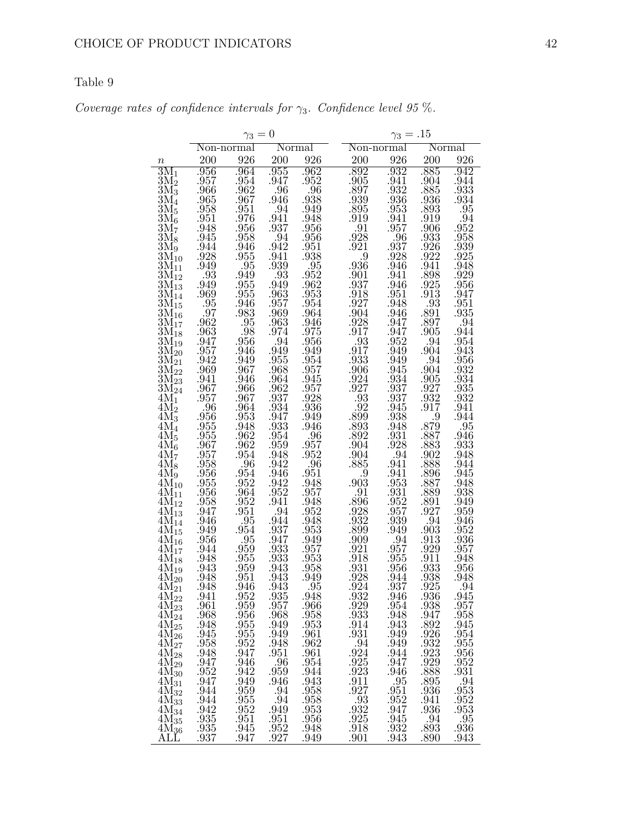|                                    |              | $\gamma_3=0$    |                                      |                            | $\gamma_3 = .15$ |              |                            |                                      |
|------------------------------------|--------------|-----------------|--------------------------------------|----------------------------|------------------|--------------|----------------------------|--------------------------------------|
|                                    | Non-normal   |                 |                                      | Normal                     |                  | Non-normal   |                            | Normal                               |
| $\, n \,$                          | 200          | 926             | 200                                  | 926                        | 200              | 926          | 200                        | 926                                  |
| $3M_1$                             | .956         | .964            | .955                                 | .962                       | .892             | .932         | .885                       | .942                                 |
| 3M <sub>2</sub><br>$3M_3$          | .957<br>.966 | .954<br>.962    | .947                                 | .952                       | .905<br>.897     | .941<br>.932 | .904<br>.885               | .944<br>.933                         |
| $3M_4$                             | .965         | .967            | .96<br>.946                          | $.96$<br>.938              | .939             | .936         | .936                       | .934                                 |
| $3M_{5}$                           | .958         | .951            | .94                                  | .949                       | .895             | .953         |                            |                                      |
| $\rm \bar{3} M_6$                  | .951         | .976            | .941                                 | .948                       | .919             | .941         | $.893$<br>.919             | $\frac{.95}{.94}$                    |
| $3M_7$                             | .948         | .956            | .937                                 | .956                       | .91              | .957         | .906                       | $.952\,$                             |
| $3M_8$<br>$3M_{9}$                 | .945<br>.944 | .958<br>.946    | .94<br>.942                          | .956<br>.951               | .928<br>.921     | .96<br>.937  | .933<br>.926               | .958<br>.939                         |
| $3M_{10}$                          | .928         | .955            | .941                                 | .938                       | $\cdot$ .9       | .928         |                            | .925                                 |
| $\tilde{3}M_{11}^-$                | .949         | .95             | .939                                 | .95                        | .936             | .946         | $.922$<br>$.941$           | .948                                 |
| $3M_{12}$ <sup>-</sup>             | .93          | .949            | $\mathbf{.93}$                       | .952                       | .901             | .941         | .898                       | .929                                 |
| $3M_{13}$<br>$3M_{14}$             | .949<br>.969 | .955<br>.955    | .949<br>.963                         | .962<br>.953               | .937<br>.918     | .946<br>.951 | .925<br>.913               | .956<br>.947                         |
| $3M_{15}$                          | .95          | $.946\,$        | .957                                 | .954                       | .927             | .948         |                            |                                      |
| $\rm \bar{3}M_{16}^-$              | .97          | .983            | .969                                 | .964                       | .904             | .946         | .893                       | .951.935                             |
| $3M_{17}$                          | .962         | .95             | .963                                 | .946                       | $.928\,$         | .947         | .897                       | .94                                  |
| $3\mathrm{M}_{18}$<br>$3M_{19}$    | .963<br>.947 | .98<br>.956     | .974<br>.94                          | .975<br>.956               | .917<br>.93      | .947<br>.952 | .905<br>.94                | .944<br>$.954\,$                     |
| $3\mathrm{M}_{20}$                 | .957         | .946            | .949                                 | .949                       | .917             | .949         | .904                       |                                      |
| $3M_{21}$                          | .942         | .949            | .955                                 | .954                       | .933             | .949         | .94                        | $.943$<br>.956                       |
| $3M_{22}^-$                        | .969         | .967            | .968                                 | $.957\,$                   | .906             | .945         | $.904\,$                   | $.932$<br>$.934$                     |
| $3M_{23}$<br>$3M_{24}$             | .941<br>.967 | .946<br>.966    | .964                                 | .945<br>.957               | .924<br>.927     | .934<br>.937 | .905                       |                                      |
| $4M_1$                             | .957         | .967            | $.962$<br>$.937$                     | .928                       | .93              | .937         | .927.932                   | $.935$<br>$.932$                     |
| 4M <sub>2</sub>                    | .96          | .964            | .934                                 | .936                       | .92              | .945         | .917                       | .941                                 |
| $4M_3$                             | .956         | .953            | .947                                 | .949                       | .899             | .938         | .9                         | .944                                 |
| $4M_4$<br>$4M_{5}$                 | .955<br>.955 | .948<br>.962    | .933<br>.954                         | .946<br>.96                | .893<br>.892     | .948<br>.931 | .879<br>.887               | .95<br>.946                          |
| $4M_6$                             | .967         | .962            | .959                                 | .957                       | .904             | .928         | .883                       | .933                                 |
| $4M_7$                             | .957         | .954            | .948                                 | .952                       | .904             | .94          | .902                       | .948                                 |
| $\bar{4}M_8$<br>$4M_{9}$           | .958         | .96             | .942<br>.946                         | .96<br>.951                | .885             | .941<br>.941 | .888<br>.896               | .944<br>.945                         |
| $4M_{10}$                          | .956<br>.955 | .954<br>.952    | .942                                 | .948                       | .9<br>.903       | .953         |                            | .948                                 |
| $4M_{11}$                          | .956         | .964            | .952                                 | .957                       | .91              | .931         | $.887$<br>$.889$<br>$.891$ | .938                                 |
| $4M_{12}$                          | .958         | .952            | .941                                 | .948                       | .896             | .952         |                            | .949                                 |
| $4{\rm M}_{13}$<br>$4{\rm M}_{14}$ | .947<br>.946 | $.951\,$<br>.95 | .94                                  | .952<br>.948               | $.928$<br>$.932$ | .957<br>.939 | .927<br>.94                | .959                                 |
| $4M_{15}$                          | .949         | $.954\,$        |                                      |                            | .899             | .949         |                            |                                      |
| $4M_{16}$                          | .956         | .959            | $.944$<br>$.937$<br>$.947$<br>$.933$ | $.953$<br>$.949$<br>$.957$ | .909             | $.94\,$      | $.903$<br>$.913$<br>$.929$ | $.946$<br>$.952$<br>$.936$<br>$.957$ |
| $\overline{4M_{17}}$               | .944         |                 |                                      |                            | .921             | .957         |                            |                                      |
| $4M_{18}$<br>$4M_{19}$             | .948<br>.943 | .955<br>.959    | $.933\,$<br>.943                     | .953<br>.958               | .918<br>.931     | .955<br>.956 | .911<br>.933               | .948<br>.956                         |
| $4M_{20}$                          | .948         | .951            | .943                                 | .949                       | .928             | .944         | .938                       | .948                                 |
| $4{\rm M}_{21}$                    | .948         | .946            | .943                                 | .95                        | .924             | .937         | .925                       | - 94                                 |
| $4M_{22}$                          | .941         | .952            | .935                                 | .948                       | .932             | .946         | .936                       | .945                                 |
| $4M_{23}$<br>$4M_{24}$             | .961<br>.968 | .959<br>.956    | .957<br>.968                         | .966<br>.958               | .929<br>.933     | .954<br>.948 | .938<br>.947               | .957<br>.958                         |
| $4M_{25}$                          | .948         | .955            | .949                                 | .953                       | .914             | .943         | .892                       | .945                                 |
| $4M_{26}$                          | .945         | .955            | .949                                 | .961                       | .931             | .949         | .926                       | .954                                 |
| $4M_{27}$                          | .958<br>.948 | .952<br>.947    | .948<br>.951                         | .962<br>.961               | .94<br>.924      | .949<br>.944 | .932<br>.923               | .955<br>.956                         |
| $4M_{28}$<br>$4M_{29}$             | .947         | .946            | .96                                  | .954                       | .925             | .947         | .929                       | .952                                 |
| $4M_{30}$                          | .952         | .942            | .959                                 | .944                       | .923             | .946         | .888.895                   | .931                                 |
| $4M_{31}$                          | .947         | .949            | .946                                 | .943                       | .911             | .95          |                            | .94                                  |
| $4M_{32}$<br>$4M_{33}$             | .944<br>.944 | .959<br>.955    | .94<br>.94                           | .958<br>.958               | .927<br>.93      | .951<br>.952 | $.936\,$<br>.941           | .953<br>.952                         |
| $4M_{34}$                          | .942         | .952            | .949                                 | .953                       | .932             | .947         | .936                       | .953                                 |
| $4M_{35}$                          | .935         | .951            | .951                                 | .956                       | .925             | .945         | .94                        | .95                                  |

4M<sup>36</sup> .935 .945 .952 .948 .918 .932 .893 .936 ALL .937 .947 .927 .949 .901 .943 .890 .943

*Coverage rates of confidence intervals for*  $\gamma_3$ *. Confidence level 95* %.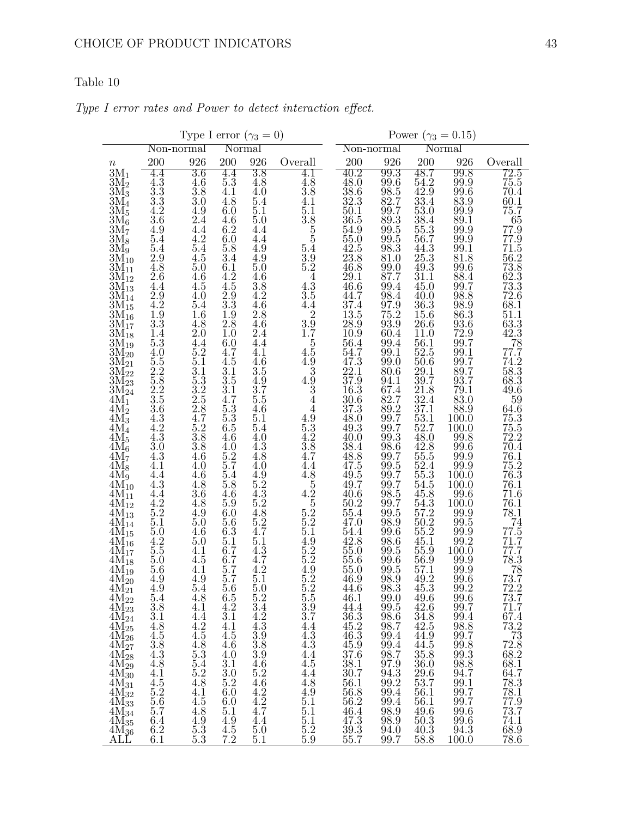|                                               | Type I error $(\gamma_3 = 0)$         |                             |                         |                         |                                        |                            | Power ( $\gamma_3 = 0.15$ ) |                                            |               |                                                         |  |
|-----------------------------------------------|---------------------------------------|-----------------------------|-------------------------|-------------------------|----------------------------------------|----------------------------|-----------------------------|--------------------------------------------|---------------|---------------------------------------------------------|--|
|                                               |                                       | Non-normal                  | Normal                  |                         |                                        |                            | Non-normal                  |                                            | Normal        |                                                         |  |
| $\, n$<br>$3M_1$                              | 200<br>4.4                            | 926<br>$3.6\,$              | 200<br>4.4              | 926<br>$3.8\,$          | Overall<br>4.1                         | 200<br>40.2                | 926<br>99.3                 | 200<br>48.7                                | 926<br>99.8   | Overall<br>$72.5\,$                                     |  |
| $3\mathrm{M}_2$                               | 4.3                                   | 4.6                         | 5.3                     | 4.8                     | $\frac{4.8}{3.8}$                      | 48.0                       | 99.6                        | 54.2                                       | 99.9          | 75.5                                                    |  |
| $3M_3$<br>$3M_4$                              | $3.\overline{3}$<br>$\bar{3}.\bar{3}$ | 3.8<br>3.0                  | 4.1<br>4.8              | 4.0<br>5.4              | 4.1                                    | 38.6<br>32.3               | 98.5                        | 42.9<br>33.4                               | 99.6<br>83.9  | 70.4<br>60.1                                            |  |
| $3\rm M_5$                                    | $\frac{4.2}{3.6}$                     | 4.9                         | 6.0                     | 5.1                     | 5.1                                    | 50.1                       | $82.7$<br>99.7              | 53.0                                       | 99.9          | 75.7                                                    |  |
| $\rm \bar{3} M_{6}$<br>3M <sub>7</sub>        | 4.9                                   | 2.4<br>4.4                  | 4.6<br>6.2              | 5.0<br>4.4              | $\overline{3}\overline{.}\overline{8}$ | 36.5<br>54.9               | 89.3<br>99.5                | 38.4<br>55.3                               | 89.1<br>99.9  | 65<br>77.9                                              |  |
| $3M_8$                                        | 5.4                                   | 4.2                         | 6.0                     | 4.4                     | $\frac{5}{5}$                          | 55.0                       | 99.5                        | 56.7                                       | 99.9          | 77.9                                                    |  |
| 3M <sub>9</sub><br>$3\rm{M}_{10}$             | 5.4<br>2.9                            | 5.4<br>4.5                  | 5.8<br>$3.\overline{4}$ | 4.9<br>4.9              | $5.4\,$<br>$\overline{3.9}$            | 42.5<br>$2\bar{3}.\bar{8}$ | 98.3<br>81.0                | 44.3<br>25.3                               | 99.1<br>81.8  | 71.5                                                    |  |
| $3M_{11}$                                     | 4.8                                   | 5.0                         | 6.1<br>4.2              | 5.0                     | $5.\overline{2}$                       | 46.8                       | 99.0                        | 49.3                                       | 99.6          | $\frac{56.2}{73.8}$<br>62.3                             |  |
| $3M_{12}$<br>$3M_{13}$                        | 2.6<br>4.4                            | 4.6<br>4.5                  | 4.5                     | 4.6<br>3.8              | $\overline{4}$<br>4.3                  | 29.1<br>46.6               | 87.7<br>99.4                | 31.1<br>45.0                               | 88.4<br>99.7  | 73.3                                                    |  |
| $3M_{14}$<br>$3M_{15}$                        | 2.9<br>4.2                            | 4.0<br>5.4                  | $\frac{2.9}{3.3}$       | 4.2<br>4.6              | 3.5<br>4.4                             | 44.7<br>37.4               | 98.4<br>97.9                | 40.0<br>36.3                               | 98.8<br>98.9  | 72.6<br>68.1                                            |  |
| $3M_{16}$                                     | 1.9                                   | 1.6                         | 1.9                     | 2.8                     | $\boldsymbol{2}$                       | 13.5                       | 75.2                        | 15.6                                       | 86.3          | 51.1                                                    |  |
| $3M_{17}$<br>$3M_{18}$                        | 3.3<br>1.4                            | 4.8<br>2.0                  | 2.8<br>1.0              | 4.6<br>2.4              | $\!.9$<br>$1.\overline{7}$             | 28.9<br>10.9               | 93.9<br>60.4                | 26.6<br>11.0                               | 93.6<br>72.9  | 63.3<br>42.3                                            |  |
| $3\rm{M}_{19}$                                | $5.3\,$                               | 4.4                         | 6.0                     | 4.4                     | $\bf 5$                                | 56.4                       | 99.4                        | 56.1                                       | 99.7          | 77.7                                                    |  |
| $3M_{20}$<br>$3M_{21}$                        | 4.0<br>5.5                            | $5.2\,$<br>5.1              | 4.7<br>4.5              | 4.1<br>4.6              | $4.\overline{5}$<br>4.9                | 54.7<br>47.3               | 99.1<br>99.0                | 52.5<br>50.6                               | 99.1<br>99.7  | 74.2                                                    |  |
| $3M_{22}$                                     | $2.2$<br>$5.8$<br>$2.2$<br>$3.5$      | 3.1                         | 3.1                     | 3.5                     | 3                                      | 22.1                       | 80.6                        | 29.1                                       | 89.7          | 58.3                                                    |  |
| $\tilde{3}M_{23}$<br>$3M_{24}$                |                                       | 5.3                         | $\overline{3.5}$<br>3.1 | 4.9<br>$\overline{3.7}$ | $4.\overline{9}$<br>$\boldsymbol{3}$   | 37.9<br>16.3               | 94.1<br>67.4                | 39.7<br>21.8                               | 93.7<br>79.1  | 68.3<br>49.6                                            |  |
| $\rm \tilde{4} \tilde{M_1}$<br>$4M_2$         | 3.6                                   | $\frac{3.2}{2.5}$           | $\overline{4.7}$<br>5.3 | 5.5<br>4.6              | $\overline{4}$<br>$\overline{4}$       | 30.6<br>37.3               | $\frac{82.7}{89.2}$         | 32.4<br>37.1                               | 83.0<br>88.9  | 59<br>64.6                                              |  |
| $4M_3$                                        | $\overline{4.3}$                      | 4.7                         | 5.3                     | 5.1                     | 4.9                                    | 48.0                       | 99.7                        | $53.1\,$                                   | 100.0         | 75.3                                                    |  |
| $4M_4$<br>$4M_{5}$                            | $4.\overline{2}$<br>4.3               | $5.\overline{2}$<br>3.8     | 6.5<br>4.6              | 5.4<br>4.0              | $5.\overline{3}$<br>4.2                | 49.3<br>40.0               | 99.7<br>99.3                | 52.7<br>48.0                               | 100.0<br>99.8 | 75.5<br>72.2                                            |  |
| $4M_6$                                        | 3.0                                   | $\bar{3}.\bar{8}$           | 4.0                     | 4.3                     | 3.8                                    | 38.4                       | 98.6                        | 42.8                                       | 99.6          | 70.4                                                    |  |
| $4M_7$<br>$4M_8$                              | 4.3<br>4.1                            | 4.6<br>4.0                  | 5.2<br>5.7              | 4.8<br>4.0              | 4.7<br>4.4                             | 48.8<br>47.5               | 99.7<br>99.5                | 55.5<br>52.4                               | 99.9<br>99.9  | $76.1\,$<br>75.2                                        |  |
| 4M <sub>9</sub>                               | 4.4                                   | 4.6                         | 5.4                     | 4.9                     | 4.8                                    | 49.5                       | 99.7                        | 55.3                                       | 100.0         | $76.\overline{3}$                                       |  |
| $4M_{10}$<br>$4M_{11}$                        | 4.3<br>4.4                            | 4.8<br>3.6                  | 5.8<br>4.6              | 5.2<br>$\overline{4.3}$ | $\bf 5$<br>4.2                         | 49.7<br>40.6               | 99.7<br>98.5                | 54.5<br>45.8                               | 100.0<br>99.6 | 76.1<br>$71.6\,$                                        |  |
| $4M_{12}$                                     | 4.2<br>$5.2\,$                        | 4.8<br>4.9                  | 5.9<br>6.0              | 5.2                     | $\bf 5$                                | 50.2                       | 99.7                        | 54.3<br>57.2                               | 100.0         | 76.1<br>78.1                                            |  |
| $4M_{13}$<br>$4M_{14}$                        | 5.1                                   | 5.0                         | 5.6                     | 4.8<br>$5.\overline{2}$ | $\frac{5.2}{5.2}$                      | 55.4<br>47.0               | 99.5<br>98.9                | 50.2                                       | 99.9<br>99.5  | 74                                                      |  |
| $4{\rm M}_{15}$<br>$4{\rm M}_{16}$            | 5.0<br>$\overline{4.2}$               | 4.6<br>5.0                  | 6.3<br>5.1              | 4.7<br>$5.1\,$          | 5.1<br>4.9                             | 54.4<br>42.8               | 99.6<br>98.6                | 55.2<br>45.1                               | 99.9<br>99.2  | 77.5<br>71.7                                            |  |
| $4M_{17}$                                     | 5.5                                   | 4.1                         | 6.7                     | 4.3                     | $\frac{5.2}{5.2}$                      | 55.0                       | 99.5                        | 55.9                                       | 100.0         | 77.7                                                    |  |
| $4M_{18}$<br>$4M_{19}$                        | 5.0<br>5.6                            | 4.5<br>4.1                  | 6.7<br>$\overline{5.7}$ | 4.7<br>4.2              |                                        | 55.6<br>55.0               | 99.6<br>99.5                | 56.9<br>57.1                               | 99.9<br>99.9  | 78.3<br>78                                              |  |
| $4M_{20}$                                     | 4.9                                   | 4.9                         | 5.7                     | 5.1                     | $\frac{4.9}{5.2}$                      | 46.9                       | 98.9                        | $\frac{49.2}{45.3}$                        | 99.6          | 73.7                                                    |  |
| $4M_{21}$<br>$4M_{22}$                        | 4.9<br>5.4                            | $5.4\,$<br>4.8              | 5.6                     | 5.0                     | 5.2<br>$5.5\,$                         | 44.6<br>46.1               | 98.3<br>99.0                | 49.6                                       | 99.2<br>99.6  | 72.2<br>73.7                                            |  |
| $4M_{23}$                                     | $\overline{3.8}$                      | 4.1                         | $6.5$<br>$4.2$          | $\frac{5.2}{3.4}$       | $\frac{3.9}{3.7}$                      | 44.4                       | 99.5                        |                                            | 99.7          | 71.7                                                    |  |
| $4M_{24}$<br>$4M_{25}$                        | 3.1                                   | 4.4<br>4.2                  | 3.1<br>4.1              | $\frac{4.2}{4.3}$       | 4.4                                    | $36.3\,$<br>45.2           | $\frac{98.6}{98.7}$         | $\frac{42.6}{34.8}$<br>$\frac{42.5}{12.5}$ | 99.4<br>98.8  | 67.4<br>73.2                                            |  |
| $\bar{4M}$ <sub>26</sub>                      | $\frac{4.8}{4.5}$                     | $\overline{4.5}$            | 4.5                     | 3.9                     | $\overline{4.3}$                       | $\bar{46.3}$               | 99.4                        | $\frac{44.9}{44.5}$                        | 99.7          |                                                         |  |
| $4M_{27}$<br>$4M_{28}$                        | $\frac{3.8}{4.3}$                     | $4.8\,$<br>$5.\overline{3}$ | 4.6<br>4.0              | $\overline{3.8}$<br>3.9 | $4.\overline{3}$<br>4.4                | 45.9<br>37.6               | 99.4<br>$\frac{98.7}{97.9}$ | 35.8                                       | 99.8<br>99.3  | $\begin{array}{r} 73 \\ 73 \\ 68.2 \\ 68.1 \end{array}$ |  |
| $4M_{29}$                                     | 4.8                                   | 5.4                         | $\overline{3.1}$        | 4.6                     | 4.5                                    | 38.1<br>30.7               |                             | 36.0                                       | 98.8          |                                                         |  |
| $4M_{30}$                                     | 4.1<br>4.5                            | $\frac{5.2}{4.8}$           | $\frac{3.0}{5.2}$       | 5.2<br>4.6              | 4.4<br>4.8                             | 56.1                       | 94.3<br>99.2                | $\frac{29.6}{53.7}$                        | 94.7<br>99.1  | $64.7$<br>$78.3$                                        |  |
| $4M_{31}^{50}$<br>$4M_{32}^{31}$<br>$4M_{33}$ | $5.2\,$<br>5.6                        | 4.1<br>4.5                  | 6.0<br>6.0              | $4.2\,$<br>$4.2\,$      | $4.9\,$<br>5.1                         | 56.8<br>56.2               | 99.4<br>99.4                | 56.1<br>56.1                               | 99.7<br>99.7  | $\frac{78.1}{77.9}$                                     |  |
| $4M_{34}$                                     | 5.7                                   | 4.8                         | 5.1                     | 4.7                     | 5.1                                    | 46.4                       | 98.9                        | 49.6                                       | 99.6          | 73.7                                                    |  |
| $4M_{35}$<br>$4M_{36}$                        | 6.4<br>6.2                            | 4.9<br>$5.3\,$              | 4.9<br>4.5              | 4.4<br>5.0              | 5.1<br>5.2                             | 47.3<br>39.3               | 98.9<br>94.0                | 50.3<br>40.3                               | 99.6<br>94.3  | 74.1<br>68.9                                            |  |
| ALL                                           | 6.1                                   | 5.3                         | 7.2                     | 5.1                     | 5.9                                    | 55.7                       | 99.7                        | 58.8                                       | 100.0         | 78.6                                                    |  |

*Type I error rates and Power to detect interaction effect.*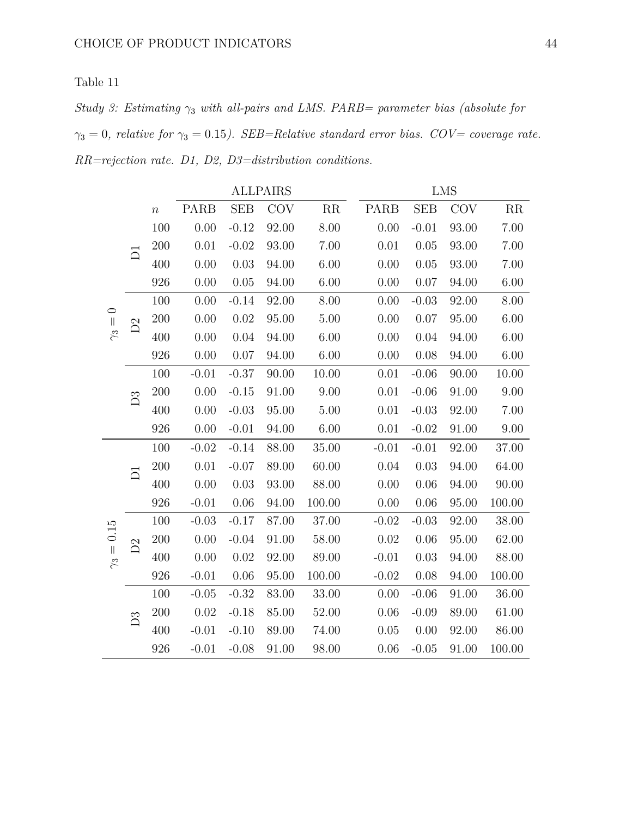*Study 3: Estimating*  $\gamma_3$  *with all-pairs and LMS. PARB= parameter bias (absolute for*  $\gamma_3 = 0$ , relative for  $\gamma_3 = 0.15$ *).* SEB=Relative standard error bias. COV= coverage rate. *RR=rejection rate. D1, D2, D3=distribution conditions.*

|                            |                         |                  |         |            | <b>ALLPAIRS</b> |        |         |            | <b>LMS</b> |        |
|----------------------------|-------------------------|------------------|---------|------------|-----------------|--------|---------|------------|------------|--------|
|                            |                         | $\boldsymbol{n}$ | PARB    | <b>SEB</b> | <b>COV</b>      | RR     | PARB    | <b>SEB</b> | <b>COV</b> | RR     |
|                            |                         | 100              | 0.00    | $-0.12$    | 92.00           | 8.00   | 0.00    | $-0.01$    | 93.00      | 7.00   |
|                            | $\overline{D}$          | 200              | 0.01    | $-0.02$    | 93.00           | 7.00   | 0.01    | 0.05       | 93.00      | 7.00   |
|                            |                         | 400              | 0.00    | 0.03       | 94.00           | 6.00   | 0.00    | 0.05       | 93.00      | 7.00   |
|                            |                         | 926              | 0.00    | 0.05       | 94.00           | 6.00   | 0.00    | 0.07       | 94.00      | 6.00   |
|                            |                         | 100              | 0.00    | $-0.14$    | 92.00           | 8.00   | 0.00    | $-0.03$    | 92.00      | 8.00   |
| $\circ$<br>$\vert\vert$    | D <sup>2</sup>          | 200              | 0.00    | 0.02       | 95.00           | 5.00   | 0.00    | 0.07       | 95.00      | 6.00   |
| $\widetilde{\gamma}$       |                         | 400              | 0.00    | 0.04       | 94.00           | 6.00   | 0.00    | 0.04       | 94.00      | 6.00   |
|                            |                         | 926              | 0.00    | 0.07       | 94.00           | 6.00   | 0.00    | 0.08       | 94.00      | 6.00   |
|                            |                         | 100              | $-0.01$ | $-0.37$    | 90.00           | 10.00  | 0.01    | $-0.06$    | 90.00      | 10.00  |
|                            | D3                      | 200              | 0.00    | $-0.15$    | 91.00           | 9.00   | 0.01    | $-0.06$    | 91.00      | 9.00   |
|                            |                         | 400              | 0.00    | $-0.03$    | 95.00           | 5.00   | 0.01    | $-0.03$    | 92.00      | 7.00   |
|                            |                         | 926              | 0.00    | $-0.01$    | 94.00           | 6.00   | 0.01    | $-0.02$    | 91.00      | 9.00   |
|                            |                         | 100              | $-0.02$ | $-0.14$    | 88.00           | 35.00  | $-0.01$ | $-0.01$    | 92.00      | 37.00  |
|                            | $\overline{\mathsf{D}}$ | 200              | 0.01    | $-0.07$    | 89.00           | 60.00  | 0.04    | 0.03       | 94.00      | 64.00  |
|                            |                         | 400              | 0.00    | 0.03       | 93.00           | 88.00  | 0.00    | 0.06       | 94.00      | 90.00  |
|                            |                         | 926              | $-0.01$ | 0.06       | $94.00\,$       | 100.00 | 0.00    | 0.06       | 95.00      | 100.00 |
|                            |                         | 100              | $-0.03$ | $-0.17$    | 87.00           | 37.00  | $-0.02$ | $-0.03$    | 92.00      | 38.00  |
| 0.15                       | $\mathbf{\Omega}$       | 200              | 0.00    | $-0.04$    | 91.00           | 58.00  | 0.02    | 0.06       | 95.00      | 62.00  |
| $\vert\vert$<br>$\gamma_3$ | $\Box$                  | 400              | 0.00    | 0.02       | 92.00           | 89.00  | $-0.01$ | 0.03       | 94.00      | 88.00  |
|                            |                         | 926              | $-0.01$ | 0.06       | 95.00           | 100.00 | $-0.02$ | 0.08       | 94.00      | 100.00 |
|                            |                         | 100              | $-0.05$ | $-0.32$    | 83.00           | 33.00  | 0.00    | $-0.06$    | 91.00      | 36.00  |
|                            | D3                      | 200              | 0.02    | $-0.18$    | 85.00           | 52.00  | 0.06    | $-0.09$    | 89.00      | 61.00  |
|                            |                         | 400              | $-0.01$ | $-0.10$    | 89.00           | 74.00  | 0.05    | 0.00       | 92.00      | 86.00  |
|                            |                         | 926              | $-0.01$ | $-0.08$    | 91.00           | 98.00  | 0.06    | $-0.05$    | 91.00      | 100.00 |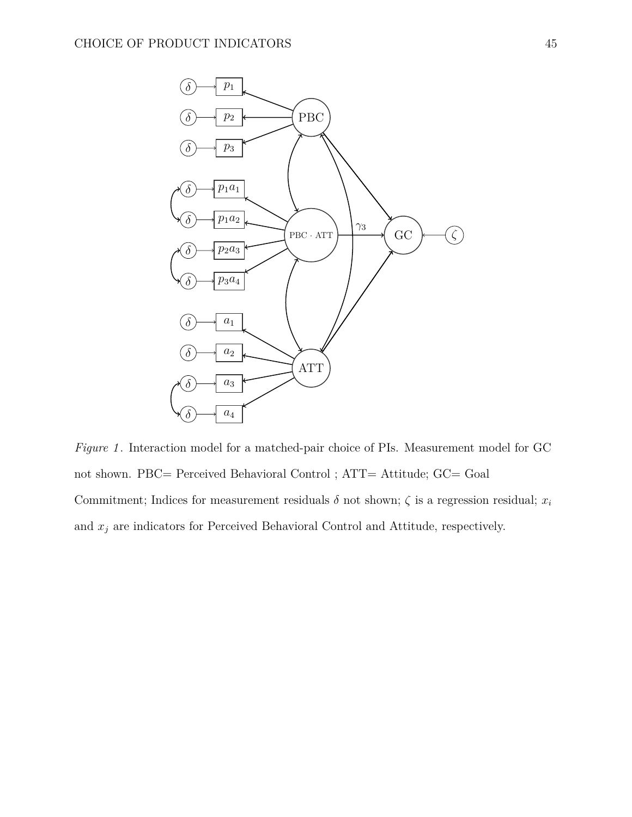

*Figure 1* . Interaction model for a matched-pair choice of PIs. Measurement model for GC not shown. PBC= Perceived Behavioral Control ; ATT= Attitude; GC= Goal Commitment; Indices for measurement residuals  $\delta$  not shown;  $\zeta$  is a regression residual;  $x_i$ and  $\boldsymbol{x}_j$  are indicators for Perceived Behavioral Control and Attitude, respectively.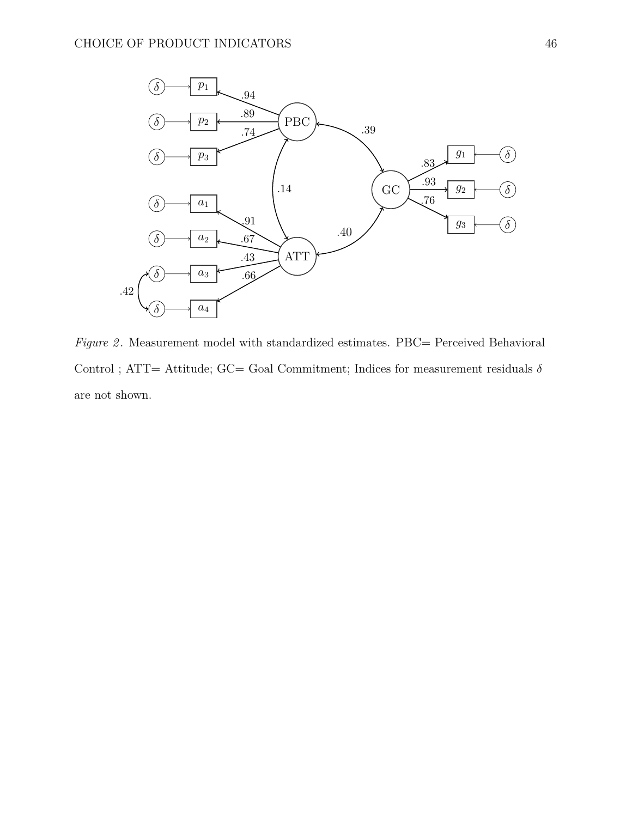

*Figure 2* . Measurement model with standardized estimates. PBC= Perceived Behavioral Control ; ATT= Attitude; GC= Goal Commitment; Indices for measurement residuals  $\delta$ are not shown.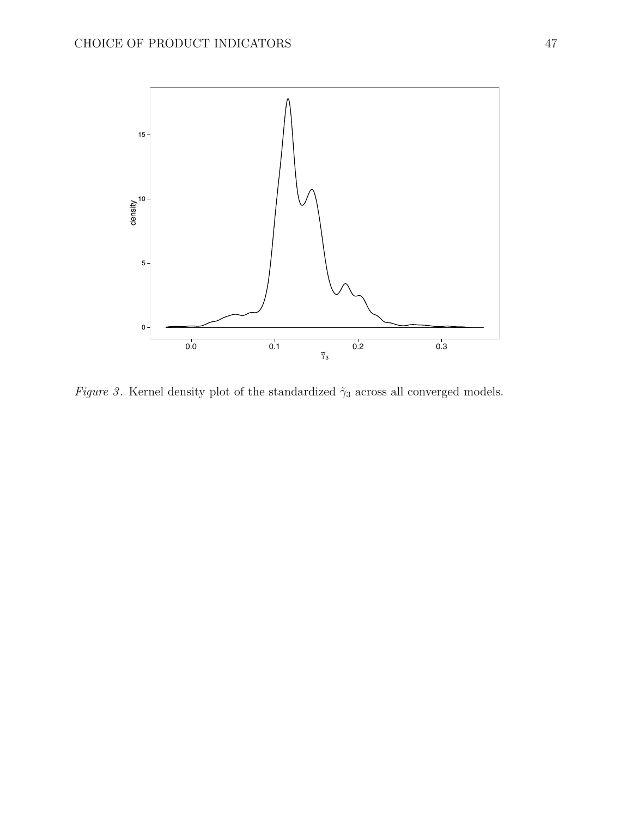

 $Figure~3.$  Kernel density plot of the standardized  $\tilde{\gamma}_3$  across all converged models.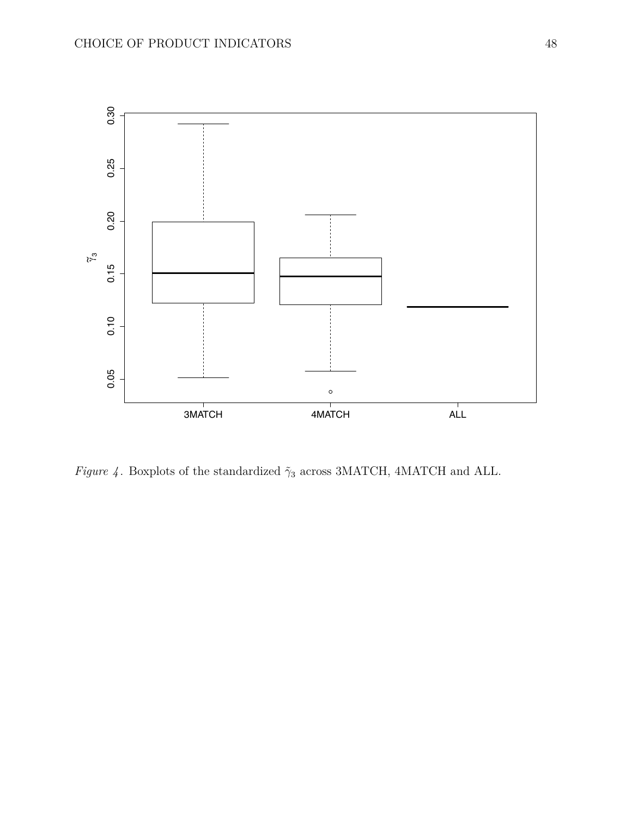

 $Figure~4$  . Boxplots of the standardized  $\tilde{\gamma}_3$  across 3MATCH, 4MATCH and ALL.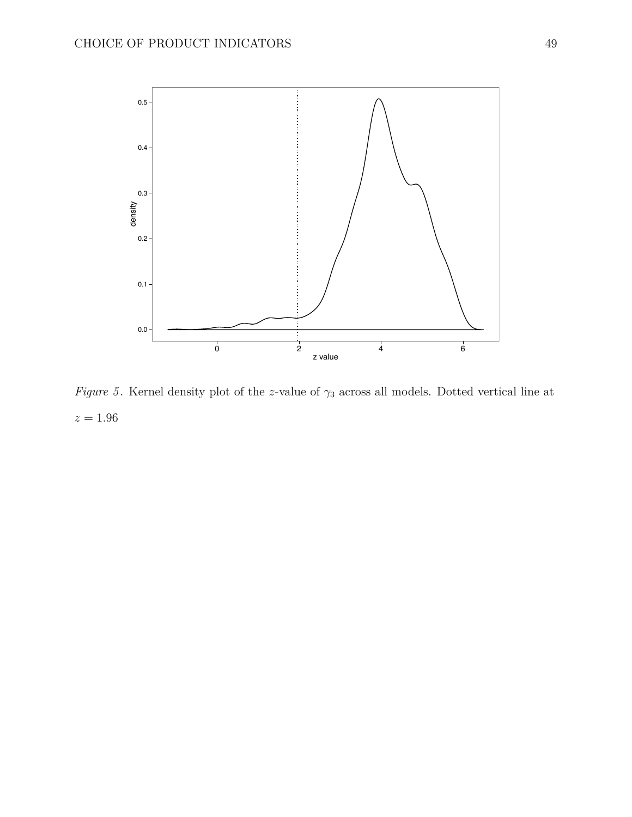

*Figure 5*. Kernel density plot of the *z*-value of  $\gamma_3$  across all models. Dotted vertical line at  $z=1.96$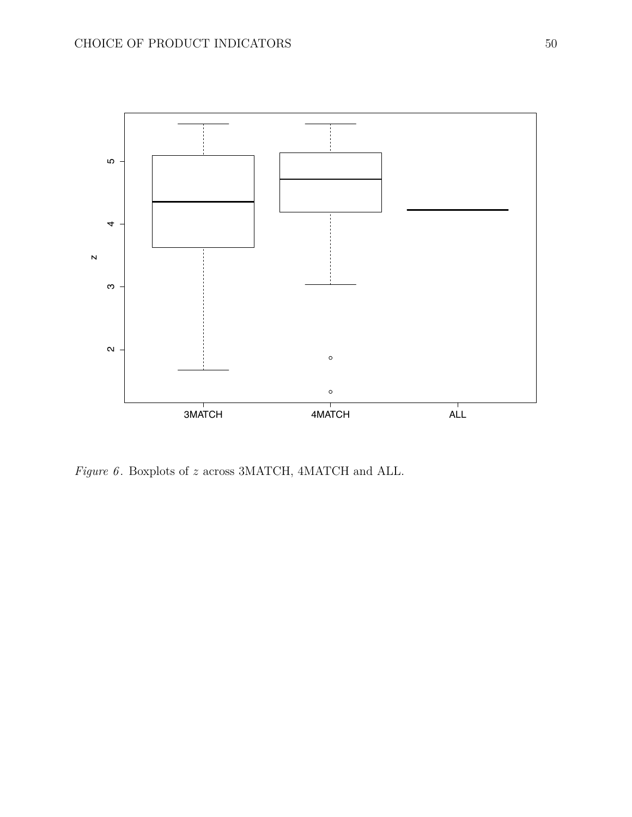

 $Figure\ 6.$  Boxplots of  $z$  across 3MATCH, 4MATCH and ALL.